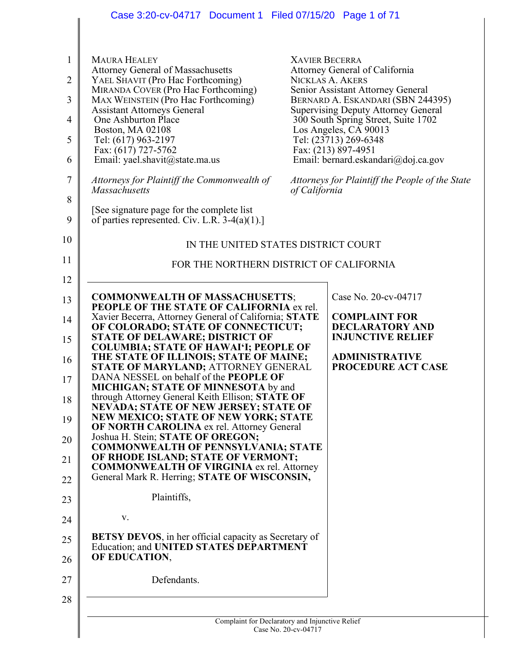|                     | Case 3:20-cv-04717 Document 1 Filed 07/15/20 Page 1 of 71                                                       |                       |                                                                                   |
|---------------------|-----------------------------------------------------------------------------------------------------------------|-----------------------|-----------------------------------------------------------------------------------|
|                     |                                                                                                                 |                       |                                                                                   |
| 1<br>$\overline{2}$ | <b>MAURA HEALEY</b><br><b>Attorney General of Massachusetts</b><br>YAEL SHAVIT (Pro Hac Forthcoming)            | <b>XAVIER BECERRA</b> | Attorney General of California<br>NICKLAS A. AKERS                                |
| 3                   | MIRANDA COVER (Pro Hac Forthcoming)<br>MAX WEINSTEIN (Pro Hac Forthcoming)                                      |                       | Senior Assistant Attorney General<br>BERNARD A. ESKANDARI (SBN 244395)            |
| $\overline{4}$      | <b>Assistant Attorneys General</b><br>One Ashburton Place                                                       |                       | <b>Supervising Deputy Attorney General</b><br>300 South Spring Street, Suite 1702 |
| 5                   | <b>Boston, MA 02108</b><br>Tel: (617) 963-2197                                                                  |                       | Los Angeles, CA 90013<br>Tel: (23713) 269-6348                                    |
| 6                   | Fax: (617) 727-5762<br>Email: yael.shavit@state.ma.us                                                           |                       | Fax: (213) 897-4951<br>Email: bernard.eskandari@doj.ca.gov                        |
| $\tau$              | Attorneys for Plaintiff the Commonwealth of<br>Massachusetts                                                    | of California         | Attorneys for Plaintiff the People of the State                                   |
| 8                   |                                                                                                                 |                       |                                                                                   |
| 9                   | [See signature page for the complete list]<br>of parties represented. Civ. L.R. $3-4(a)(1)$ .]                  |                       |                                                                                   |
| 10                  | IN THE UNITED STATES DISTRICT COURT                                                                             |                       |                                                                                   |
| 11                  | FOR THE NORTHERN DISTRICT OF CALIFORNIA                                                                         |                       |                                                                                   |
| 12                  |                                                                                                                 |                       | Case No. 20-cv-04717                                                              |
| 13                  | <b>COMMONWEALTH OF MASSACHUSETTS;</b><br>PEOPLE OF THE STATE OF CALIFORNIA ex rel.                              |                       |                                                                                   |
| 14                  | Xavier Becerra, Attorney General of California; STATE<br>OF COLORADO; STATE OF CONNECTICUT;                     |                       | <b>COMPLAINT FOR</b><br><b>DECLARATORY AND</b>                                    |
| 15                  | STATE OF DELAWARE; DISTRICT OF<br><b>COLUMBIA; STATE OF HAWAI'I; PEOPLE OF</b>                                  |                       | <b>INJUNCTIVE RELIEF</b>                                                          |
| 16                  | THE STATE OF ILLINOIS; STATE OF MAINE;<br>STATE OF MARYLAND; ATTORNEY GENERAL                                   |                       | <b>ADMINISTRATIVE</b><br><b>PROCEDURE ACT CASE</b>                                |
| 17                  | DANA NESSEL on behalf of the PEOPLE OF<br><b>MICHIGAN; STATE OF MINNESOTA by and</b>                            |                       |                                                                                   |
| 18                  | through Attorney General Keith Ellison; STATE OF<br><b>NEVADA; STATE OF NEW JERSEY; STATE OF</b>                |                       |                                                                                   |
| 19                  | <b>NEW MEXICO; STATE OF NEW YORK; STATE</b><br>OF NORTH CAROLINA ex rel. Attorney General                       |                       |                                                                                   |
| 20                  | Joshua H. Stein; STATE OF OREGON;<br><b>COMMONWEALTH OF PENNSYLVANIA; STATE</b>                                 |                       |                                                                                   |
| 21                  | OF RHODE ISLAND; STATE OF VERMONT;<br><b>COMMONWEALTH OF VIRGINIA ex rel. Attorney</b>                          |                       |                                                                                   |
| 22                  | General Mark R. Herring; STATE OF WISCONSIN,                                                                    |                       |                                                                                   |
| 23                  | Plaintiffs,                                                                                                     |                       |                                                                                   |
| 24                  | V.                                                                                                              |                       |                                                                                   |
| 25                  | <b>BETSY DEVOS</b> , in her official capacity as Secretary of<br><b>Education; and UNITED STATES DEPARTMENT</b> |                       |                                                                                   |
| 26                  | OF EDUCATION,                                                                                                   |                       |                                                                                   |
| 27                  | Defendants.                                                                                                     |                       |                                                                                   |
| 28                  |                                                                                                                 |                       |                                                                                   |
|                     | Complaint for Declaratory and Injunctive Relief                                                                 | Case No. 20-cv-04717  |                                                                                   |
|                     |                                                                                                                 |                       |                                                                                   |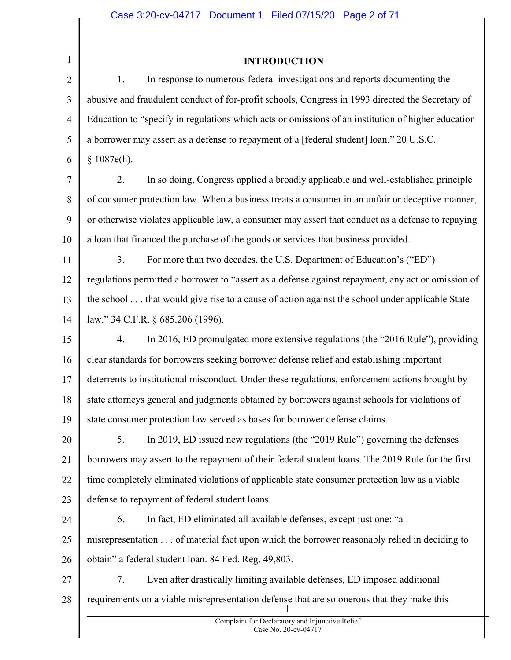| $\mathbf{1}$   | <b>INTRODUCTION</b>                                                                                |
|----------------|----------------------------------------------------------------------------------------------------|
| $\overline{2}$ | In response to numerous federal investigations and reports documenting the<br>1.                   |
| 3              | abusive and fraudulent conduct of for-profit schools, Congress in 1993 directed the Secretary of   |
| $\overline{4}$ | Education to "specify in regulations which acts or omissions of an institution of higher education |
| 5              | a borrower may assert as a defense to repayment of a [federal student] loan." 20 U.S.C.            |
| 6              | \$1087e(h).                                                                                        |
| $\tau$         | In so doing, Congress applied a broadly applicable and well-established principle<br>2.            |
| 8              | of consumer protection law. When a business treats a consumer in an unfair or deceptive manner,    |
| 9              | or otherwise violates applicable law, a consumer may assert that conduct as a defense to repaying  |
| 10             | a loan that financed the purchase of the goods or services that business provided.                 |
| 11             | For more than two decades, the U.S. Department of Education's ("ED")<br>3.                         |
| 12             | regulations permitted a borrower to "assert as a defense against repayment, any act or omission of |
| 13             | the school that would give rise to a cause of action against the school under applicable State     |
| 14             | law." 34 C.F.R. § 685.206 (1996).                                                                  |
| 15             | In 2016, ED promulgated more extensive regulations (the "2016 Rule"), providing<br>4.              |
| 16             | clear standards for borrowers seeking borrower defense relief and establishing important           |
| 17             | deterrents to institutional misconduct. Under these regulations, enforcement actions brought by    |
| 18             | state attorneys general and judgments obtained by borrowers against schools for violations of      |
| 19             | state consumer protection law served as bases for borrower defense claims.                         |
| 20             | In 2019, ED issued new regulations (the "2019 Rule") governing the defenses<br>5.                  |
| 21             | borrowers may assert to the repayment of their federal student loans. The 2019 Rule for the first  |
| 22             | time completely eliminated violations of applicable state consumer protection law as a viable      |
| 23             | defense to repayment of federal student loans.                                                     |
| 24             | In fact, ED eliminated all available defenses, except just one: "a<br>6.                           |
| 25             | misrepresentation of material fact upon which the borrower reasonably relied in deciding to        |
| 26             | obtain" a federal student loan. 84 Fed. Reg. 49,803.                                               |
| 27             | Even after drastically limiting available defenses, ED imposed additional<br>7.                    |
| 28             | requirements on a viable misrepresentation defense that are so onerous that they make this         |
|                | Complaint for Declaratory and Injunctive Relief<br>Case No. 20-cv-04717                            |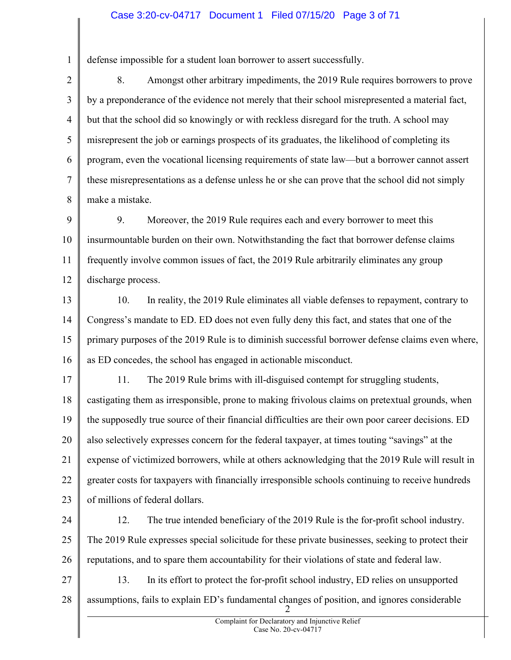## Case 3:20-cv-04717 Document 1 Filed 07/15/20 Page 3 of 71

defense impossible for a student loan borrower to assert successfully.

1

2 3 4 5 6 7 8 8. Amongst other arbitrary impediments, the 2019 Rule requires borrowers to prove by a preponderance of the evidence not merely that their school misrepresented a material fact, but that the school did so knowingly or with reckless disregard for the truth. A school may misrepresent the job or earnings prospects of its graduates, the likelihood of completing its program, even the vocational licensing requirements of state law—but a borrower cannot assert these misrepresentations as a defense unless he or she can prove that the school did not simply make a mistake.

9 10 11 12 9. Moreover, the 2019 Rule requires each and every borrower to meet this insurmountable burden on their own. Notwithstanding the fact that borrower defense claims frequently involve common issues of fact, the 2019 Rule arbitrarily eliminates any group discharge process.

13 14 15 16 10. In reality, the 2019 Rule eliminates all viable defenses to repayment, contrary to Congress's mandate to ED. ED does not even fully deny this fact, and states that one of the primary purposes of the 2019 Rule is to diminish successful borrower defense claims even where, as ED concedes, the school has engaged in actionable misconduct.

17 18 19 20 21 22 23 11. The 2019 Rule brims with ill-disguised contempt for struggling students, castigating them as irresponsible, prone to making frivolous claims on pretextual grounds, when the supposedly true source of their financial difficulties are their own poor career decisions. ED also selectively expresses concern for the federal taxpayer, at times touting "savings" at the expense of victimized borrowers, while at others acknowledging that the 2019 Rule will result in greater costs for taxpayers with financially irresponsible schools continuing to receive hundreds of millions of federal dollars.

24 25 26 12. The true intended beneficiary of the 2019 Rule is the for-profit school industry. The 2019 Rule expresses special solicitude for these private businesses, seeking to protect their reputations, and to spare them accountability for their violations of state and federal law.

27 28 2 13. In its effort to protect the for-profit school industry, ED relies on unsupported assumptions, fails to explain ED's fundamental changes of position, and ignores considerable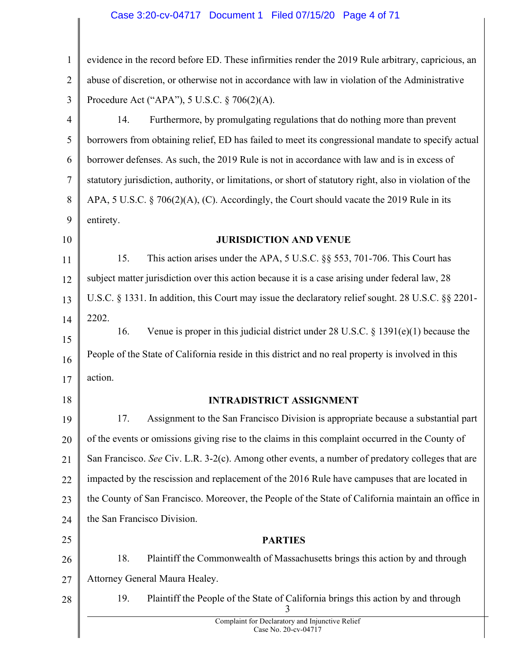# Case 3:20-cv-04717 Document 1 Filed 07/15/20 Page 4 of 71

| $\mathbf{1}$   | evidence in the record before ED. These infirmities render the 2019 Rule arbitrary, capricious, an       |
|----------------|----------------------------------------------------------------------------------------------------------|
| $\overline{2}$ | abuse of discretion, or otherwise not in accordance with law in violation of the Administrative          |
| 3              | Procedure Act ("APA"), 5 U.S.C. § 706(2)(A).                                                             |
| 4              | Furthermore, by promulgating regulations that do nothing more than prevent<br>14.                        |
| 5              | borrowers from obtaining relief, ED has failed to meet its congressional mandate to specify actual       |
| 6              | borrower defenses. As such, the 2019 Rule is not in accordance with law and is in excess of              |
| 7              | statutory jurisdiction, authority, or limitations, or short of statutory right, also in violation of the |
| 8              | APA, 5 U.S.C. § 706(2)(A), (C). Accordingly, the Court should vacate the 2019 Rule in its                |
| 9              | entirety.                                                                                                |
| 10             | <b>JURISDICTION AND VENUE</b>                                                                            |
| 11             | 15.<br>This action arises under the APA, 5 U.S.C. §§ 553, 701-706. This Court has                        |
| 12             | subject matter jurisdiction over this action because it is a case arising under federal law, 28          |
| 13             | U.S.C. § 1331. In addition, this Court may issue the declaratory relief sought. 28 U.S.C. §§ 2201-       |
| 14             | 2202.                                                                                                    |
| 15             | Venue is proper in this judicial district under 28 U.S.C. $\S 1391(e)(1)$ because the<br>16.             |
| 16             | People of the State of California reside in this district and no real property is involved in this       |
| 17             | action.                                                                                                  |
| 18             | <b>INTRADISTRICT ASSIGNMENT</b>                                                                          |
| 19             | Assignment to the San Francisco Division is appropriate because a substantial part<br>17.                |
| 20             | of the events or omissions giving rise to the claims in this complaint occurred in the County of         |
| 21             | San Francisco. See Civ. L.R. 3-2(c). Among other events, a number of predatory colleges that are         |
| 22             | impacted by the rescission and replacement of the 2016 Rule have campuses that are located in            |
| 23             | the County of San Francisco. Moreover, the People of the State of California maintain an office in       |
| 24             | the San Francisco Division.                                                                              |
| 25             | <b>PARTIES</b>                                                                                           |
| 26             | 18.<br>Plaintiff the Commonwealth of Massachusetts brings this action by and through                     |
| 27             | Attorney General Maura Healey.                                                                           |
| 28             | 19.<br>Plaintiff the People of the State of California brings this action by and through                 |
|                | Complaint for Declaratory and Injunctive Relief<br>Case No. 20-cv-04717                                  |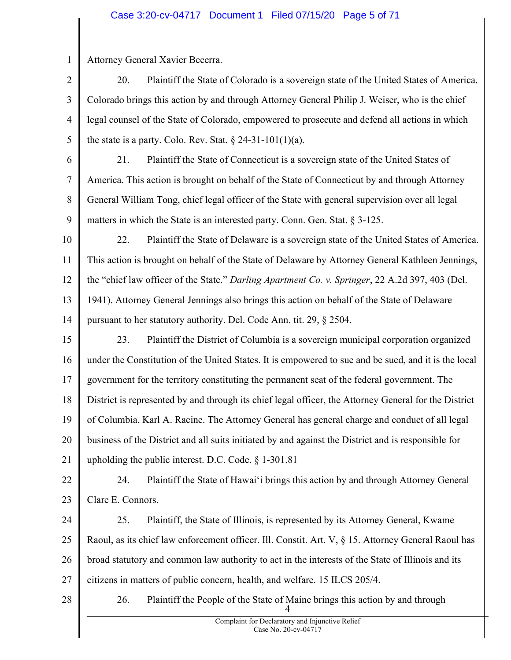## Case 3:20-cv-04717 Document 1 Filed 07/15/20 Page 5 of 71

1 Attorney General Xavier Becerra.

2 3 4 5 20. Plaintiff the State of Colorado is a sovereign state of the United States of America. Colorado brings this action by and through Attorney General Philip J. Weiser, who is the chief legal counsel of the State of Colorado, empowered to prosecute and defend all actions in which the state is a party. Colo. Rev. Stat.  $\S 24-31-101(1)(a)$ .

6

7

8

9

21. Plaintiff the State of Connecticut is a sovereign state of the United States of America. This action is brought on behalf of the State of Connecticut by and through Attorney General William Tong, chief legal officer of the State with general supervision over all legal matters in which the State is an interested party. Conn. Gen. Stat. § 3-125.

10 11 12 13 14 22. Plaintiff the State of Delaware is a sovereign state of the United States of America. This action is brought on behalf of the State of Delaware by Attorney General Kathleen Jennings, the "chief law officer of the State." Darling Apartment Co. v. Springer, 22 A.2d 397, 403 (Del. 1941). Attorney General Jennings also brings this action on behalf of the State of Delaware pursuant to her statutory authority. Del. Code Ann. tit. 29, § 2504.

15 16 17 18 19 20 21 23. Plaintiff the District of Columbia is a sovereign municipal corporation organized under the Constitution of the United States. It is empowered to sue and be sued, and it is the local government for the territory constituting the permanent seat of the federal government. The District is represented by and through its chief legal officer, the Attorney General for the District of Columbia, Karl A. Racine. The Attorney General has general charge and conduct of all legal business of the District and all suits initiated by and against the District and is responsible for upholding the public interest. D.C. Code. § 1-301.81

22 23 24. Plaintiff the State of Hawai'i brings this action by and through Attorney General Clare E. Connors.

24 25 26 27 25. Plaintiff, the State of Illinois, is represented by its Attorney General, Kwame Raoul, as its chief law enforcement officer. Ill. Constit. Art. V, § 15. Attorney General Raoul has broad statutory and common law authority to act in the interests of the State of Illinois and its citizens in matters of public concern, health, and welfare. 15 ILCS 205/4.

28

4 26. Plaintiff the People of the State of Maine brings this action by and through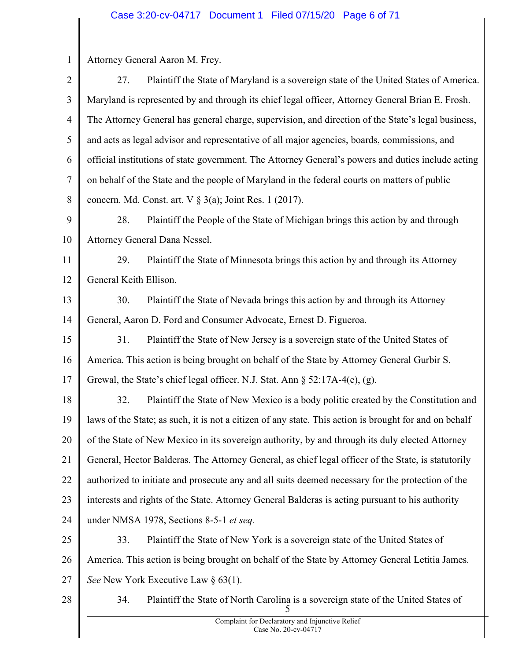1 2 3 4 5 6 7 8 9 10 11 12 13 14 15 16 17 18 19 20 21 22 23 24 25 26 27 28 5 Attorney General Aaron M. Frey. 27. Plaintiff the State of Maryland is a sovereign state of the United States of America. Maryland is represented by and through its chief legal officer, Attorney General Brian E. Frosh. The Attorney General has general charge, supervision, and direction of the State's legal business, and acts as legal advisor and representative of all major agencies, boards, commissions, and official institutions of state government. The Attorney General's powers and duties include acting on behalf of the State and the people of Maryland in the federal courts on matters of public concern. Md. Const. art.  $V \S$  3(a); Joint Res. 1 (2017). 28. Plaintiff the People of the State of Michigan brings this action by and through Attorney General Dana Nessel. 29. Plaintiff the State of Minnesota brings this action by and through its Attorney General Keith Ellison. 30. Plaintiff the State of Nevada brings this action by and through its Attorney General, Aaron D. Ford and Consumer Advocate, Ernest D. Figueroa. 31. Plaintiff the State of New Jersey is a sovereign state of the United States of America. This action is being brought on behalf of the State by Attorney General Gurbir S. Grewal, the State's chief legal officer. N.J. Stat. Ann § 52:17A-4(e), (g). 32. Plaintiff the State of New Mexico is a body politic created by the Constitution and laws of the State; as such, it is not a citizen of any state. This action is brought for and on behalf of the State of New Mexico in its sovereign authority, by and through its duly elected Attorney General, Hector Balderas. The Attorney General, as chief legal officer of the State, is statutorily authorized to initiate and prosecute any and all suits deemed necessary for the protection of the interests and rights of the State. Attorney General Balderas is acting pursuant to his authority under NMSA 1978, Sections 8-5-1 et seq. 33. Plaintiff the State of New York is a sovereign state of the United States of America. This action is being brought on behalf of the State by Attorney General Letitia James. See New York Executive Law § 63(1). 34. Plaintiff the State of North Carolina is a sovereign state of the United States of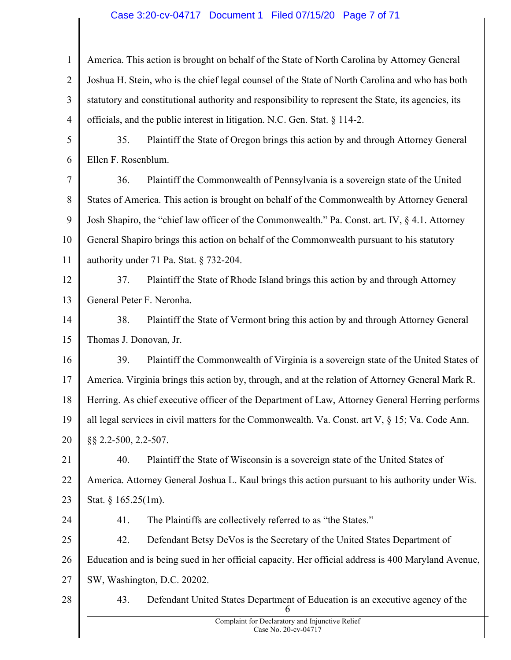# Case 3:20-cv-04717 Document 1 Filed 07/15/20 Page 7 of 71

| $\mathbf{1}$   | America. This action is brought on behalf of the State of North Carolina by Attorney General        |
|----------------|-----------------------------------------------------------------------------------------------------|
| $\overline{2}$ | Joshua H. Stein, who is the chief legal counsel of the State of North Carolina and who has both     |
| 3              | statutory and constitutional authority and responsibility to represent the State, its agencies, its |
| $\overline{4}$ | officials, and the public interest in litigation. N.C. Gen. Stat. § 114-2.                          |
| 5              | 35.<br>Plaintiff the State of Oregon brings this action by and through Attorney General             |
| 6              | Ellen F. Rosenblum.                                                                                 |
| 7              | Plaintiff the Commonwealth of Pennsylvania is a sovereign state of the United<br>36.                |
| 8              | States of America. This action is brought on behalf of the Commonwealth by Attorney General         |
| 9              | Josh Shapiro, the "chief law officer of the Commonwealth." Pa. Const. art. IV, § 4.1. Attorney      |
| 10             | General Shapiro brings this action on behalf of the Commonwealth pursuant to his statutory          |
| 11             | authority under 71 Pa. Stat. § 732-204.                                                             |
| 12             | 37.<br>Plaintiff the State of Rhode Island brings this action by and through Attorney               |
| 13             | General Peter F. Neronha.                                                                           |
| 14             | 38.<br>Plaintiff the State of Vermont bring this action by and through Attorney General             |
| 15             | Thomas J. Donovan, Jr.                                                                              |
| 16             | 39.<br>Plaintiff the Commonwealth of Virginia is a sovereign state of the United States of          |
| 17             | America. Virginia brings this action by, through, and at the relation of Attorney General Mark R.   |
| 18             | Herring. As chief executive officer of the Department of Law, Attorney General Herring performs     |
| 19             | all legal services in civil matters for the Commonwealth. Va. Const. art V, $\S$ 15; Va. Code Ann.  |
| 20             | §§ 2.2-500, 2.2-507.                                                                                |
| 21             | 40.<br>Plaintiff the State of Wisconsin is a sovereign state of the United States of                |
| 22             | America. Attorney General Joshua L. Kaul brings this action pursuant to his authority under Wis.    |
| 23             | Stat. $§ 165.25(1m)$ .                                                                              |
| 24             | The Plaintiffs are collectively referred to as "the States."<br>41.                                 |
| 25             | 42.<br>Defendant Betsy DeVos is the Secretary of the United States Department of                    |
| 26             | Education and is being sued in her official capacity. Her official address is 400 Maryland Avenue,  |
| 27             | SW, Washington, D.C. 20202.                                                                         |
| 28             | Defendant United States Department of Education is an executive agency of the<br>43.<br>6           |
|                | Complaint for Declaratory and Injunctive Relief<br>Case No. 20-cv-04717                             |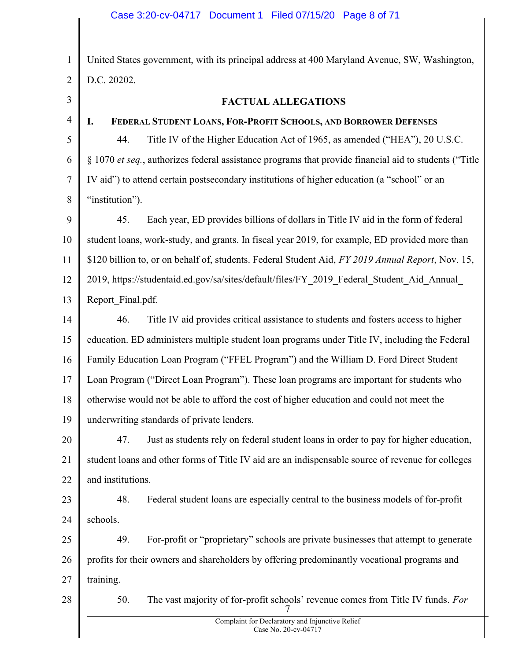### Case 3:20-cv-04717 Document 1 Filed 07/15/20 Page 8 of 71

1 2 3 4 5 6 7 United States government, with its principal address at 400 Maryland Avenue, SW, Washington, D.C. 20202. FACTUAL ALLEGATIONS I. FEDERAL STUDENT LOANS, FOR-PROFIT SCHOOLS, AND BORROWER DEFENSES 44. Title IV of the Higher Education Act of 1965, as amended ("HEA"), 20 U.S.C. § 1070 et seq., authorizes federal assistance programs that provide financial aid to students ("Title IV aid") to attend certain postsecondary institutions of higher education (a "school" or an

8 "institution").

9 10 11 12 13 45. Each year, ED provides billions of dollars in Title IV aid in the form of federal student loans, work-study, and grants. In fiscal year 2019, for example, ED provided more than \$120 billion to, or on behalf of, students. Federal Student Aid, FY 2019 Annual Report, Nov. 15, 2019, https://studentaid.ed.gov/sa/sites/default/files/FY\_2019\_Federal\_Student\_Aid\_Annual\_ Report\_Final.pdf.

14 15 16 17 18 19 46. Title IV aid provides critical assistance to students and fosters access to higher education. ED administers multiple student loan programs under Title IV, including the Federal Family Education Loan Program ("FFEL Program") and the William D. Ford Direct Student Loan Program ("Direct Loan Program"). These loan programs are important for students who otherwise would not be able to afford the cost of higher education and could not meet the underwriting standards of private lenders.

20 21 22 47. Just as students rely on federal student loans in order to pay for higher education, student loans and other forms of Title IV aid are an indispensable source of revenue for colleges and institutions.

23 24 48. Federal student loans are especially central to the business models of for-profit schools.

25 26 27 49. For-profit or "proprietary" schools are private businesses that attempt to generate profits for their owners and shareholders by offering predominantly vocational programs and training.

28

7 50. The vast majority of for-profit schools' revenue comes from Title IV funds. For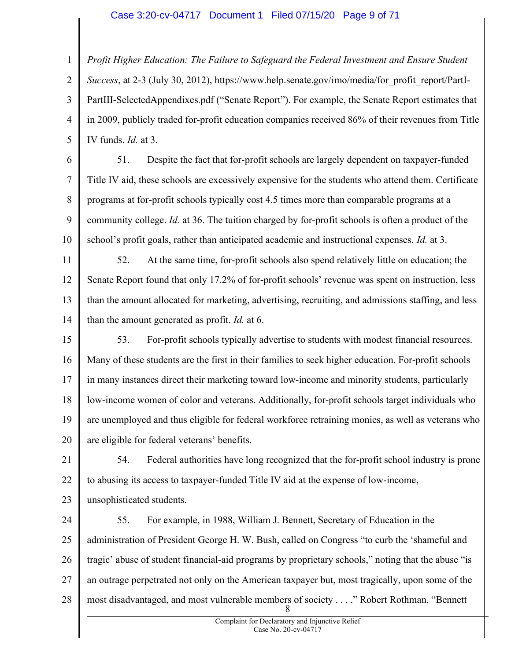#### Case 3:20-cv-04717 Document 1 Filed 07/15/20 Page 9 of 71

1 2 3 4 5 Profit Higher Education: The Failure to Safeguard the Federal Investment and Ensure Student Success, at 2-3 (July 30, 2012), https://www.help.senate.gov/imo/media/for\_profit\_report/PartI-PartIII-SelectedAppendixes.pdf ("Senate Report"). For example, the Senate Report estimates that in 2009, publicly traded for-profit education companies received 86% of their revenues from Title IV funds. Id. at 3.

6

7 8 9 10 51. Despite the fact that for-profit schools are largely dependent on taxpayer-funded Title IV aid, these schools are excessively expensive for the students who attend them. Certificate programs at for-profit schools typically cost 4.5 times more than comparable programs at a community college. Id. at 36. The tuition charged by for-profit schools is often a product of the school's profit goals, rather than anticipated academic and instructional expenses. Id. at 3.

11 12 13 14 52. At the same time, for-profit schools also spend relatively little on education; the Senate Report found that only 17.2% of for-profit schools' revenue was spent on instruction, less than the amount allocated for marketing, advertising, recruiting, and admissions staffing, and less than the amount generated as profit. *Id.* at 6.

15 16 17 18 19 20 53. For-profit schools typically advertise to students with modest financial resources. Many of these students are the first in their families to seek higher education. For-profit schools in many instances direct their marketing toward low-income and minority students, particularly low-income women of color and veterans. Additionally, for-profit schools target individuals who are unemployed and thus eligible for federal workforce retraining monies, as well as veterans who are eligible for federal veterans' benefits.

21 22 23 54. Federal authorities have long recognized that the for-profit school industry is prone to abusing its access to taxpayer-funded Title IV aid at the expense of low-income, unsophisticated students.

24 25 26 27 28 8 55. For example, in 1988, William J. Bennett, Secretary of Education in the administration of President George H. W. Bush, called on Congress "to curb the 'shameful and tragic' abuse of student financial-aid programs by proprietary schools," noting that the abuse "is an outrage perpetrated not only on the American taxpayer but, most tragically, upon some of the most disadvantaged, and most vulnerable members of society . . . ." Robert Rothman, "Bennett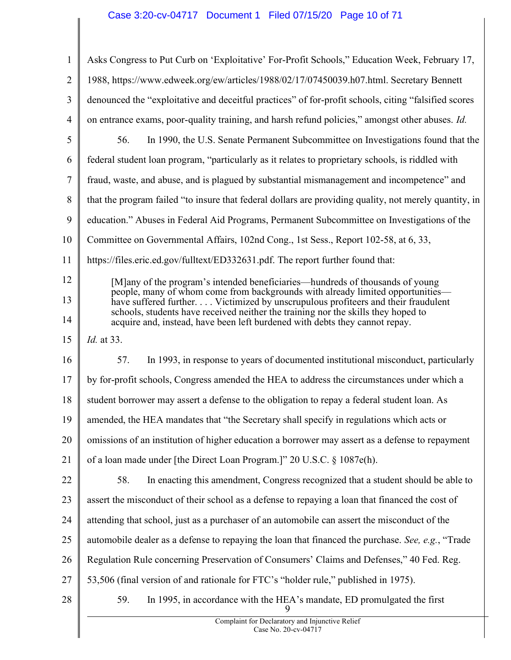# Case 3:20-cv-04717 Document 1 Filed 07/15/20 Page 10 of 71

| $\mathbf{1}$   | Asks Congress to Put Curb on 'Exploitative' For-Profit Schools," Education Week, February 17,                                                                       |
|----------------|---------------------------------------------------------------------------------------------------------------------------------------------------------------------|
| $\overline{2}$ | 1988, https://www.edweek.org/ew/articles/1988/02/17/07450039.h07.html. Secretary Bennett                                                                            |
| 3              | denounced the "exploitative and deceitful practices" of for-profit schools, citing "falsified scores                                                                |
| $\overline{4}$ | on entrance exams, poor-quality training, and harsh refund policies," amongst other abuses. Id.                                                                     |
| 5              | 56.<br>In 1990, the U.S. Senate Permanent Subcommittee on Investigations found that the                                                                             |
| 6              | federal student loan program, "particularly as it relates to proprietary schools, is riddled with                                                                   |
| $\tau$         | fraud, waste, and abuse, and is plagued by substantial mismanagement and incompetence" and                                                                          |
| 8              | that the program failed "to insure that federal dollars are providing quality, not merely quantity, in                                                              |
| 9              | education." Abuses in Federal Aid Programs, Permanent Subcommittee on Investigations of the                                                                         |
| 10             | Committee on Governmental Affairs, 102nd Cong., 1st Sess., Report 102-58, at 6, 33,                                                                                 |
| 11             | https://files.eric.ed.gov/fulltext/ED332631.pdf. The report further found that:                                                                                     |
| 12             | [M]any of the program's intended beneficiaries—hundreds of thousands of young                                                                                       |
| 13             | people, many of whom come from backgrounds with already limited opportunities—<br>have suffered further. Victimized by unscrupulous profiteers and their fraudulent |
| 14             | schools, students have received neither the training nor the skills they hoped to<br>acquire and, instead, have been left burdened with debts they cannot repay.    |
| 15             | <i>Id.</i> at 33.                                                                                                                                                   |
| 16             | In 1993, in response to years of documented institutional misconduct, particularly<br>57.                                                                           |
| 17             | by for-profit schools, Congress amended the HEA to address the circumstances under which a                                                                          |
| 18             | student borrower may assert a defense to the obligation to repay a federal student loan. As                                                                         |
| 19             | amended, the HEA mandates that "the Secretary shall specify in regulations which acts or                                                                            |
| 20             | omissions of an institution of higher education a borrower may assert as a defense to repayment                                                                     |
| 21             | of a loan made under [the Direct Loan Program.]" 20 U.S.C. § 1087e(h).                                                                                              |
| 22             | 58.<br>In enacting this amendment, Congress recognized that a student should be able to                                                                             |
| 23             | assert the misconduct of their school as a defense to repaying a loan that financed the cost of                                                                     |
| 24             | attending that school, just as a purchaser of an automobile can assert the misconduct of the                                                                        |
| 25             | automobile dealer as a defense to repaying the loan that financed the purchase. See, e.g., "Trade                                                                   |
| 26             | Regulation Rule concerning Preservation of Consumers' Claims and Defenses," 40 Fed. Reg.                                                                            |
| 27             | 53,506 (final version of and rationale for FTC's "holder rule," published in 1975).                                                                                 |
| 28             | In 1995, in accordance with the HEA's mandate, ED promulgated the first<br>59.                                                                                      |
|                | Complaint for Declaratory and Injunctive Relief<br>$Case No. 20-cy-04717$                                                                                           |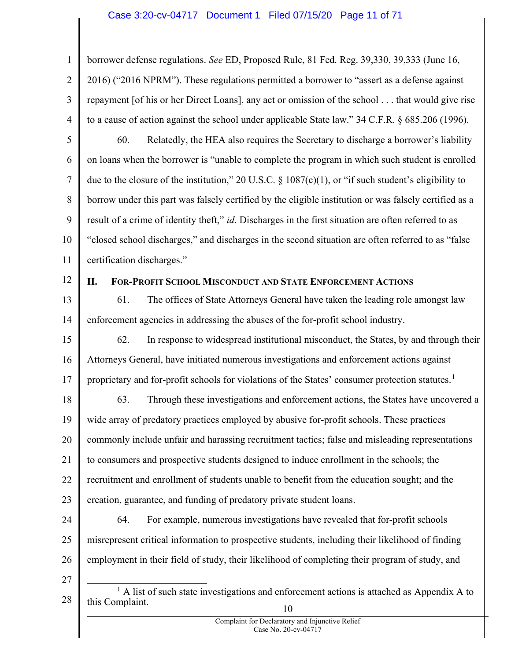# Case 3:20-cv-04717 Document 1 Filed 07/15/20 Page 11 of 71

1 2 3 4 borrower defense regulations. See ED, Proposed Rule, 81 Fed. Reg. 39,330, 39,333 (June 16, 2016) ("2016 NPRM"). These regulations permitted a borrower to "assert as a defense against repayment [of his or her Direct Loans], any act or omission of the school . . . that would give rise to a cause of action against the school under applicable State law." 34 C.F.R. § 685.206 (1996).

5

6 7 8 9 10 11 60. Relatedly, the HEA also requires the Secretary to discharge a borrower's liability on loans when the borrower is "unable to complete the program in which such student is enrolled due to the closure of the institution," 20 U.S.C. § 1087(c)(1), or "if such student's eligibility to borrow under this part was falsely certified by the eligible institution or was falsely certified as a result of a crime of identity theft," id. Discharges in the first situation are often referred to as "closed school discharges," and discharges in the second situation are often referred to as "false certification discharges."

12

# II. FOR-PROFIT SCHOOL MISCONDUCT AND STATE ENFORCEMENT ACTIONS

13 14 61. The offices of State Attorneys General have taken the leading role amongst law enforcement agencies in addressing the abuses of the for-profit school industry.

15 16 17 62. In response to widespread institutional misconduct, the States, by and through their Attorneys General, have initiated numerous investigations and enforcement actions against proprietary and for-profit schools for violations of the States' consumer protection statutes.<sup>1</sup>

18 19 20 21 22 23 63. Through these investigations and enforcement actions, the States have uncovered a wide array of predatory practices employed by abusive for-profit schools. These practices commonly include unfair and harassing recruitment tactics; false and misleading representations to consumers and prospective students designed to induce enrollment in the schools; the recruitment and enrollment of students unable to benefit from the education sought; and the creation, guarantee, and funding of predatory private student loans.

- 24 25 26 64. For example, numerous investigations have revealed that for-profit schools misrepresent critical information to prospective students, including their likelihood of finding employment in their field of study, their likelihood of completing their program of study, and
- 27

<sup>28</sup>  10  $<sup>1</sup>$  A list of such state investigations and enforcement actions is attached as Appendix A to</sup> this Complaint.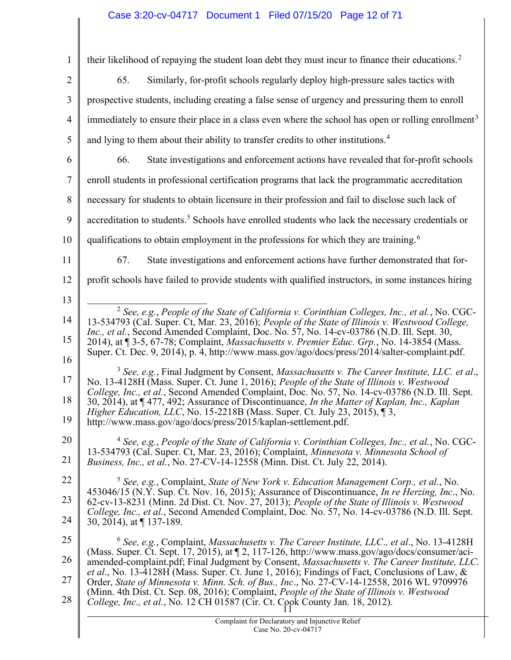# Case 3:20-cv-04717 Document 1 Filed 07/15/20 Page 12 of 71

| 1              | their likelihood of repaying the student loan debt they must incur to finance their educations. <sup>2</sup>                                                                                            |
|----------------|---------------------------------------------------------------------------------------------------------------------------------------------------------------------------------------------------------|
| $\overline{2}$ | 65.<br>Similarly, for-profit schools regularly deploy high-pressure sales tactics with                                                                                                                  |
| 3              | prospective students, including creating a false sense of urgency and pressuring them to enroll                                                                                                         |
| $\overline{4}$ | immediately to ensure their place in a class even where the school has open or rolling enrollment <sup>3</sup>                                                                                          |
| 5              | and lying to them about their ability to transfer credits to other institutions. <sup>4</sup>                                                                                                           |
| 6              | State investigations and enforcement actions have revealed that for-profit schools<br>66.                                                                                                               |
| 7              | enroll students in professional certification programs that lack the programmatic accreditation                                                                                                         |
| 8              | necessary for students to obtain licensure in their profession and fail to disclose such lack of                                                                                                        |
| 9              | accreditation to students. <sup>5</sup> Schools have enrolled students who lack the necessary credentials or                                                                                            |
| 10             | qualifications to obtain employment in the professions for which they are training. <sup>6</sup>                                                                                                        |
| 11             | 67.<br>State investigations and enforcement actions have further demonstrated that for-                                                                                                                 |
| 12             | profit schools have failed to provide students with qualified instructors, in some instances hiring                                                                                                     |
| 13             |                                                                                                                                                                                                         |
| 14             | $2$ See, e.g., People of the State of California v. Corinthian Colleges, Inc., et al., No. CGC-<br>13-534793 (Cal. Super. Ct, Mar. 23, 2016); People of the State of Illinois v. Westwood College,      |
| 15             | <i>Inc., et al.</i> , Second Amended Complaint, Doc. No. 57, No. 14-cv-03786 (N.D. Ill. Sept. 30,<br>2014), at ¶ 3-5, 67-78; Complaint, <i>Massachusetts v. Premier Educ. Grp.</i> , No. 14-3854 (Mass. |
| 16             | Super. Ct. Dec. 9, 2014), p. 4, http://www.mass.gov/ago/docs/press/2014/salter-complaint.pdf.                                                                                                           |
| 17             | $3$ See, e.g., Final Judgment by Consent, Massachusetts v. The Career Institute, LLC. et al.,<br>No. 13-4128H (Mass. Super. Ct. June 1, 2016); People of the State of Illinois v. Westwood              |
| 18             | College, Inc., et al., Second Amended Complaint, Doc. No. 57, No. 14-cv-03786 (N.D. Ill. Sept.<br>30, 2014), at ¶477, 492; Assurance of Discontinuance, In the Matter of Kaplan, Inc., Kaplan           |
| 19             | <i>Higher Education, LLC, No.</i> 15-2218B (Mass. Super. Ct. July 23, 2015), $\sqrt{3}$ ,<br>http://www.mass.gov/ago/docs/press/2015/kaplan-settlement.pdf.                                             |
| 20             | <sup>4</sup> See, e.g., People of the State of California v. Corinthian Colleges, Inc., et al., No. CGC-                                                                                                |
| 21             | 13-534793 (Cal. Super. Ct, Mar. 23, 2016); Complaint, Minnesota v. Minnesota School of<br>Business, Inc., et al., No. 27-CV-14-12558 (Minn. Dist. Ct. July 22, 2014).                                   |
| 22             | $5$ See, e.g., Complaint, State of New York v. Education Management Corp., et al., No.                                                                                                                  |
| 23             | 453046/15 (N.Y. Sup. Ct. Nov. 16, 2015); Assurance of Discontinuance, <i>In re Herzing, Inc.</i> , No.<br>62-cv-13-8231 (Minn. 2d Dist. Ct. Nov. 27, 2013); People of the State of Illinois v. Westwood |
| 24             | College, Inc., et al., Second Amended Complaint, Doc. No. 57, No. 14-cv-03786 (N.D. Ill. Sept.<br>30, 2014), at $\P$ 137-189.                                                                           |
| 25             | $6$ See, e.g., Complaint, Massachusetts v. The Career Institute, LLC., et al., No. 13-4128H                                                                                                             |
| 26             | (Mass. Super. Ct. Sept. 17, 2015), at 12, 117-126, http://www.mass.gov/ago/docs/consumer/aci-<br>amended-complaint.pdf; Final Judgment by Consent, Massachusetts v. The Career Institute, LLC.          |
| 27             | et al., No. 13-4128H (Mass. Super. Ct. June 1, 2016); Findings of Fact, Conclusions of Law, &<br>Order, State of Minnesota v. Minn. Sch. of Bus., Inc., No. 27-CV-14-12558, 2016 WL 9709976             |
| 28             | (Minn. 4th Dist. Ct. Sep. 08, 2016); Complaint, People of the State of Illinois v. Westwood<br>College, Inc., et al., No. 12 CH 01587 (Cir. Ct. Cook County Jan. 18, 2012).                             |
|                | Complaint for Declaratory and Injunctive Relief<br>Case No. 20-cv-04717                                                                                                                                 |
|                |                                                                                                                                                                                                         |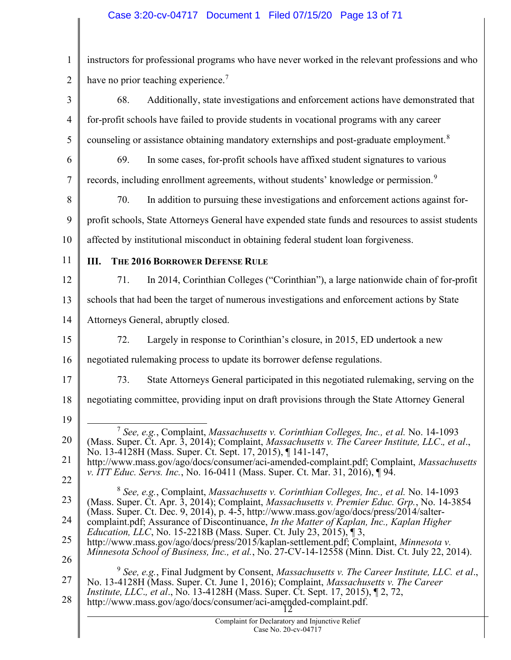# Case 3:20-cv-04717 Document 1 Filed 07/15/20 Page 13 of 71

| $\mathbf{1}$                                             | instructors for professional programs who have never worked in the relevant professions and who                                                                                                                                                                                                                                                                                                                                                                                                                                                                                                                                                                                                                                                                                                                                                                                                                                                                                                                                                                                                                                                                                                                                                                                                                                                                                                                                                                                       |
|----------------------------------------------------------|---------------------------------------------------------------------------------------------------------------------------------------------------------------------------------------------------------------------------------------------------------------------------------------------------------------------------------------------------------------------------------------------------------------------------------------------------------------------------------------------------------------------------------------------------------------------------------------------------------------------------------------------------------------------------------------------------------------------------------------------------------------------------------------------------------------------------------------------------------------------------------------------------------------------------------------------------------------------------------------------------------------------------------------------------------------------------------------------------------------------------------------------------------------------------------------------------------------------------------------------------------------------------------------------------------------------------------------------------------------------------------------------------------------------------------------------------------------------------------------|
| $\overline{2}$                                           | have no prior teaching experience. <sup>7</sup>                                                                                                                                                                                                                                                                                                                                                                                                                                                                                                                                                                                                                                                                                                                                                                                                                                                                                                                                                                                                                                                                                                                                                                                                                                                                                                                                                                                                                                       |
| 3                                                        | Additionally, state investigations and enforcement actions have demonstrated that<br>68.                                                                                                                                                                                                                                                                                                                                                                                                                                                                                                                                                                                                                                                                                                                                                                                                                                                                                                                                                                                                                                                                                                                                                                                                                                                                                                                                                                                              |
| $\overline{4}$                                           | for-profit schools have failed to provide students in vocational programs with any career                                                                                                                                                                                                                                                                                                                                                                                                                                                                                                                                                                                                                                                                                                                                                                                                                                                                                                                                                                                                                                                                                                                                                                                                                                                                                                                                                                                             |
| 5                                                        | counseling or assistance obtaining mandatory externships and post-graduate employment. <sup>8</sup>                                                                                                                                                                                                                                                                                                                                                                                                                                                                                                                                                                                                                                                                                                                                                                                                                                                                                                                                                                                                                                                                                                                                                                                                                                                                                                                                                                                   |
| 6                                                        | In some cases, for-profit schools have affixed student signatures to various<br>69.                                                                                                                                                                                                                                                                                                                                                                                                                                                                                                                                                                                                                                                                                                                                                                                                                                                                                                                                                                                                                                                                                                                                                                                                                                                                                                                                                                                                   |
| 7                                                        | records, including enrollment agreements, without students' knowledge or permission. <sup>9</sup>                                                                                                                                                                                                                                                                                                                                                                                                                                                                                                                                                                                                                                                                                                                                                                                                                                                                                                                                                                                                                                                                                                                                                                                                                                                                                                                                                                                     |
| 8                                                        | In addition to pursuing these investigations and enforcement actions against for-<br>70.                                                                                                                                                                                                                                                                                                                                                                                                                                                                                                                                                                                                                                                                                                                                                                                                                                                                                                                                                                                                                                                                                                                                                                                                                                                                                                                                                                                              |
| 9                                                        | profit schools, State Attorneys General have expended state funds and resources to assist students                                                                                                                                                                                                                                                                                                                                                                                                                                                                                                                                                                                                                                                                                                                                                                                                                                                                                                                                                                                                                                                                                                                                                                                                                                                                                                                                                                                    |
| 10                                                       | affected by institutional misconduct in obtaining federal student loan forgiveness.                                                                                                                                                                                                                                                                                                                                                                                                                                                                                                                                                                                                                                                                                                                                                                                                                                                                                                                                                                                                                                                                                                                                                                                                                                                                                                                                                                                                   |
| 11                                                       | THE 2016 BORROWER DEFENSE RULE<br>Ш.                                                                                                                                                                                                                                                                                                                                                                                                                                                                                                                                                                                                                                                                                                                                                                                                                                                                                                                                                                                                                                                                                                                                                                                                                                                                                                                                                                                                                                                  |
| 12                                                       | In 2014, Corinthian Colleges ("Corinthian"), a large nationwide chain of for-profit<br>71.                                                                                                                                                                                                                                                                                                                                                                                                                                                                                                                                                                                                                                                                                                                                                                                                                                                                                                                                                                                                                                                                                                                                                                                                                                                                                                                                                                                            |
| 13                                                       | schools that had been the target of numerous investigations and enforcement actions by State                                                                                                                                                                                                                                                                                                                                                                                                                                                                                                                                                                                                                                                                                                                                                                                                                                                                                                                                                                                                                                                                                                                                                                                                                                                                                                                                                                                          |
| 14                                                       | Attorneys General, abruptly closed.                                                                                                                                                                                                                                                                                                                                                                                                                                                                                                                                                                                                                                                                                                                                                                                                                                                                                                                                                                                                                                                                                                                                                                                                                                                                                                                                                                                                                                                   |
| 15                                                       | Largely in response to Corinthian's closure, in 2015, ED undertook a new<br>72.                                                                                                                                                                                                                                                                                                                                                                                                                                                                                                                                                                                                                                                                                                                                                                                                                                                                                                                                                                                                                                                                                                                                                                                                                                                                                                                                                                                                       |
| 16                                                       | negotiated rulemaking process to update its borrower defense regulations.                                                                                                                                                                                                                                                                                                                                                                                                                                                                                                                                                                                                                                                                                                                                                                                                                                                                                                                                                                                                                                                                                                                                                                                                                                                                                                                                                                                                             |
| 17                                                       | State Attorneys General participated in this negotiated rulemaking, serving on the<br>73.                                                                                                                                                                                                                                                                                                                                                                                                                                                                                                                                                                                                                                                                                                                                                                                                                                                                                                                                                                                                                                                                                                                                                                                                                                                                                                                                                                                             |
| 18                                                       | negotiating committee, providing input on draft provisions through the State Attorney General                                                                                                                                                                                                                                                                                                                                                                                                                                                                                                                                                                                                                                                                                                                                                                                                                                                                                                                                                                                                                                                                                                                                                                                                                                                                                                                                                                                         |
| 19<br>20<br>21<br>22<br>23<br>24<br>25<br>26<br>27<br>28 | <sup>7</sup> See, e.g., Complaint, <i>Massachusetts v. Corinthian Colleges, Inc., et al.</i> No. 14-1093<br>(Mass. Super. Ct. Apr. 3, 2014); Complaint, Massachusetts v. The Career Institute, LLC., et al.,<br>No. 13-4128H (Mass. Super. Ct. Sept. 17, 2015), 141-147,<br>http://www.mass.gov/ago/docs/consumer/aci-amended-complaint.pdf; Complaint, Massachusetts<br>v. ITT Educ. Servs. Inc., No. 16-0411 (Mass. Super. Ct. Mar. 31, 2016), 194.<br><sup>8</sup> See, e.g., Complaint, Massachusetts v. Corinthian Colleges, Inc., et al. No. 14-1093<br>(Mass. Super. Ct. Apr. 3, 2014); Complaint, Massachusetts v. Premier Educ. Grp., No. 14-3854<br>(Mass. Super. Ct. Dec. 9, 2014), p. 4-5, http://www.mass.gov/ago/docs/press/2014/salter-<br>complaint.pdf; Assurance of Discontinuance, In the Matter of Kaplan, Inc., Kaplan Higher<br><i>Education, LLC</i> , No. 15-2218B (Mass. Super. Ct. July 23, 2015), 13,<br>http://www.mass.gov/ago/docs/press/2015/kaplan-settlement.pdf; Complaint, Minnesota v.<br>Minnesota School of Business, Inc., et al., No. 27-CV-14-12558 (Minn. Dist. Ct. July 22, 2014).<br>$9$ See, e.g., Final Judgment by Consent, Massachusetts v. The Career Institute, LLC. et al.,<br>No. 13-4128H (Mass. Super. Ct. June 1, 2016); Complaint, Massachusetts v. The Career<br><i>Institute, LLC., et al., No.</i> 13-4128H (Mass. Super. Ct. Sept. 17, 2015), [2, 72,<br>http://www.mass.gov/ago/docs/consumer/aci-amended-complaint.pdf. |
|                                                          | Complaint for Declaratory and Injunctive Relief<br>Case No. 20-cv-04717                                                                                                                                                                                                                                                                                                                                                                                                                                                                                                                                                                                                                                                                                                                                                                                                                                                                                                                                                                                                                                                                                                                                                                                                                                                                                                                                                                                                               |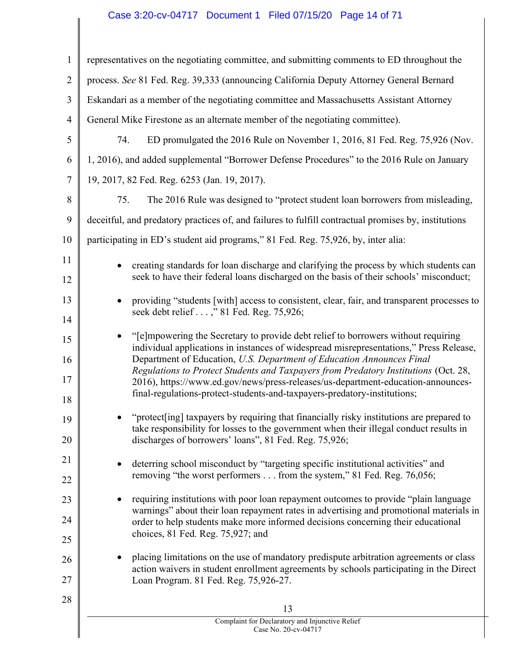# Case 3:20-cv-04717 Document 1 Filed 07/15/20 Page 14 of 71

| $\mathbf{1}$   | representatives on the negotiating committee, and submitting comments to ED throughout the                                                                                                |
|----------------|-------------------------------------------------------------------------------------------------------------------------------------------------------------------------------------------|
| $\overline{2}$ | process. See 81 Fed. Reg. 39,333 (announcing California Deputy Attorney General Bernard                                                                                                   |
| 3              | Eskandari as a member of the negotiating committee and Massachusetts Assistant Attorney                                                                                                   |
| $\overline{4}$ | General Mike Firestone as an alternate member of the negotiating committee).                                                                                                              |
| 5              | 74.<br>ED promulgated the 2016 Rule on November 1, 2016, 81 Fed. Reg. 75,926 (Nov.                                                                                                        |
| 6              | 1, 2016), and added supplemental "Borrower Defense Procedures" to the 2016 Rule on January                                                                                                |
| $\tau$         | 19, 2017, 82 Fed. Reg. 6253 (Jan. 19, 2017).                                                                                                                                              |
| 8              | 75.<br>The 2016 Rule was designed to "protect student loan borrowers from misleading,                                                                                                     |
| 9              | deceitful, and predatory practices of, and failures to fulfill contractual promises by, institutions                                                                                      |
| 10             | participating in ED's student aid programs," 81 Fed. Reg. 75,926, by, inter alia:                                                                                                         |
| 11             | creating standards for loan discharge and clarifying the process by which students can<br>$\bullet$                                                                                       |
| 12             | seek to have their federal loans discharged on the basis of their schools' misconduct;                                                                                                    |
| 13             | providing "students [with] access to consistent, clear, fair, and transparent processes to<br>$\bullet$                                                                                   |
| 14             | seek debt relief ," 81 Fed. Reg. 75,926;                                                                                                                                                  |
| 15             | "[e] mpowering the Secretary to provide debt relief to borrowers without requiring<br>$\bullet$<br>individual applications in instances of widespread misrepresentations," Press Release, |
| 16             | Department of Education, U.S. Department of Education Announces Final                                                                                                                     |
| 17             | Regulations to Protect Students and Taxpayers from Predatory Institutions (Oct. 28,<br>2016), https://www.ed.gov/news/press-releases/us-department-education-announces-                   |
| 18             | final-regulations-protect-students-and-taxpayers-predatory-institutions;                                                                                                                  |
| 19             | "protect[ing] taxpayers by requiring that financially risky institutions are prepared to<br>take responsibility for losses to the government when their illegal conduct results in        |
| 20             | discharges of borrowers' loans", 81 Fed. Reg. 75,926;                                                                                                                                     |
| 21             | deterring school misconduct by "targeting specific institutional activities" and<br>٠                                                                                                     |
| 22             | removing "the worst performers from the system," 81 Fed. Reg. 76,056;                                                                                                                     |
| 23             | requiring institutions with poor loan repayment outcomes to provide "plain language"<br>٠                                                                                                 |
| 24             | warnings" about their loan repayment rates in advertising and promotional materials in<br>order to help students make more informed decisions concerning their educational                |
| 25             | choices, 81 Fed. Reg. 75,927; and                                                                                                                                                         |
| 26             | placing limitations on the use of mandatory predispute arbitration agreements or class<br>action waivers in student enrollment agreements by schools participating in the Direct          |
| 27             | Loan Program. 81 Fed. Reg. 75,926-27.                                                                                                                                                     |
| 28             | 13                                                                                                                                                                                        |
|                | Complaint for Declaratory and Injunctive Relief                                                                                                                                           |
|                | Case No. 20-cv-04717                                                                                                                                                                      |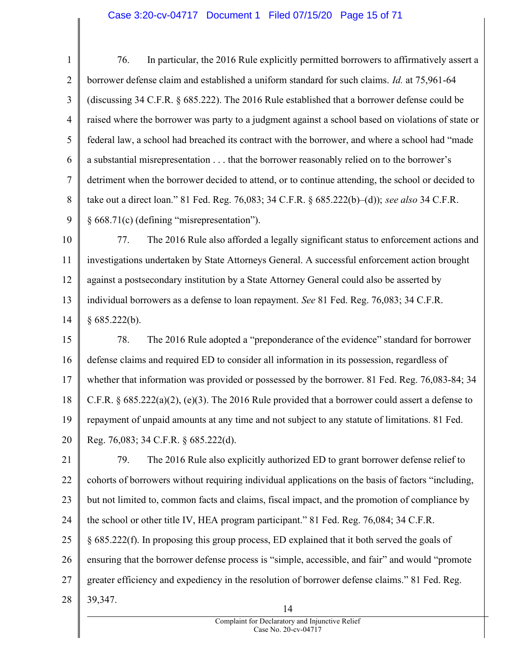# Case 3:20-cv-04717 Document 1 Filed 07/15/20 Page 15 of 71

1 2 3 4 5 6 7 8 9 76. In particular, the 2016 Rule explicitly permitted borrowers to affirmatively assert a borrower defense claim and established a uniform standard for such claims. Id. at 75,961-64 (discussing 34 C.F.R. § 685.222). The 2016 Rule established that a borrower defense could be raised where the borrower was party to a judgment against a school based on violations of state or federal law, a school had breached its contract with the borrower, and where a school had "made a substantial misrepresentation . . . that the borrower reasonably relied on to the borrower's detriment when the borrower decided to attend, or to continue attending, the school or decided to take out a direct loan." 81 Fed. Reg. 76,083; 34 C.F.R.  $\S 685.222(b)$ –(d)); see also 34 C.F.R. § 668.71(c) (defining "misrepresentation").

10 11 12 13 14 77. The 2016 Rule also afforded a legally significant status to enforcement actions and investigations undertaken by State Attorneys General. A successful enforcement action brought against a postsecondary institution by a State Attorney General could also be asserted by individual borrowers as a defense to loan repayment. See 81 Fed. Reg. 76,083; 34 C.F.R.  $§ 685.222(b).$ 

15 16 17 18 19 20 78. The 2016 Rule adopted a "preponderance of the evidence" standard for borrower defense claims and required ED to consider all information in its possession, regardless of whether that information was provided or possessed by the borrower. 81 Fed. Reg. 76,083-84; 34 C.F.R.  $\& 685.222(a)(2)$ , (e)(3). The 2016 Rule provided that a borrower could assert a defense to repayment of unpaid amounts at any time and not subject to any statute of limitations. 81 Fed. Reg. 76,083; 34 C.F.R. § 685.222(d).

21 22 23 24 25 26 27 28 14 79. The 2016 Rule also explicitly authorized ED to grant borrower defense relief to cohorts of borrowers without requiring individual applications on the basis of factors "including, but not limited to, common facts and claims, fiscal impact, and the promotion of compliance by the school or other title IV, HEA program participant." 81 Fed. Reg. 76,084; 34 C.F.R. § 685.222(f). In proposing this group process, ED explained that it both served the goals of ensuring that the borrower defense process is "simple, accessible, and fair" and would "promote greater efficiency and expediency in the resolution of borrower defense claims." 81 Fed. Reg. 39,347.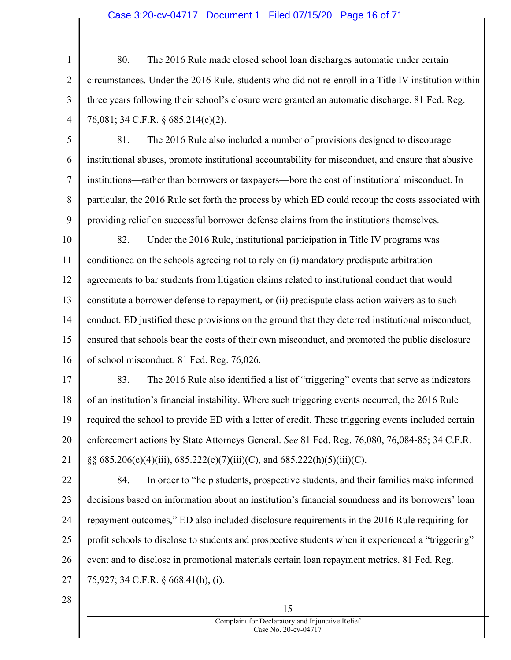## Case 3:20-cv-04717 Document 1 Filed 07/15/20 Page 16 of 71

1 2 3 4 80. The 2016 Rule made closed school loan discharges automatic under certain circumstances. Under the 2016 Rule, students who did not re-enroll in a Title IV institution within three years following their school's closure were granted an automatic discharge. 81 Fed. Reg. 76,081; 34 C.F.R. § 685.214(c)(2).

5 6 7 8 9 81. The 2016 Rule also included a number of provisions designed to discourage institutional abuses, promote institutional accountability for misconduct, and ensure that abusive institutions—rather than borrowers or taxpayers—bore the cost of institutional misconduct. In particular, the 2016 Rule set forth the process by which ED could recoup the costs associated with providing relief on successful borrower defense claims from the institutions themselves.

10 11 12 13 14 15 16 82. Under the 2016 Rule, institutional participation in Title IV programs was conditioned on the schools agreeing not to rely on (i) mandatory predispute arbitration agreements to bar students from litigation claims related to institutional conduct that would constitute a borrower defense to repayment, or (ii) predispute class action waivers as to such conduct. ED justified these provisions on the ground that they deterred institutional misconduct, ensured that schools bear the costs of their own misconduct, and promoted the public disclosure of school misconduct. 81 Fed. Reg. 76,026.

17 18 19 20 21 83. The 2016 Rule also identified a list of "triggering" events that serve as indicators of an institution's financial instability. Where such triggering events occurred, the 2016 Rule required the school to provide ED with a letter of credit. These triggering events included certain enforcement actions by State Attorneys General. See 81 Fed. Reg. 76,080, 76,084-85; 34 C.F.R. §§  $685.206(c)(4)(iii)$ ,  $685.222(e)(7)(iii)(C)$ , and  $685.222(h)(5)(iii)(C)$ .

22 23 24 25 26 27 84. In order to "help students, prospective students, and their families make informed decisions based on information about an institution's financial soundness and its borrowers' loan repayment outcomes," ED also included disclosure requirements in the 2016 Rule requiring forprofit schools to disclose to students and prospective students when it experienced a "triggering" event and to disclose in promotional materials certain loan repayment metrics. 81 Fed. Reg. 75,927; 34 C.F.R. § 668.41(h), (i).

28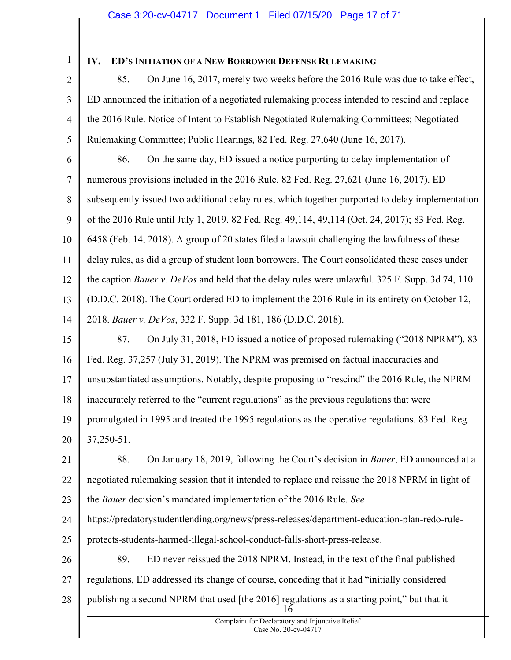1

# IV. ED'S INITIATION OF A NEW BORROWER DEFENSE RULEMAKING

2 3 4 5 85. On June 16, 2017, merely two weeks before the 2016 Rule was due to take effect, ED announced the initiation of a negotiated rulemaking process intended to rescind and replace the 2016 Rule. Notice of Intent to Establish Negotiated Rulemaking Committees; Negotiated Rulemaking Committee; Public Hearings, 82 Fed. Reg. 27,640 (June 16, 2017).

6 7 8 9 10 11 12 13 14 15 86. On the same day, ED issued a notice purporting to delay implementation of numerous provisions included in the 2016 Rule. 82 Fed. Reg. 27,621 (June 16, 2017). ED subsequently issued two additional delay rules, which together purported to delay implementation of the 2016 Rule until July 1, 2019. 82 Fed. Reg. 49,114, 49,114 (Oct. 24, 2017); 83 Fed. Reg. 6458 (Feb. 14, 2018). A group of 20 states filed a lawsuit challenging the lawfulness of these delay rules, as did a group of student loan borrowers. The Court consolidated these cases under the caption *Bauer v. DeVos* and held that the delay rules were unlawful. 325 F. Supp. 3d 74, 110 (D.D.C. 2018). The Court ordered ED to implement the 2016 Rule in its entirety on October 12, 2018. Bauer v. DeVos, 332 F. Supp. 3d 181, 186 (D.D.C. 2018). 87. On July 31, 2018, ED issued a notice of proposed rulemaking ("2018 NPRM"). 83

16 17 18 19 20 Fed. Reg. 37,257 (July 31, 2019). The NPRM was premised on factual inaccuracies and unsubstantiated assumptions. Notably, despite proposing to "rescind" the 2016 Rule, the NPRM inaccurately referred to the "current regulations" as the previous regulations that were promulgated in 1995 and treated the 1995 regulations as the operative regulations. 83 Fed. Reg. 37,250-51.

21 22 23 88. On January 18, 2019, following the Court's decision in Bauer, ED announced at a negotiated rulemaking session that it intended to replace and reissue the 2018 NPRM in light of the Bauer decision's mandated implementation of the 2016 Rule. See

24 25 https://predatorystudentlending.org/news/press-releases/department-education-plan-redo-ruleprotects-students-harmed-illegal-school-conduct-falls-short-press-release.

26 27 28 16 89. ED never reissued the 2018 NPRM. Instead, in the text of the final published regulations, ED addressed its change of course, conceding that it had "initially considered publishing a second NPRM that used [the 2016] regulations as a starting point," but that it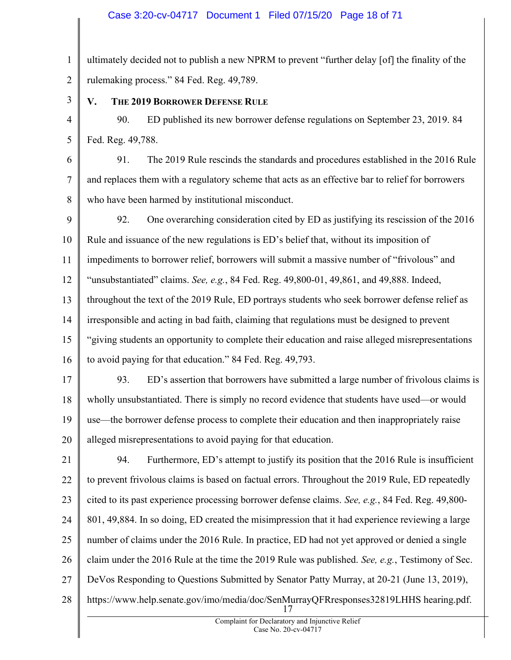# Case 3:20-cv-04717 Document 1 Filed 07/15/20 Page 18 of 71

1 2 ultimately decided not to publish a new NPRM to prevent "further delay [of] the finality of the rulemaking process." 84 Fed. Reg. 49,789.

3

# V. THE 2019 BORROWER DEFENSE RULE

4 5 90. ED published its new borrower defense regulations on September 23, 2019. 84 Fed. Reg. 49,788.

6 7 8 91. The 2019 Rule rescinds the standards and procedures established in the 2016 Rule and replaces them with a regulatory scheme that acts as an effective bar to relief for borrowers who have been harmed by institutional misconduct.

9 10 11 12 13 14 15 16 92. One overarching consideration cited by ED as justifying its rescission of the 2016 Rule and issuance of the new regulations is ED's belief that, without its imposition of impediments to borrower relief, borrowers will submit a massive number of "frivolous" and "unsubstantiated" claims. See, e.g., 84 Fed. Reg.  $49,800-01$ ,  $49,861$ , and  $49,888$ . Indeed, throughout the text of the 2019 Rule, ED portrays students who seek borrower defense relief as irresponsible and acting in bad faith, claiming that regulations must be designed to prevent "giving students an opportunity to complete their education and raise alleged misrepresentations to avoid paying for that education." 84 Fed. Reg. 49,793.

17 18 19 20 93. ED's assertion that borrowers have submitted a large number of frivolous claims is wholly unsubstantiated. There is simply no record evidence that students have used—or would use—the borrower defense process to complete their education and then inappropriately raise alleged misrepresentations to avoid paying for that education.

21 22 23 24 25 26 27 28 17 94. Furthermore, ED's attempt to justify its position that the 2016 Rule is insufficient to prevent frivolous claims is based on factual errors. Throughout the 2019 Rule, ED repeatedly cited to its past experience processing borrower defense claims. See, e.g., 84 Fed. Reg. 49,800- 801, 49,884. In so doing, ED created the misimpression that it had experience reviewing a large number of claims under the 2016 Rule. In practice, ED had not yet approved or denied a single claim under the 2016 Rule at the time the 2019 Rule was published. See, e.g., Testimony of Sec. DeVos Responding to Questions Submitted by Senator Patty Murray, at 20-21 (June 13, 2019), https://www.help.senate.gov/imo/media/doc/SenMurrayQFRresponses32819LHHS hearing.pdf.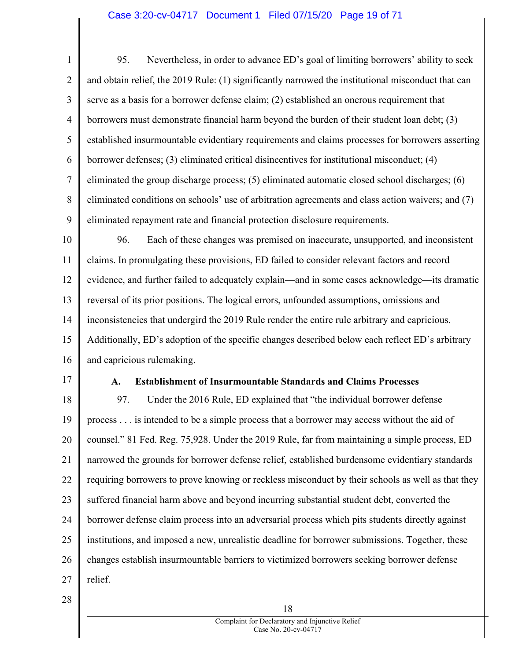## Case 3:20-cv-04717 Document 1 Filed 07/15/20 Page 19 of 71

1 2 3 4 5 6 7 8 9 10 11 12 13 14 95. Nevertheless, in order to advance ED's goal of limiting borrowers' ability to seek and obtain relief, the 2019 Rule: (1) significantly narrowed the institutional misconduct that can serve as a basis for a borrower defense claim; (2) established an onerous requirement that borrowers must demonstrate financial harm beyond the burden of their student loan debt; (3) established insurmountable evidentiary requirements and claims processes for borrowers asserting borrower defenses; (3) eliminated critical disincentives for institutional misconduct; (4) eliminated the group discharge process; (5) eliminated automatic closed school discharges; (6) eliminated conditions on schools' use of arbitration agreements and class action waivers; and (7) eliminated repayment rate and financial protection disclosure requirements. 96. Each of these changes was premised on inaccurate, unsupported, and inconsistent claims. In promulgating these provisions, ED failed to consider relevant factors and record evidence, and further failed to adequately explain—and in some cases acknowledge—its dramatic reversal of its prior positions. The logical errors, unfounded assumptions, omissions and inconsistencies that undergird the 2019 Rule render the entire rule arbitrary and capricious.

15 16 Additionally, ED's adoption of the specific changes described below each reflect ED's arbitrary and capricious rulemaking.

17

### A. Establishment of Insurmountable Standards and Claims Processes

18 19 20 21 22 23 24 25 26 27 97. Under the 2016 Rule, ED explained that "the individual borrower defense process . . . is intended to be a simple process that a borrower may access without the aid of counsel." 81 Fed. Reg. 75,928. Under the 2019 Rule, far from maintaining a simple process, ED narrowed the grounds for borrower defense relief, established burdensome evidentiary standards requiring borrowers to prove knowing or reckless misconduct by their schools as well as that they suffered financial harm above and beyond incurring substantial student debt, converted the borrower defense claim process into an adversarial process which pits students directly against institutions, and imposed a new, unrealistic deadline for borrower submissions. Together, these changes establish insurmountable barriers to victimized borrowers seeking borrower defense relief.

28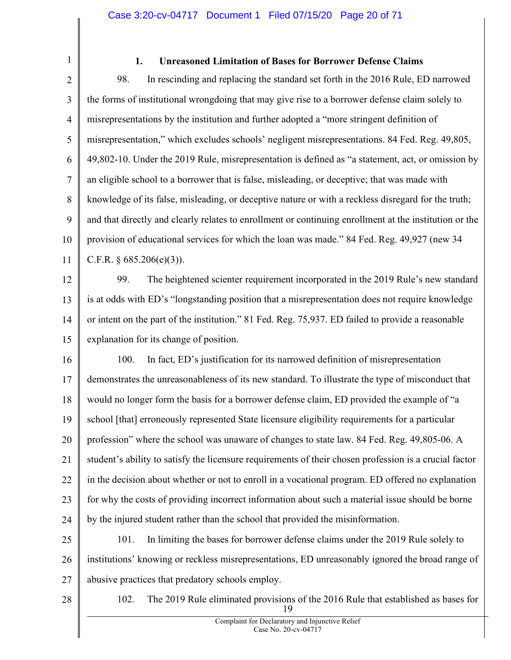- 1 2 3 4 5 6 7 8 9 10 11 12 13 14 15 16 17 18 19 20 21 22 23 24 25 26 27 1. Unreasoned Limitation of Bases for Borrower Defense Claims 98. In rescinding and replacing the standard set forth in the 2016 Rule, ED narrowed the forms of institutional wrongdoing that may give rise to a borrower defense claim solely to misrepresentations by the institution and further adopted a "more stringent definition of misrepresentation," which excludes schools' negligent misrepresentations. 84 Fed. Reg. 49,805, 49,802-10. Under the 2019 Rule, misrepresentation is defined as "a statement, act, or omission by an eligible school to a borrower that is false, misleading, or deceptive; that was made with knowledge of its false, misleading, or deceptive nature or with a reckless disregard for the truth; and that directly and clearly relates to enrollment or continuing enrollment at the institution or the provision of educational services for which the loan was made." 84 Fed. Reg. 49,927 (new 34 C.F.R.  $\S 685.206(e)(3)$ ). 99. The heightened scienter requirement incorporated in the 2019 Rule's new standard is at odds with ED's "longstanding position that a misrepresentation does not require knowledge or intent on the part of the institution." 81 Fed. Reg. 75,937. ED failed to provide a reasonable explanation for its change of position. 100. In fact, ED's justification for its narrowed definition of misrepresentation demonstrates the unreasonableness of its new standard. To illustrate the type of misconduct that would no longer form the basis for a borrower defense claim, ED provided the example of "a school [that] erroneously represented State licensure eligibility requirements for a particular profession" where the school was unaware of changes to state law. 84 Fed. Reg. 49,805-06. A student's ability to satisfy the licensure requirements of their chosen profession is a crucial factor in the decision about whether or not to enroll in a vocational program. ED offered no explanation for why the costs of providing incorrect information about such a material issue should be borne by the injured student rather than the school that provided the misinformation. 101. In limiting the bases for borrower defense claims under the 2019 Rule solely to institutions' knowing or reckless misrepresentations, ED unreasonably ignored the broad range of abusive practices that predatory schools employ.
- 28

19 102. The 2019 Rule eliminated provisions of the 2016 Rule that established as bases for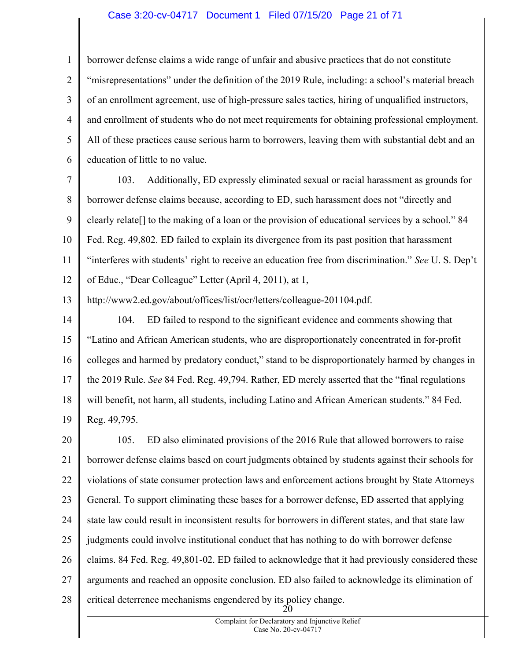# Case 3:20-cv-04717 Document 1 Filed 07/15/20 Page 21 of 71

1 2 3 4 5 6 borrower defense claims a wide range of unfair and abusive practices that do not constitute "misrepresentations" under the definition of the 2019 Rule, including: a school's material breach of an enrollment agreement, use of high-pressure sales tactics, hiring of unqualified instructors, and enrollment of students who do not meet requirements for obtaining professional employment. All of these practices cause serious harm to borrowers, leaving them with substantial debt and an education of little to no value.

7 8 9 10 11 12 103. Additionally, ED expressly eliminated sexual or racial harassment as grounds for borrower defense claims because, according to ED, such harassment does not "directly and clearly relate[] to the making of a loan or the provision of educational services by a school." 84 Fed. Reg. 49,802. ED failed to explain its divergence from its past position that harassment "interferes with students' right to receive an education free from discrimination." See U. S. Dep't of Educ., "Dear Colleague" Letter (April 4, 2011), at 1,

13 http://www2.ed.gov/about/offices/list/ocr/letters/colleague-201104.pdf.

14 15 16 17 18 19 104. ED failed to respond to the significant evidence and comments showing that "Latino and African American students, who are disproportionately concentrated in for-profit colleges and harmed by predatory conduct," stand to be disproportionately harmed by changes in the 2019 Rule. See 84 Fed. Reg. 49,794. Rather, ED merely asserted that the "final regulations will benefit, not harm, all students, including Latino and African American students." 84 Fed. Reg. 49,795.

20 21 22 23 24 25 26 27 28 20 105. ED also eliminated provisions of the 2016 Rule that allowed borrowers to raise borrower defense claims based on court judgments obtained by students against their schools for violations of state consumer protection laws and enforcement actions brought by State Attorneys General. To support eliminating these bases for a borrower defense, ED asserted that applying state law could result in inconsistent results for borrowers in different states, and that state law judgments could involve institutional conduct that has nothing to do with borrower defense claims. 84 Fed. Reg. 49,801-02. ED failed to acknowledge that it had previously considered these arguments and reached an opposite conclusion. ED also failed to acknowledge its elimination of critical deterrence mechanisms engendered by its policy change.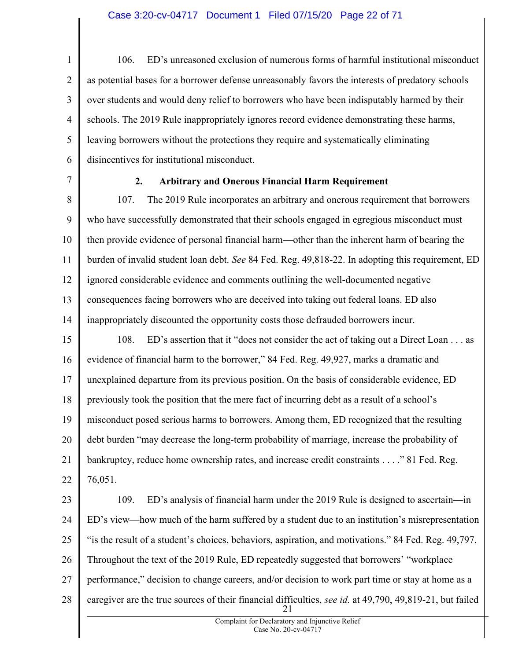1 2 3 4 5 6 106. ED's unreasoned exclusion of numerous forms of harmful institutional misconduct as potential bases for a borrower defense unreasonably favors the interests of predatory schools over students and would deny relief to borrowers who have been indisputably harmed by their schools. The 2019 Rule inappropriately ignores record evidence demonstrating these harms, leaving borrowers without the protections they require and systematically eliminating disincentives for institutional misconduct.

7

# 2. Arbitrary and Onerous Financial Harm Requirement

8 9 10 11 12 13 14 107. The 2019 Rule incorporates an arbitrary and onerous requirement that borrowers who have successfully demonstrated that their schools engaged in egregious misconduct must then provide evidence of personal financial harm—other than the inherent harm of bearing the burden of invalid student loan debt. See 84 Fed. Reg. 49,818-22. In adopting this requirement, ED ignored considerable evidence and comments outlining the well-documented negative consequences facing borrowers who are deceived into taking out federal loans. ED also inappropriately discounted the opportunity costs those defrauded borrowers incur.

15 16 17 18 19 20 21 22 108. ED's assertion that it "does not consider the act of taking out a Direct Loan . . . as evidence of financial harm to the borrower," 84 Fed. Reg. 49,927, marks a dramatic and unexplained departure from its previous position. On the basis of considerable evidence, ED previously took the position that the mere fact of incurring debt as a result of a school's misconduct posed serious harms to borrowers. Among them, ED recognized that the resulting debt burden "may decrease the long-term probability of marriage, increase the probability of bankruptcy, reduce home ownership rates, and increase credit constraints . . . ." 81 Fed. Reg. 76,051.

23 24 25 26 27 28 21 109. ED's analysis of financial harm under the 2019 Rule is designed to ascertain—in ED's view—how much of the harm suffered by a student due to an institution's misrepresentation "is the result of a student's choices, behaviors, aspiration, and motivations." 84 Fed. Reg. 49,797. Throughout the text of the 2019 Rule, ED repeatedly suggested that borrowers' "workplace performance," decision to change careers, and/or decision to work part time or stay at home as a caregiver are the true sources of their financial difficulties, see id. at 49,790, 49,819-21, but failed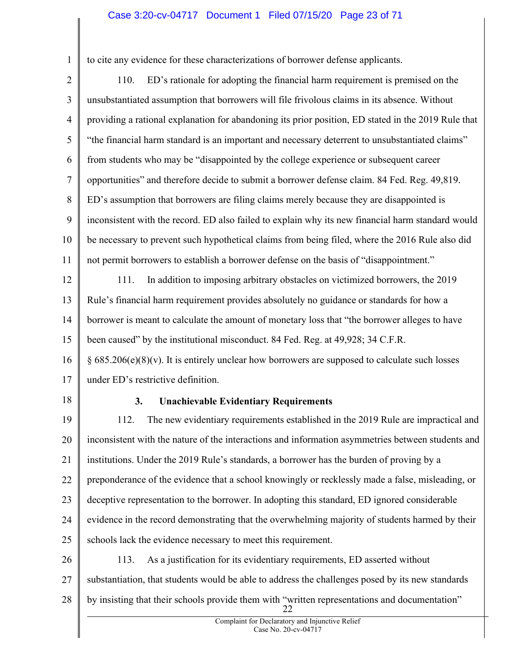# Case 3:20-cv-04717 Document 1 Filed 07/15/20 Page 23 of 71

to cite any evidence for these characterizations of borrower defense applicants.

2 3 4 5 6 7 8 9 10 11 110. ED's rationale for adopting the financial harm requirement is premised on the unsubstantiated assumption that borrowers will file frivolous claims in its absence. Without providing a rational explanation for abandoning its prior position, ED stated in the 2019 Rule that "the financial harm standard is an important and necessary deterrent to unsubstantiated claims" from students who may be "disappointed by the college experience or subsequent career opportunities" and therefore decide to submit a borrower defense claim. 84 Fed. Reg. 49,819. ED's assumption that borrowers are filing claims merely because they are disappointed is inconsistent with the record. ED also failed to explain why its new financial harm standard would be necessary to prevent such hypothetical claims from being filed, where the 2016 Rule also did not permit borrowers to establish a borrower defense on the basis of "disappointment."

12 13 14 15 111. In addition to imposing arbitrary obstacles on victimized borrowers, the 2019 Rule's financial harm requirement provides absolutely no guidance or standards for how a borrower is meant to calculate the amount of monetary loss that "the borrower alleges to have been caused" by the institutional misconduct. 84 Fed. Reg. at 49,928; 34 C.F.R.

16 17  $§ 685.206(e)(8)(v)$ . It is entirely unclear how borrowers are supposed to calculate such losses under ED's restrictive definition.

18

1

# 3. Unachievable Evidentiary Requirements

19 20 21 22 23 24 25 112. The new evidentiary requirements established in the 2019 Rule are impractical and inconsistent with the nature of the interactions and information asymmetries between students and institutions. Under the 2019 Rule's standards, a borrower has the burden of proving by a preponderance of the evidence that a school knowingly or recklessly made a false, misleading, or deceptive representation to the borrower. In adopting this standard, ED ignored considerable evidence in the record demonstrating that the overwhelming majority of students harmed by their schools lack the evidence necessary to meet this requirement.

26 27 28 22 113. As a justification for its evidentiary requirements, ED asserted without substantiation, that students would be able to address the challenges posed by its new standards by insisting that their schools provide them with "written representations and documentation"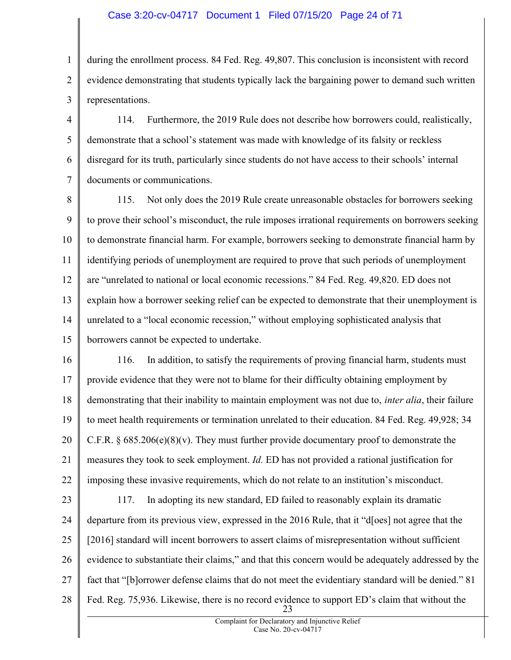#### Case 3:20-cv-04717 Document 1 Filed 07/15/20 Page 24 of 71

1 2 3 during the enrollment process. 84 Fed. Reg. 49,807. This conclusion is inconsistent with record evidence demonstrating that students typically lack the bargaining power to demand such written representations.

4 5 6 7 114. Furthermore, the 2019 Rule does not describe how borrowers could, realistically, demonstrate that a school's statement was made with knowledge of its falsity or reckless disregard for its truth, particularly since students do not have access to their schools' internal documents or communications.

8 9 10 11 12 13 14 15 115. Not only does the 2019 Rule create unreasonable obstacles for borrowers seeking to prove their school's misconduct, the rule imposes irrational requirements on borrowers seeking to demonstrate financial harm. For example, borrowers seeking to demonstrate financial harm by identifying periods of unemployment are required to prove that such periods of unemployment are "unrelated to national or local economic recessions." 84 Fed. Reg. 49,820. ED does not explain how a borrower seeking relief can be expected to demonstrate that their unemployment is unrelated to a "local economic recession," without employing sophisticated analysis that borrowers cannot be expected to undertake.

16 17 18 19 20 21 22 116. In addition, to satisfy the requirements of proving financial harm, students must provide evidence that they were not to blame for their difficulty obtaining employment by demonstrating that their inability to maintain employment was not due to, *inter alia*, their failure to meet health requirements or termination unrelated to their education. 84 Fed. Reg. 49,928; 34 C.F.R.  $\S 685.206(e)(8)(v)$ . They must further provide documentary proof to demonstrate the measures they took to seek employment. Id. ED has not provided a rational justification for imposing these invasive requirements, which do not relate to an institution's misconduct.

23 24 25 26 27 28 23 117. In adopting its new standard, ED failed to reasonably explain its dramatic departure from its previous view, expressed in the 2016 Rule, that it "d[oes] not agree that the [2016] standard will incent borrowers to assert claims of misrepresentation without sufficient evidence to substantiate their claims," and that this concern would be adequately addressed by the fact that "[b]orrower defense claims that do not meet the evidentiary standard will be denied." 81 Fed. Reg. 75,936. Likewise, there is no record evidence to support ED's claim that without the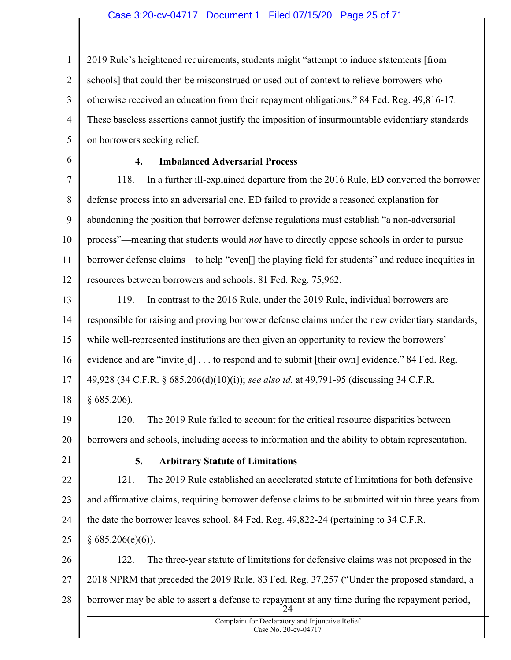# Case 3:20-cv-04717 Document 1 Filed 07/15/20 Page 25 of 71

1 2 3 4 5 2019 Rule's heightened requirements, students might "attempt to induce statements [from schools] that could then be misconstrued or used out of context to relieve borrowers who otherwise received an education from their repayment obligations." 84 Fed. Reg. 49,816-17. These baseless assertions cannot justify the imposition of insurmountable evidentiary standards on borrowers seeking relief.

6

# 4. Imbalanced Adversarial Process

7 8 9 10 11 12 118. In a further ill-explained departure from the 2016 Rule, ED converted the borrower defense process into an adversarial one. ED failed to provide a reasoned explanation for abandoning the position that borrower defense regulations must establish "a non-adversarial process"—meaning that students would not have to directly oppose schools in order to pursue borrower defense claims—to help "even[] the playing field for students" and reduce inequities in resources between borrowers and schools. 81 Fed. Reg. 75,962.

13 14 15 16 17 18 119. In contrast to the 2016 Rule, under the 2019 Rule, individual borrowers are responsible for raising and proving borrower defense claims under the new evidentiary standards, while well-represented institutions are then given an opportunity to review the borrowers' evidence and are "invite<sup>[d]</sup> . . . to respond and to submit [their own] evidence." 84 Fed. Reg. 49,928 (34 C.F.R. § 685.206(d)(10)(i)); see also id. at 49,791-95 (discussing 34 C.F.R. § 685.206).

19 120. The 2019 Rule failed to account for the critical resource disparities between

20 borrowers and schools, including access to information and the ability to obtain representation.

21

# 5. Arbitrary Statute of Limitations

22 23 24 25 121. The 2019 Rule established an accelerated statute of limitations for both defensive and affirmative claims, requiring borrower defense claims to be submitted within three years from the date the borrower leaves school. 84 Fed. Reg. 49,822-24 (pertaining to 34 C.F.R.  $§ 685.206(e)(6)$ .

26 27 28 24 122. The three-year statute of limitations for defensive claims was not proposed in the 2018 NPRM that preceded the 2019 Rule. 83 Fed. Reg. 37,257 ("Under the proposed standard, a borrower may be able to assert a defense to repayment at any time during the repayment period,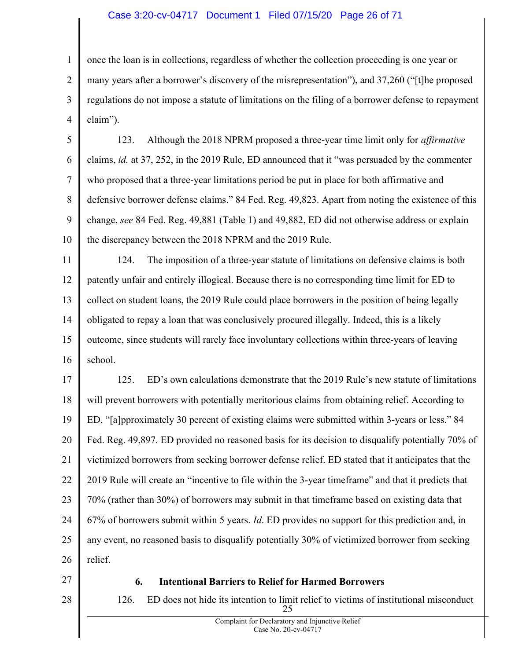# Case 3:20-cv-04717 Document 1 Filed 07/15/20 Page 26 of 71

1 2 3 4 once the loan is in collections, regardless of whether the collection proceeding is one year or many years after a borrower's discovery of the misrepresentation"), and 37,260 ("[t]he proposed regulations do not impose a statute of limitations on the filing of a borrower defense to repayment claim").

5 6 7 8 9 10 123. Although the 2018 NPRM proposed a three-year time limit only for *affirmative* claims, id. at 37, 252, in the 2019 Rule, ED announced that it "was persuaded by the commenter who proposed that a three-year limitations period be put in place for both affirmative and defensive borrower defense claims." 84 Fed. Reg. 49,823. Apart from noting the existence of this change, see 84 Fed. Reg. 49,881 (Table 1) and 49,882, ED did not otherwise address or explain the discrepancy between the 2018 NPRM and the 2019 Rule.

11 12 13 14 15 16 124. The imposition of a three-year statute of limitations on defensive claims is both patently unfair and entirely illogical. Because there is no corresponding time limit for ED to collect on student loans, the 2019 Rule could place borrowers in the position of being legally obligated to repay a loan that was conclusively procured illegally. Indeed, this is a likely outcome, since students will rarely face involuntary collections within three-years of leaving school.

17 18 19 20 21 22 23 24 25 26 125. ED's own calculations demonstrate that the 2019 Rule's new statute of limitations will prevent borrowers with potentially meritorious claims from obtaining relief. According to ED, "[a]pproximately 30 percent of existing claims were submitted within 3-years or less." 84 Fed. Reg. 49,897. ED provided no reasoned basis for its decision to disqualify potentially 70% of victimized borrowers from seeking borrower defense relief. ED stated that it anticipates that the 2019 Rule will create an "incentive to file within the 3-year timeframe" and that it predicts that 70% (rather than 30%) of borrowers may submit in that timeframe based on existing data that 67% of borrowers submit within 5 years. Id. ED provides no support for this prediction and, in any event, no reasoned basis to disqualify potentially 30% of victimized borrower from seeking relief.

27

28

# 6. Intentional Barriers to Relief for Harmed Borrowers

25 126. ED does not hide its intention to limit relief to victims of institutional misconduct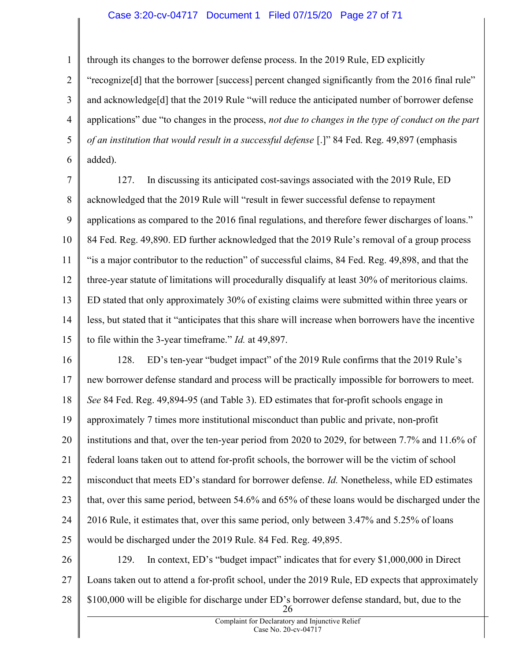# Case 3:20-cv-04717 Document 1 Filed 07/15/20 Page 27 of 71

through its changes to the borrower defense process. In the 2019 Rule, ED explicitly

1

2 3 4 5 6 "recognize[d] that the borrower [success] percent changed significantly from the 2016 final rule" and acknowledge[d] that the 2019 Rule "will reduce the anticipated number of borrower defense applications" due "to changes in the process, not due to changes in the type of conduct on the part of an institution that would result in a successful defense [.]" 84 Fed. Reg. 49,897 (emphasis added).

7 8 9 10 11 12 13 14 15 127. In discussing its anticipated cost-savings associated with the 2019 Rule, ED acknowledged that the 2019 Rule will "result in fewer successful defense to repayment applications as compared to the 2016 final regulations, and therefore fewer discharges of loans." 84 Fed. Reg. 49,890. ED further acknowledged that the 2019 Rule's removal of a group process "is a major contributor to the reduction" of successful claims, 84 Fed. Reg. 49,898, and that the three-year statute of limitations will procedurally disqualify at least 30% of meritorious claims. ED stated that only approximately 30% of existing claims were submitted within three years or less, but stated that it "anticipates that this share will increase when borrowers have the incentive to file within the 3-year timeframe." Id. at 49,897.

16 17 18 19 20 21 22 23 24 25 128. ED's ten-year "budget impact" of the 2019 Rule confirms that the 2019 Rule's new borrower defense standard and process will be practically impossible for borrowers to meet. See 84 Fed. Reg. 49,894-95 (and Table 3). ED estimates that for-profit schools engage in approximately 7 times more institutional misconduct than public and private, non-profit institutions and that, over the ten-year period from 2020 to 2029, for between 7.7% and 11.6% of federal loans taken out to attend for-profit schools, the borrower will be the victim of school misconduct that meets ED's standard for borrower defense. *Id*. Nonetheless, while ED estimates that, over this same period, between 54.6% and 65% of these loans would be discharged under the 2016 Rule, it estimates that, over this same period, only between 3.47% and 5.25% of loans would be discharged under the 2019 Rule. 84 Fed. Reg. 49,895.

26 27 28 26 129. In context, ED's "budget impact" indicates that for every \$1,000,000 in Direct Loans taken out to attend a for-profit school, under the 2019 Rule, ED expects that approximately \$100,000 will be eligible for discharge under ED's borrower defense standard, but, due to the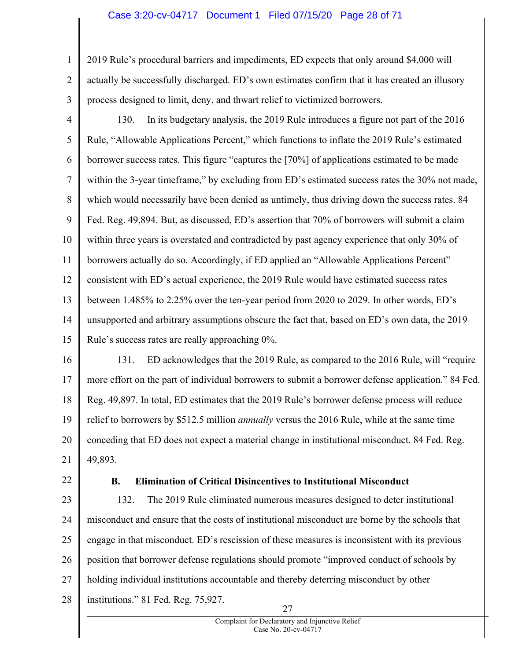#### Case 3:20-cv-04717 Document 1 Filed 07/15/20 Page 28 of 71

1 2 3 2019 Rule's procedural barriers and impediments, ED expects that only around \$4,000 will actually be successfully discharged. ED's own estimates confirm that it has created an illusory process designed to limit, deny, and thwart relief to victimized borrowers.

- 4 5 6 7 8 9 10 11 12 13 14 15 130. In its budgetary analysis, the 2019 Rule introduces a figure not part of the 2016 Rule, "Allowable Applications Percent," which functions to inflate the 2019 Rule's estimated borrower success rates. This figure "captures the [70%] of applications estimated to be made within the 3-year timeframe," by excluding from ED's estimated success rates the 30% not made, which would necessarily have been denied as untimely, thus driving down the success rates. 84 Fed. Reg. 49,894. But, as discussed, ED's assertion that 70% of borrowers will submit a claim within three years is overstated and contradicted by past agency experience that only 30% of borrowers actually do so. Accordingly, if ED applied an "Allowable Applications Percent" consistent with ED's actual experience, the 2019 Rule would have estimated success rates between 1.485% to 2.25% over the ten-year period from 2020 to 2029. In other words, ED's unsupported and arbitrary assumptions obscure the fact that, based on ED's own data, the 2019 Rule's success rates are really approaching 0%.
- 16 17 18 19 20 21 131. ED acknowledges that the 2019 Rule, as compared to the 2016 Rule, will "require more effort on the part of individual borrowers to submit a borrower defense application." 84 Fed. Reg. 49,897. In total, ED estimates that the 2019 Rule's borrower defense process will reduce relief to borrowers by \$512.5 million *annually* versus the 2016 Rule, while at the same time conceding that ED does not expect a material change in institutional misconduct. 84 Fed. Reg. 49,893.
- 22

## B. Elimination of Critical Disincentives to Institutional Misconduct

23 24 25 26 27 28 27 132. The 2019 Rule eliminated numerous measures designed to deter institutional misconduct and ensure that the costs of institutional misconduct are borne by the schools that engage in that misconduct. ED's rescission of these measures is inconsistent with its previous position that borrower defense regulations should promote "improved conduct of schools by holding individual institutions accountable and thereby deterring misconduct by other institutions." 81 Fed. Reg. 75,927.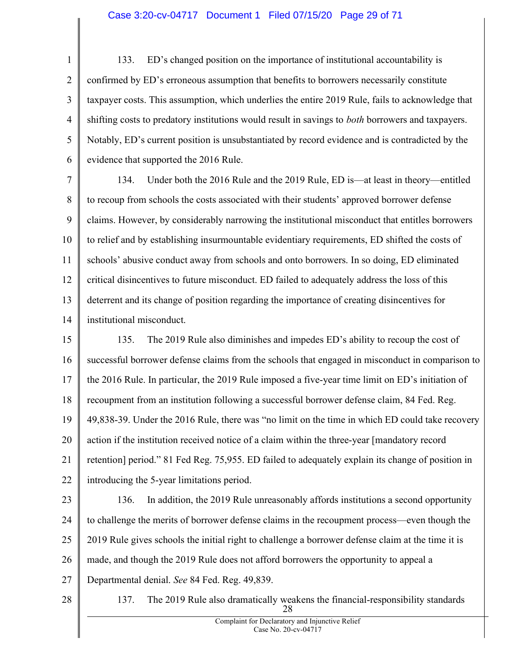# Case 3:20-cv-04717 Document 1 Filed 07/15/20 Page 29 of 71

1 2 3 4 5 6 133. ED's changed position on the importance of institutional accountability is confirmed by ED's erroneous assumption that benefits to borrowers necessarily constitute taxpayer costs. This assumption, which underlies the entire 2019 Rule, fails to acknowledge that shifting costs to predatory institutions would result in savings to *both* borrowers and taxpayers. Notably, ED's current position is unsubstantiated by record evidence and is contradicted by the evidence that supported the 2016 Rule.

7 8 9 10 11 12 13 14 134. Under both the 2016 Rule and the 2019 Rule, ED is—at least in theory—entitled to recoup from schools the costs associated with their students' approved borrower defense claims. However, by considerably narrowing the institutional misconduct that entitles borrowers to relief and by establishing insurmountable evidentiary requirements, ED shifted the costs of schools' abusive conduct away from schools and onto borrowers. In so doing, ED eliminated critical disincentives to future misconduct. ED failed to adequately address the loss of this deterrent and its change of position regarding the importance of creating disincentives for institutional misconduct.

15 16 17 18 19 20 21 22 135. The 2019 Rule also diminishes and impedes ED's ability to recoup the cost of successful borrower defense claims from the schools that engaged in misconduct in comparison to the 2016 Rule. In particular, the 2019 Rule imposed a five-year time limit on ED's initiation of recoupment from an institution following a successful borrower defense claim, 84 Fed. Reg. 49,838-39. Under the 2016 Rule, there was "no limit on the time in which ED could take recovery action if the institution received notice of a claim within the three-year [mandatory record retention] period." 81 Fed Reg. 75,955. ED failed to adequately explain its change of position in introducing the 5-year limitations period.

23

24

25

26

27

136. In addition, the 2019 Rule unreasonably affords institutions a second opportunity to challenge the merits of borrower defense claims in the recoupment process—even though the 2019 Rule gives schools the initial right to challenge a borrower defense claim at the time it is made, and though the 2019 Rule does not afford borrowers the opportunity to appeal a Departmental denial. See 84 Fed. Reg. 49,839.

28

28 137. The 2019 Rule also dramatically weakens the financial-responsibility standards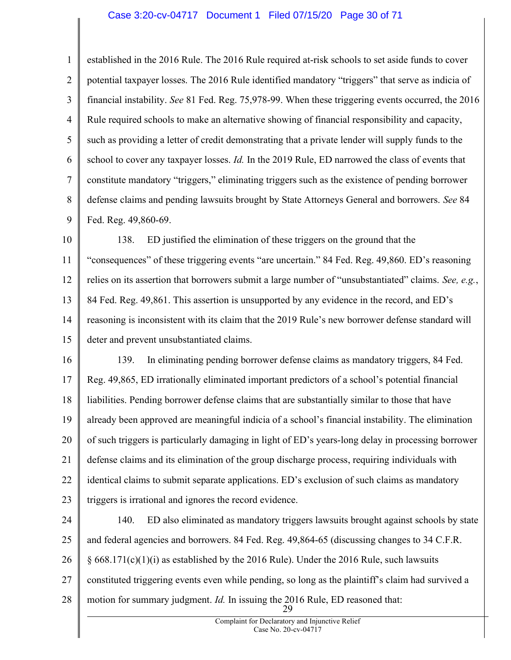#### Case 3:20-cv-04717 Document 1 Filed 07/15/20 Page 30 of 71

established in the 2016 Rule. The 2016 Rule required at-risk schools to set aside funds to cover potential taxpayer losses. The 2016 Rule identified mandatory "triggers" that serve as indicia of financial instability. See 81 Fed. Reg. 75,978-99. When these triggering events occurred, the 2016 Rule required schools to make an alternative showing of financial responsibility and capacity, such as providing a letter of credit demonstrating that a private lender will supply funds to the

1

2

3

4

5

6 7 8 9 school to cover any taxpayer losses. Id. In the 2019 Rule, ED narrowed the class of events that constitute mandatory "triggers," eliminating triggers such as the existence of pending borrower defense claims and pending lawsuits brought by State Attorneys General and borrowers. See 84 Fed. Reg. 49,860-69.

10 11 12 13 14 15 138. ED justified the elimination of these triggers on the ground that the "consequences" of these triggering events "are uncertain." 84 Fed. Reg. 49,860. ED's reasoning relies on its assertion that borrowers submit a large number of "unsubstantiated" claims. See, e.g., 84 Fed. Reg. 49,861. This assertion is unsupported by any evidence in the record, and ED's reasoning is inconsistent with its claim that the 2019 Rule's new borrower defense standard will deter and prevent unsubstantiated claims.

16 17 18 19 20 21 22 23 139. In eliminating pending borrower defense claims as mandatory triggers, 84 Fed. Reg. 49,865, ED irrationally eliminated important predictors of a school's potential financial liabilities. Pending borrower defense claims that are substantially similar to those that have already been approved are meaningful indicia of a school's financial instability. The elimination of such triggers is particularly damaging in light of ED's years-long delay in processing borrower defense claims and its elimination of the group discharge process, requiring individuals with identical claims to submit separate applications. ED's exclusion of such claims as mandatory triggers is irrational and ignores the record evidence.

24 25 26 27 28 29 140. ED also eliminated as mandatory triggers lawsuits brought against schools by state and federal agencies and borrowers. 84 Fed. Reg. 49,864-65 (discussing changes to 34 C.F.R.  $§$  668.171(c)(1)(i) as established by the 2016 Rule). Under the 2016 Rule, such lawsuits constituted triggering events even while pending, so long as the plaintiff's claim had survived a motion for summary judgment. *Id*. In issuing the 2016 Rule, ED reasoned that: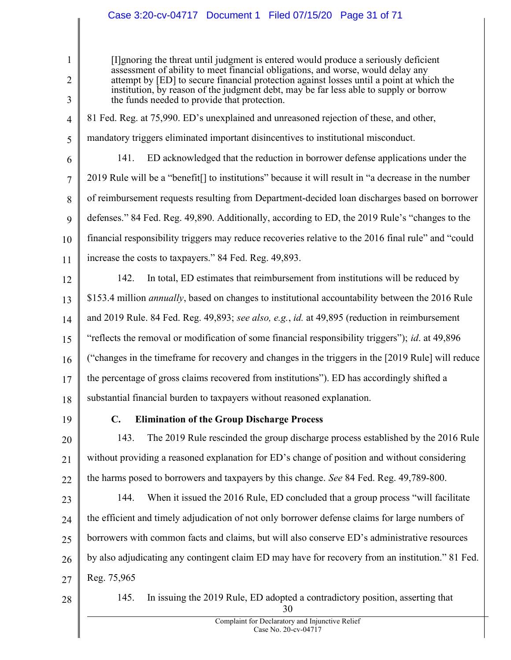# Case 3:20-cv-04717 Document 1 Filed 07/15/20 Page 31 of 71

[I]gnoring the threat until judgment is entered would produce a seriously deficient assessment of ability to meet financial obligations, and worse, would delay any attempt by [ED] to secure financial protection against losses until a point at which the institution, by reason of the judgment debt, may be far less able to supply or borrow the funds needed to provide that protection.

#### 4 81 Fed. Reg. at 75,990. ED's unexplained and unreasoned rejection of these, and other,

mandatory triggers eliminated important disincentives to institutional misconduct.

6 7 8 9 10 11 141. ED acknowledged that the reduction in borrower defense applications under the 2019 Rule will be a "benefit[] to institutions" because it will result in "a decrease in the number of reimbursement requests resulting from Department-decided loan discharges based on borrower defenses." 84 Fed. Reg. 49,890. Additionally, according to ED, the 2019 Rule's "changes to the financial responsibility triggers may reduce recoveries relative to the 2016 final rule" and "could increase the costs to taxpayers." 84 Fed. Reg. 49,893.

12 13 14 15 16 17 18 142. In total, ED estimates that reimbursement from institutions will be reduced by \$153.4 million *annually*, based on changes to institutional accountability between the 2016 Rule and 2019 Rule. 84 Fed. Reg. 49,893; see also, e.g., id. at 49,895 (reduction in reimbursement "reflects the removal or modification of some financial responsibility triggers"); id. at 49,896 ("changes in the timeframe for recovery and changes in the triggers in the [2019 Rule] will reduce the percentage of gross claims recovered from institutions"). ED has accordingly shifted a substantial financial burden to taxpayers without reasoned explanation.

19

1

2

3

5

# C. Elimination of the Group Discharge Process

20 21 22 143. The 2019 Rule rescinded the group discharge process established by the 2016 Rule without providing a reasoned explanation for ED's change of position and without considering the harms posed to borrowers and taxpayers by this change. See 84 Fed. Reg. 49,789-800.

23 24 25 26 27 144. When it issued the 2016 Rule, ED concluded that a group process "will facilitate the efficient and timely adjudication of not only borrower defense claims for large numbers of borrowers with common facts and claims, but will also conserve ED's administrative resources by also adjudicating any contingent claim ED may have for recovery from an institution." 81 Fed. Reg. 75,965

28

30 145. In issuing the 2019 Rule, ED adopted a contradictory position, asserting that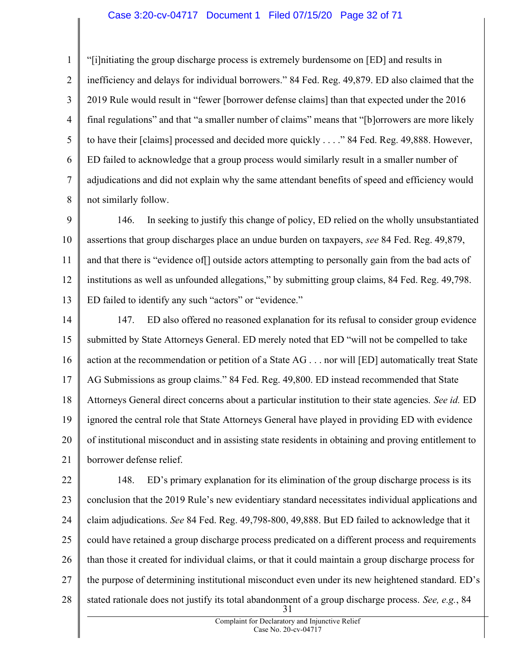### Case 3:20-cv-04717 Document 1 Filed 07/15/20 Page 32 of 71

1 2 3 4 5 6 7 8 "[i]nitiating the group discharge process is extremely burdensome on [ED] and results in inefficiency and delays for individual borrowers." 84 Fed. Reg. 49,879. ED also claimed that the 2019 Rule would result in "fewer [borrower defense claims] than that expected under the 2016 final regulations" and that "a smaller number of claims" means that "[b]orrowers are more likely to have their [claims] processed and decided more quickly . . . ." 84 Fed. Reg. 49,888. However, ED failed to acknowledge that a group process would similarly result in a smaller number of adjudications and did not explain why the same attendant benefits of speed and efficiency would not similarly follow.

9 10 11 12 13 146. In seeking to justify this change of policy, ED relied on the wholly unsubstantiated assertions that group discharges place an undue burden on taxpayers, see 84 Fed. Reg. 49,879, and that there is "evidence of[] outside actors attempting to personally gain from the bad acts of institutions as well as unfounded allegations," by submitting group claims, 84 Fed. Reg. 49,798. ED failed to identify any such "actors" or "evidence."

14 15 16 17 18 19 20 21 147. ED also offered no reasoned explanation for its refusal to consider group evidence submitted by State Attorneys General. ED merely noted that ED "will not be compelled to take action at the recommendation or petition of a State AG . . . nor will [ED] automatically treat State AG Submissions as group claims." 84 Fed. Reg. 49,800. ED instead recommended that State Attorneys General direct concerns about a particular institution to their state agencies. See id. ED ignored the central role that State Attorneys General have played in providing ED with evidence of institutional misconduct and in assisting state residents in obtaining and proving entitlement to borrower defense relief.

22 23 24 25 26 27 28 31 148. ED's primary explanation for its elimination of the group discharge process is its conclusion that the 2019 Rule's new evidentiary standard necessitates individual applications and claim adjudications. See 84 Fed. Reg. 49,798-800, 49,888. But ED failed to acknowledge that it could have retained a group discharge process predicated on a different process and requirements than those it created for individual claims, or that it could maintain a group discharge process for the purpose of determining institutional misconduct even under its new heightened standard. ED's stated rationale does not justify its total abandonment of a group discharge process. See, e.g., 84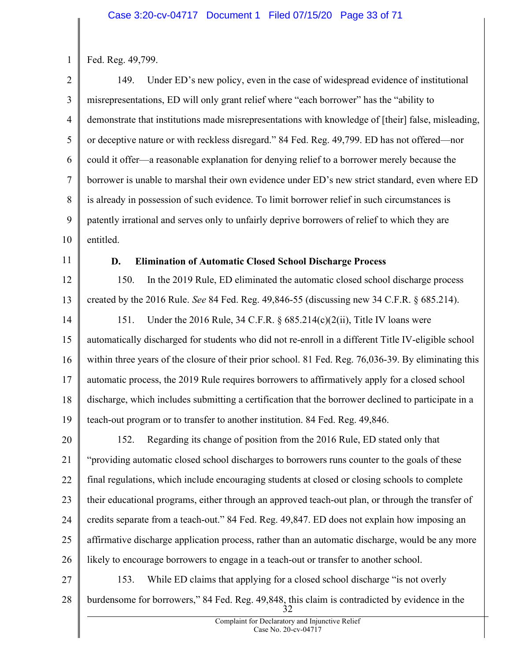1 Fed. Reg. 49,799.

2 3 4 5 6 7 8 9 10 149. Under ED's new policy, even in the case of widespread evidence of institutional misrepresentations, ED will only grant relief where "each borrower" has the "ability to demonstrate that institutions made misrepresentations with knowledge of [their] false, misleading, or deceptive nature or with reckless disregard." 84 Fed. Reg. 49,799. ED has not offered—nor could it offer—a reasonable explanation for denying relief to a borrower merely because the borrower is unable to marshal their own evidence under ED's new strict standard, even where ED is already in possession of such evidence. To limit borrower relief in such circumstances is patently irrational and serves only to unfairly deprive borrowers of relief to which they are entitled.

11

# D. Elimination of Automatic Closed School Discharge Process

12 13 14 150. In the 2019 Rule, ED eliminated the automatic closed school discharge process created by the 2016 Rule. See 84 Fed. Reg. 49,846-55 (discussing new 34 C.F.R. § 685.214). 151. Under the 2016 Rule, 34 C.F.R. § 685.214(c)(2(ii), Title IV loans were

15 16 17 18 19 automatically discharged for students who did not re-enroll in a different Title IV-eligible school within three years of the closure of their prior school. 81 Fed. Reg. 76,036-39. By eliminating this automatic process, the 2019 Rule requires borrowers to affirmatively apply for a closed school discharge, which includes submitting a certification that the borrower declined to participate in a teach-out program or to transfer to another institution. 84 Fed. Reg. 49,846.

20 21 22 23 24 25 26 152. Regarding its change of position from the 2016 Rule, ED stated only that "providing automatic closed school discharges to borrowers runs counter to the goals of these final regulations, which include encouraging students at closed or closing schools to complete their educational programs, either through an approved teach-out plan, or through the transfer of credits separate from a teach-out." 84 Fed. Reg. 49,847. ED does not explain how imposing an affirmative discharge application process, rather than an automatic discharge, would be any more likely to encourage borrowers to engage in a teach-out or transfer to another school.

27

28

32 153. While ED claims that applying for a closed school discharge "is not overly burdensome for borrowers," 84 Fed. Reg. 49,848, this claim is contradicted by evidence in the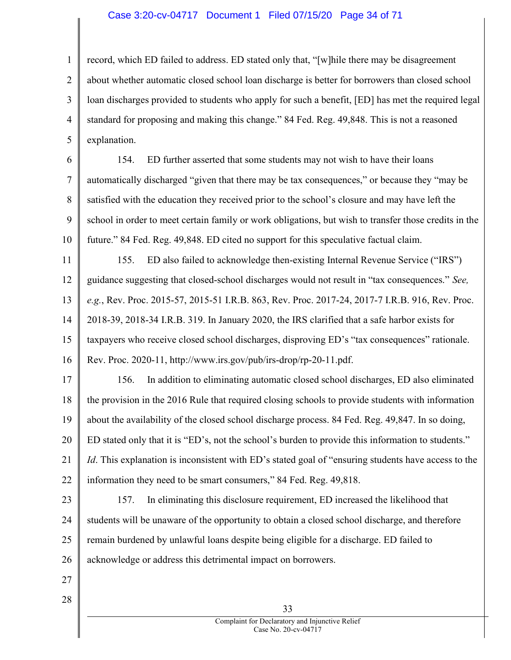#### Case 3:20-cv-04717 Document 1 Filed 07/15/20 Page 34 of 71

1 2 3 4 5 record, which ED failed to address. ED stated only that, "[w]hile there may be disagreement about whether automatic closed school loan discharge is better for borrowers than closed school loan discharges provided to students who apply for such a benefit, [ED] has met the required legal standard for proposing and making this change." 84 Fed. Reg. 49,848. This is not a reasoned explanation.

6 7 8 9 10 154. ED further asserted that some students may not wish to have their loans automatically discharged "given that there may be tax consequences," or because they "may be satisfied with the education they received prior to the school's closure and may have left the school in order to meet certain family or work obligations, but wish to transfer those credits in the future." 84 Fed. Reg. 49,848. ED cited no support for this speculative factual claim.

11 12 13 14 15 16 155. ED also failed to acknowledge then-existing Internal Revenue Service ("IRS") guidance suggesting that closed-school discharges would not result in "tax consequences." See, e.g., Rev. Proc. 2015-57, 2015-51 I.R.B. 863, Rev. Proc. 2017-24, 2017-7 I.R.B. 916, Rev. Proc. 2018-39, 2018-34 I.R.B. 319. In January 2020, the IRS clarified that a safe harbor exists for taxpayers who receive closed school discharges, disproving ED's "tax consequences" rationale. Rev. Proc. 2020-11, http://www.irs.gov/pub/irs-drop/rp-20-11.pdf.

17 18 19 20 21 22 156. In addition to eliminating automatic closed school discharges, ED also eliminated the provision in the 2016 Rule that required closing schools to provide students with information about the availability of the closed school discharge process. 84 Fed. Reg. 49,847. In so doing, ED stated only that it is "ED's, not the school's burden to provide this information to students." Id. This explanation is inconsistent with ED's stated goal of "ensuring students have access to the information they need to be smart consumers," 84 Fed. Reg. 49,818.

- 23 24 25 26 157. In eliminating this disclosure requirement, ED increased the likelihood that students will be unaware of the opportunity to obtain a closed school discharge, and therefore remain burdened by unlawful loans despite being eligible for a discharge. ED failed to acknowledge or address this detrimental impact on borrowers.
- 27
- 28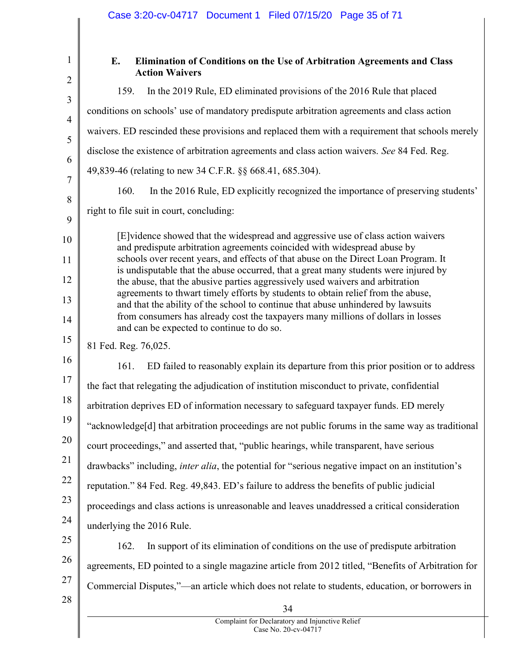| Case 3:20-cv-04717 Document 1 Filed 07/15/20 Page 35 of 71                                                                                                           |
|----------------------------------------------------------------------------------------------------------------------------------------------------------------------|
|                                                                                                                                                                      |
| E.<br>Elimination of Conditions on the Use of Arbitration Agreements and Class<br><b>Action Waivers</b>                                                              |
| In the 2019 Rule, ED eliminated provisions of the 2016 Rule that placed<br>159.                                                                                      |
| conditions on schools' use of mandatory predispute arbitration agreements and class action                                                                           |
| waivers. ED rescinded these provisions and replaced them with a requirement that schools merely                                                                      |
| disclose the existence of arbitration agreements and class action waivers. See 84 Fed. Reg.                                                                          |
| 49,839-46 (relating to new 34 C.F.R. §§ 668.41, 685.304).                                                                                                            |
| 160.<br>In the 2016 Rule, ED explicitly recognized the importance of preserving students'                                                                            |
| right to file suit in court, concluding:                                                                                                                             |
| [E] vidence showed that the widespread and aggressive use of class action waivers                                                                                    |
| and predispute arbitration agreements coincided with widespread abuse by<br>schools over recent years, and effects of that abuse on the Direct Loan Program. It      |
| is undisputable that the abuse occurred, that a great many students were injured by                                                                                  |
| the abuse, that the abusive parties aggressively used waivers and arbitration<br>agreements to thwart timely efforts by students to obtain relief from the abuse,    |
| and that the ability of the school to continue that abuse unhindered by lawsuits<br>from consumers has already cost the taxpayers many millions of dollars in losses |
| and can be expected to continue to do so.                                                                                                                            |
| 81 Fed. Reg. 76,025.                                                                                                                                                 |
| ED failed to reasonably explain its departure from this prior position or to address<br>161.                                                                         |
| the fact that relegating the adjudication of institution misconduct to private, confidential                                                                         |
| arbitration deprives ED of information necessary to safeguard taxpayer funds. ED merely                                                                              |
| "acknowledge[d] that arbitration proceedings are not public forums in the same way as traditional                                                                    |
| court proceedings," and asserted that, "public hearings, while transparent, have serious                                                                             |
| drawbacks" including, <i>inter alia</i> , the potential for "serious negative impact on an institution's                                                             |
| reputation." 84 Fed. Reg. 49,843. ED's failure to address the benefits of public judicial                                                                            |
| proceedings and class actions is unreasonable and leaves unaddressed a critical consideration                                                                        |
| underlying the 2016 Rule.                                                                                                                                            |
| In support of its elimination of conditions on the use of predispute arbitration<br>162.                                                                             |
| agreements, ED pointed to a single magazine article from 2012 titled, "Benefits of Arbitration for                                                                   |
| Commercial Disputes,"—an article which does not relate to students, education, or borrowers in                                                                       |
| 34                                                                                                                                                                   |
| Complaint for Declaratory and Injunctive Relief<br>Case No. 20-cv-04717                                                                                              |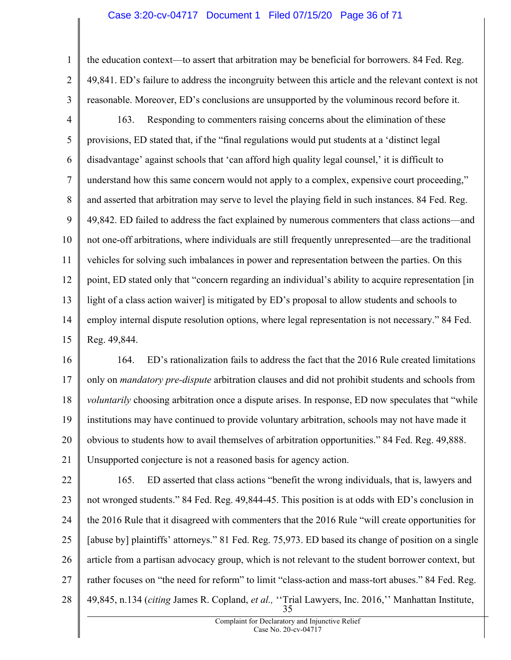#### Case 3:20-cv-04717 Document 1 Filed 07/15/20 Page 36 of 71

1 2 3 the education context—to assert that arbitration may be beneficial for borrowers. 84 Fed. Reg. 49,841. ED's failure to address the incongruity between this article and the relevant context is not reasonable. Moreover, ED's conclusions are unsupported by the voluminous record before it.

4 5 6 7 8 9 10 11 12 13 14 15 163. Responding to commenters raising concerns about the elimination of these provisions, ED stated that, if the "final regulations would put students at a 'distinct legal disadvantage' against schools that 'can afford high quality legal counsel,' it is difficult to understand how this same concern would not apply to a complex, expensive court proceeding," and asserted that arbitration may serve to level the playing field in such instances. 84 Fed. Reg. 49,842. ED failed to address the fact explained by numerous commenters that class actions—and not one-off arbitrations, where individuals are still frequently unrepresented—are the traditional vehicles for solving such imbalances in power and representation between the parties. On this point, ED stated only that "concern regarding an individual's ability to acquire representation [in light of a class action waiver] is mitigated by ED's proposal to allow students and schools to employ internal dispute resolution options, where legal representation is not necessary." 84 Fed. Reg. 49,844.

16 17 18 19 20 21 164. ED's rationalization fails to address the fact that the 2016 Rule created limitations only on *mandatory pre-dispute* arbitration clauses and did not prohibit students and schools from voluntarily choosing arbitration once a dispute arises. In response, ED now speculates that "while institutions may have continued to provide voluntary arbitration, schools may not have made it obvious to students how to avail themselves of arbitration opportunities." 84 Fed. Reg. 49,888. Unsupported conjecture is not a reasoned basis for agency action.

22 23 24 25 26 27 28 35 165. ED asserted that class actions "benefit the wrong individuals, that is, lawyers and not wronged students." 84 Fed. Reg. 49,844-45. This position is at odds with ED's conclusion in the 2016 Rule that it disagreed with commenters that the 2016 Rule "will create opportunities for [abuse by] plaintiffs' attorneys." 81 Fed. Reg. 75,973. ED based its change of position on a single article from a partisan advocacy group, which is not relevant to the student borrower context, but rather focuses on "the need for reform" to limit "class-action and mass-tort abuses." 84 Fed. Reg. 49,845, n.134 (citing James R. Copland, et al., "Trial Lawyers, Inc. 2016," Manhattan Institute,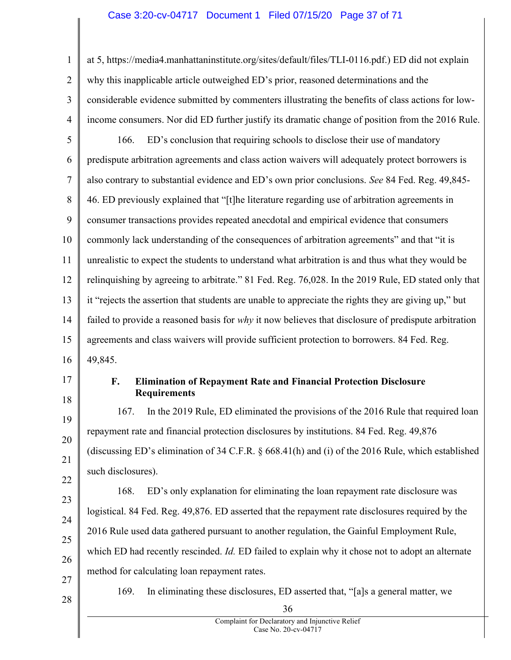# Case 3:20-cv-04717 Document 1 Filed 07/15/20 Page 37 of 71

1 2 3 4 5 6 7 8 9 10 11 12 13 14 15 16 at 5, https://media4.manhattaninstitute.org/sites/default/files/TLI-0116.pdf.) ED did not explain why this inapplicable article outweighed ED's prior, reasoned determinations and the considerable evidence submitted by commenters illustrating the benefits of class actions for lowincome consumers. Nor did ED further justify its dramatic change of position from the 2016 Rule. 166. ED's conclusion that requiring schools to disclose their use of mandatory predispute arbitration agreements and class action waivers will adequately protect borrowers is also contrary to substantial evidence and ED's own prior conclusions. See 84 Fed. Reg. 49,845- 46. ED previously explained that "[t]he literature regarding use of arbitration agreements in consumer transactions provides repeated anecdotal and empirical evidence that consumers commonly lack understanding of the consequences of arbitration agreements" and that "it is unrealistic to expect the students to understand what arbitration is and thus what they would be relinquishing by agreeing to arbitrate." 81 Fed. Reg. 76,028. In the 2019 Rule, ED stated only that it "rejects the assertion that students are unable to appreciate the rights they are giving up," but failed to provide a reasoned basis for why it now believes that disclosure of predispute arbitration agreements and class waivers will provide sufficient protection to borrowers. 84 Fed. Reg. 49,845.

17 18

19

20

21

22

### F. Elimination of Repayment Rate and Financial Protection Disclosure Requirements

167. In the 2019 Rule, ED eliminated the provisions of the 2016 Rule that required loan repayment rate and financial protection disclosures by institutions. 84 Fed. Reg. 49,876 (discussing ED's elimination of 34 C.F.R. § 668.41(h) and (i) of the 2016 Rule, which established such disclosures).

23 24 25 26 27 168. ED's only explanation for eliminating the loan repayment rate disclosure was logistical. 84 Fed. Reg. 49,876. ED asserted that the repayment rate disclosures required by the 2016 Rule used data gathered pursuant to another regulation, the Gainful Employment Rule, which ED had recently rescinded. Id. ED failed to explain why it chose not to adopt an alternate method for calculating loan repayment rates.

28

169. In eliminating these disclosures, ED asserted that, "[a]s a general matter, we

36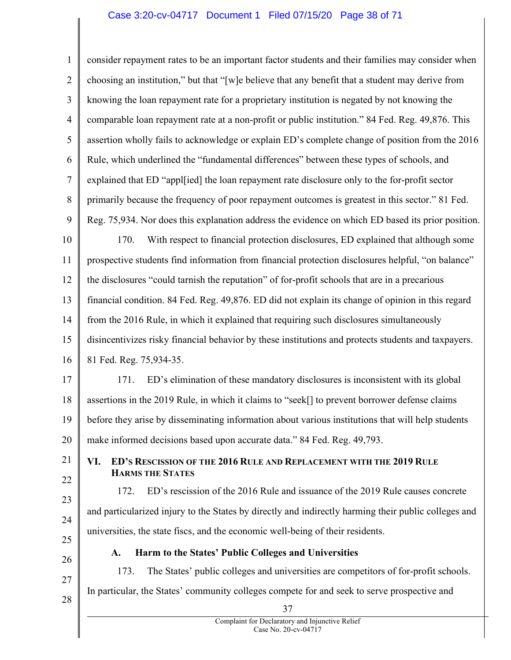## Case 3:20-cv-04717 Document 1 Filed 07/15/20 Page 38 of 71

1 2 3 4 5 6 7 8 9 10 11 12 13 14 15 16 17 18 19 20 21 22 23 24 25 26 27 28 37 Complaint for Declaratory and Injunctive Relief consider repayment rates to be an important factor students and their families may consider when choosing an institution," but that "[w]e believe that any benefit that a student may derive from knowing the loan repayment rate for a proprietary institution is negated by not knowing the comparable loan repayment rate at a non-profit or public institution." 84 Fed. Reg. 49,876. This assertion wholly fails to acknowledge or explain ED's complete change of position from the 2016 Rule, which underlined the "fundamental differences" between these types of schools, and explained that ED "appl[ied] the loan repayment rate disclosure only to the for-profit sector primarily because the frequency of poor repayment outcomes is greatest in this sector." 81 Fed. Reg. 75,934. Nor does this explanation address the evidence on which ED based its prior position. 170. With respect to financial protection disclosures, ED explained that although some prospective students find information from financial protection disclosures helpful, "on balance" the disclosures "could tarnish the reputation" of for-profit schools that are in a precarious financial condition. 84 Fed. Reg. 49,876. ED did not explain its change of opinion in this regard from the 2016 Rule, in which it explained that requiring such disclosures simultaneously disincentivizes risky financial behavior by these institutions and protects students and taxpayers. 81 Fed. Reg. 75,934-35. 171. ED's elimination of these mandatory disclosures is inconsistent with its global assertions in the 2019 Rule, in which it claims to "seek[] to prevent borrower defense claims before they arise by disseminating information about various institutions that will help students make informed decisions based upon accurate data." 84 Fed. Reg. 49,793. VI. ED'S RESCISSION OF THE 2016 RULE AND REPLACEMENT WITH THE 2019 RULE HARMS THE STATES 172. ED's rescission of the 2016 Rule and issuance of the 2019 Rule causes concrete and particularized injury to the States by directly and indirectly harming their public colleges and universities, the state fiscs, and the economic well-being of their residents. A. Harm to the States' Public Colleges and Universities 173. The States' public colleges and universities are competitors of for-profit schools. In particular, the States' community colleges compete for and seek to serve prospective and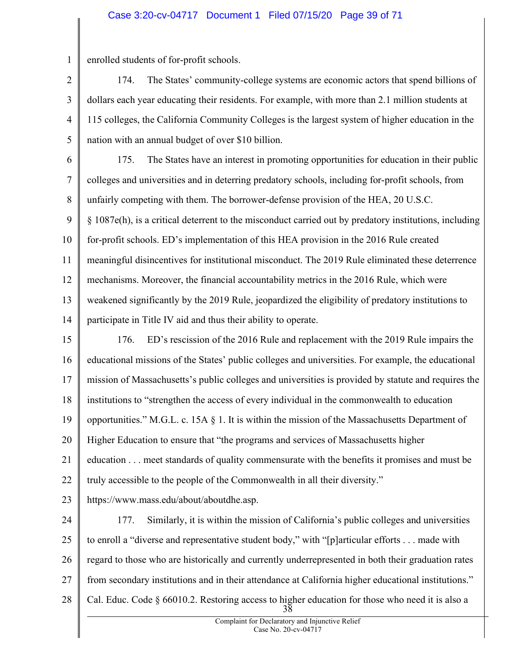# Case 3:20-cv-04717 Document 1 Filed 07/15/20 Page 39 of 71

1 enrolled students of for-profit schools.

2 3 4 5 174. The States' community-college systems are economic actors that spend billions of dollars each year educating their residents. For example, with more than 2.1 million students at 115 colleges, the California Community Colleges is the largest system of higher education in the nation with an annual budget of over \$10 billion.

6 7 8 9 10 11 12 13 14 175. The States have an interest in promoting opportunities for education in their public colleges and universities and in deterring predatory schools, including for-profit schools, from unfairly competing with them. The borrower-defense provision of the HEA, 20 U.S.C. § 1087e(h), is a critical deterrent to the misconduct carried out by predatory institutions, including for-profit schools. ED's implementation of this HEA provision in the 2016 Rule created meaningful disincentives for institutional misconduct. The 2019 Rule eliminated these deterrence mechanisms. Moreover, the financial accountability metrics in the 2016 Rule, which were weakened significantly by the 2019 Rule, jeopardized the eligibility of predatory institutions to participate in Title IV aid and thus their ability to operate.

15 16 17 18 19 20 21 22 176. ED's rescission of the 2016 Rule and replacement with the 2019 Rule impairs the educational missions of the States' public colleges and universities. For example, the educational mission of Massachusetts's public colleges and universities is provided by statute and requires the institutions to "strengthen the access of every individual in the commonwealth to education opportunities." M.G.L. c. 15A  $\S$  1. It is within the mission of the Massachusetts Department of Higher Education to ensure that "the programs and services of Massachusetts higher education . . . meet standards of quality commensurate with the benefits it promises and must be truly accessible to the people of the Commonwealth in all their diversity."

23 https://www.mass.edu/about/aboutdhe.asp.

24 25 26 27 28 38 177. Similarly, it is within the mission of California's public colleges and universities to enroll a "diverse and representative student body," with "[p]articular efforts . . . made with regard to those who are historically and currently underrepresented in both their graduation rates from secondary institutions and in their attendance at California higher educational institutions." Cal. Educ. Code § 66010.2. Restoring access to higher education for those who need it is also a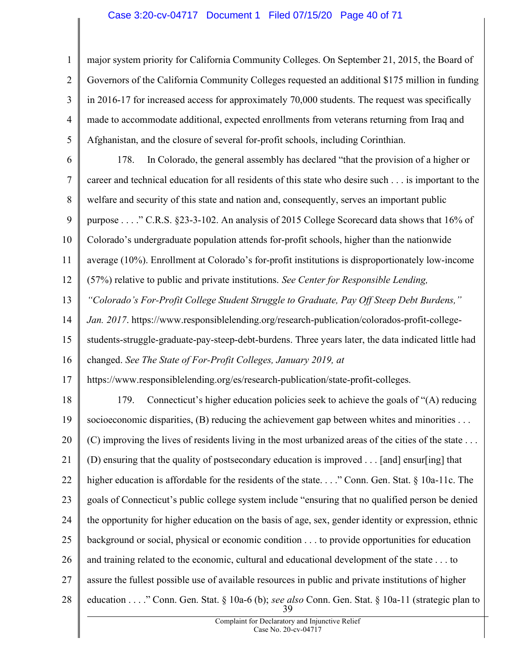# Case 3:20-cv-04717 Document 1 Filed 07/15/20 Page 40 of 71

1 2 3 4 5 major system priority for California Community Colleges. On September 21, 2015, the Board of Governors of the California Community Colleges requested an additional \$175 million in funding in 2016-17 for increased access for approximately 70,000 students. The request was specifically made to accommodate additional, expected enrollments from veterans returning from Iraq and Afghanistan, and the closure of several for-profit schools, including Corinthian.

6 7 8 9 10 11 12 13 14 15 16 17 18 178. In Colorado, the general assembly has declared "that the provision of a higher or career and technical education for all residents of this state who desire such . . . is important to the welfare and security of this state and nation and, consequently, serves an important public purpose . . . ." C.R.S. §23-3-102. An analysis of 2015 College Scorecard data shows that 16% of Colorado's undergraduate population attends for-profit schools, higher than the nationwide average (10%). Enrollment at Colorado's for-profit institutions is disproportionately low-income (57%) relative to public and private institutions. See Center for Responsible Lending, "Colorado's For-Profit College Student Struggle to Graduate, Pay Off Steep Debt Burdens," Jan. 2017. https://www.responsiblelending.org/research-publication/colorados-profit-collegestudents-struggle-graduate-pay-steep-debt-burdens. Three years later, the data indicated little had changed. See The State of For-Profit Colleges, January 2019, at https://www.responsiblelending.org/es/research-publication/state-profit-colleges. 179. Connecticut's higher education policies seek to achieve the goals of "(A) reducing

19 20 21 22 23 24 25 26 27 28 39 socioeconomic disparities,  $(B)$  reducing the achievement gap between whites and minorities ... (C) improving the lives of residents living in the most urbanized areas of the cities of the state . . . (D) ensuring that the quality of postsecondary education is improved . . . [and] ensur[ing] that higher education is affordable for the residents of the state. . . ." Conn. Gen. Stat. § 10a-11c. The goals of Connecticut's public college system include "ensuring that no qualified person be denied the opportunity for higher education on the basis of age, sex, gender identity or expression, ethnic background or social, physical or economic condition . . . to provide opportunities for education and training related to the economic, cultural and educational development of the state . . . to assure the fullest possible use of available resources in public and private institutions of higher education . . . ." Conn. Gen. Stat. § 10a-6 (b); see also Conn. Gen. Stat. § 10a-11 (strategic plan to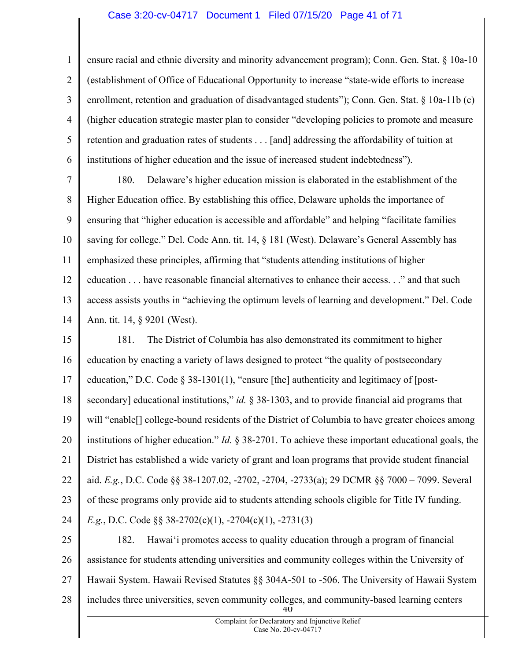## Case 3:20-cv-04717 Document 1 Filed 07/15/20 Page 41 of 71

1 2 3 4 5 6 ensure racial and ethnic diversity and minority advancement program); Conn. Gen. Stat. § 10a-10 (establishment of Office of Educational Opportunity to increase "state-wide efforts to increase enrollment, retention and graduation of disadvantaged students"); Conn. Gen. Stat. § 10a-11b (c) (higher education strategic master plan to consider "developing policies to promote and measure retention and graduation rates of students . . . [and] addressing the affordability of tuition at institutions of higher education and the issue of increased student indebtedness").

7 8 9 10 11 12 13 14 180. Delaware's higher education mission is elaborated in the establishment of the Higher Education office. By establishing this office, Delaware upholds the importance of ensuring that "higher education is accessible and affordable" and helping "facilitate families saving for college." Del. Code Ann. tit. 14, § 181 (West). Delaware's General Assembly has emphasized these principles, affirming that "students attending institutions of higher education . . . have reasonable financial alternatives to enhance their access. . ." and that such access assists youths in "achieving the optimum levels of learning and development." Del. Code Ann. tit. 14, § 9201 (West).

15 16 17 18 19 20 21 22 23 24 181. The District of Columbia has also demonstrated its commitment to higher education by enacting a variety of laws designed to protect "the quality of postsecondary education," D.C. Code § 38-1301(1), "ensure [the] authenticity and legitimacy of [postsecondary] educational institutions," id.  $\S$  38-1303, and to provide financial aid programs that will "enable[] college-bound residents of the District of Columbia to have greater choices among institutions of higher education." Id. § 38-2701. To achieve these important educational goals, the District has established a wide variety of grant and loan programs that provide student financial aid. E.g., D.C. Code §§ 38-1207.02, -2702, -2704, -2733(a); 29 DCMR §§ 7000 – 7099. Several of these programs only provide aid to students attending schools eligible for Title IV funding. E.g., D.C. Code §§ 38-2702(c)(1), -2704(c)(1), -2731(3)

25 26 27 28 40 182. Hawai'i promotes access to quality education through a program of financial assistance for students attending universities and community colleges within the University of Hawaii System. Hawaii Revised Statutes §§ 304A-501 to -506. The University of Hawaii System includes three universities, seven community colleges, and community-based learning centers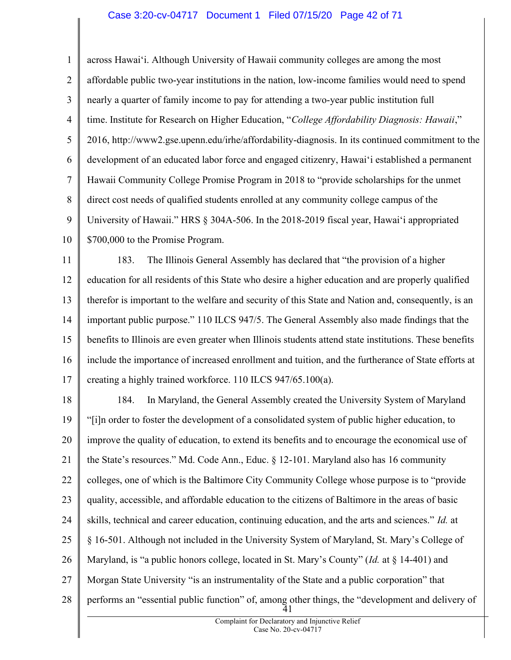## Case 3:20-cv-04717 Document 1 Filed 07/15/20 Page 42 of 71

1 2 3 4 5 6 7 8 9 10 11 across Hawai'i. Although University of Hawaii community colleges are among the most affordable public two-year institutions in the nation, low-income families would need to spend nearly a quarter of family income to pay for attending a two-year public institution full time. Institute for Research on Higher Education, "College Affordability Diagnosis: Hawaii," 2016, http://www2.gse.upenn.edu/irhe/affordability-diagnosis. In its continued commitment to the development of an educated labor force and engaged citizenry, Hawai'i established a permanent Hawaii Community College Promise Program in 2018 to "provide scholarships for the unmet direct cost needs of qualified students enrolled at any community college campus of the University of Hawaii." HRS § 304A-506. In the 2018-2019 fiscal year, Hawai'i appropriated \$700,000 to the Promise Program. 183. The Illinois General Assembly has declared that "the provision of a higher

12 13 14 15 16 17 education for all residents of this State who desire a higher education and are properly qualified therefor is important to the welfare and security of this State and Nation and, consequently, is an important public purpose." 110 ILCS 947/5. The General Assembly also made findings that the benefits to Illinois are even greater when Illinois students attend state institutions. These benefits include the importance of increased enrollment and tuition, and the furtherance of State efforts at creating a highly trained workforce. 110 ILCS 947/65.100(a).

18 19 20 21 22 23 24 25 26 27 28 41 184. In Maryland, the General Assembly created the University System of Maryland "[i]n order to foster the development of a consolidated system of public higher education, to improve the quality of education, to extend its benefits and to encourage the economical use of the State's resources." Md. Code Ann., Educ. § 12-101. Maryland also has 16 community colleges, one of which is the Baltimore City Community College whose purpose is to "provide quality, accessible, and affordable education to the citizens of Baltimore in the areas of basic skills, technical and career education, continuing education, and the arts and sciences." Id. at § 16-501. Although not included in the University System of Maryland, St. Mary's College of Maryland, is "a public honors college, located in St. Mary's County" (Id. at § 14-401) and Morgan State University "is an instrumentality of the State and a public corporation" that performs an "essential public function" of, among other things, the "development and delivery of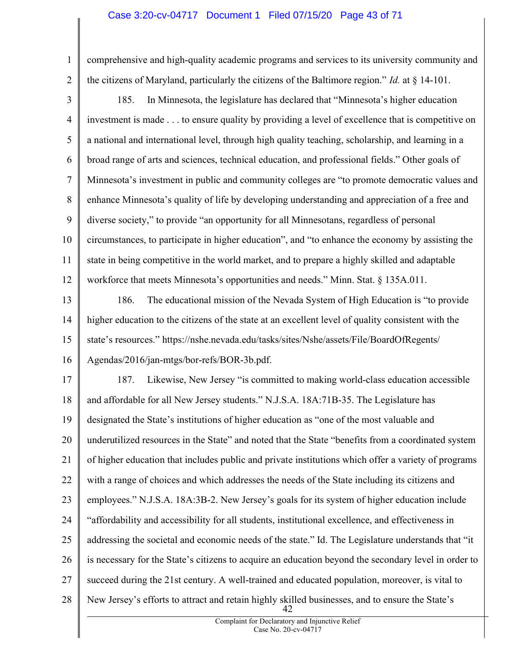## Case 3:20-cv-04717 Document 1 Filed 07/15/20 Page 43 of 71

1 2 comprehensive and high-quality academic programs and services to its university community and the citizens of Maryland, particularly the citizens of the Baltimore region." *Id.* at  $\S$  14-101.

3 4 5 6 7 8 9 10 11 12 185. In Minnesota, the legislature has declared that "Minnesota's higher education investment is made . . . to ensure quality by providing a level of excellence that is competitive on a national and international level, through high quality teaching, scholarship, and learning in a broad range of arts and sciences, technical education, and professional fields." Other goals of Minnesota's investment in public and community colleges are "to promote democratic values and enhance Minnesota's quality of life by developing understanding and appreciation of a free and diverse society," to provide "an opportunity for all Minnesotans, regardless of personal circumstances, to participate in higher education", and "to enhance the economy by assisting the state in being competitive in the world market, and to prepare a highly skilled and adaptable workforce that meets Minnesota's opportunities and needs." Minn. Stat. § 135A.011.

13 14 15 16 186. The educational mission of the Nevada System of High Education is "to provide higher education to the citizens of the state at an excellent level of quality consistent with the state's resources." https://nshe.nevada.edu/tasks/sites/Nshe/assets/File/BoardOfRegents/ Agendas/2016/jan-mtgs/bor-refs/BOR-3b.pdf.

17 18 19 20 21 22 23 24 25 26 27 28 42 187. Likewise, New Jersey "is committed to making world-class education accessible and affordable for all New Jersey students." N.J.S.A. 18A:71B-35. The Legislature has designated the State's institutions of higher education as "one of the most valuable and underutilized resources in the State" and noted that the State "benefits from a coordinated system of higher education that includes public and private institutions which offer a variety of programs with a range of choices and which addresses the needs of the State including its citizens and employees." N.J.S.A. 18A:3B-2. New Jersey's goals for its system of higher education include "affordability and accessibility for all students, institutional excellence, and effectiveness in addressing the societal and economic needs of the state." Id. The Legislature understands that "it is necessary for the State's citizens to acquire an education beyond the secondary level in order to succeed during the 21st century. A well-trained and educated population, moreover, is vital to New Jersey's efforts to attract and retain highly skilled businesses, and to ensure the State's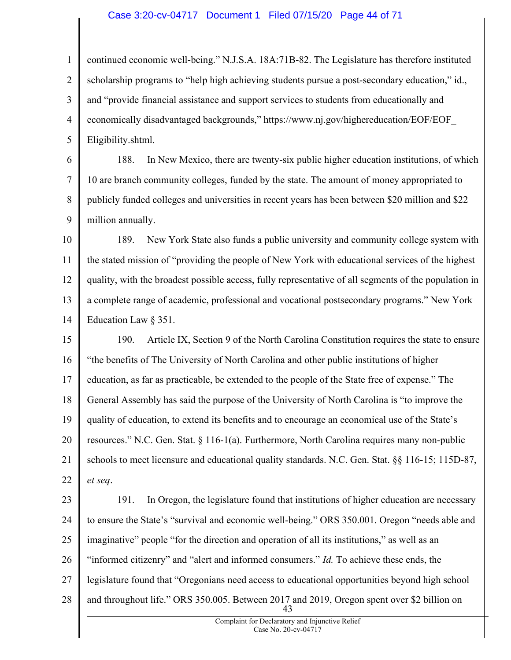#### Case 3:20-cv-04717 Document 1 Filed 07/15/20 Page 44 of 71

1 2 3 4 5 continued economic well-being." N.J.S.A. 18A:71B-82. The Legislature has therefore instituted scholarship programs to "help high achieving students pursue a post-secondary education," id., and "provide financial assistance and support services to students from educationally and economically disadvantaged backgrounds," https://www.nj.gov/highereducation/EOF/EOF\_ Eligibility.shtml.

6 7 8 9 188. In New Mexico, there are twenty-six public higher education institutions, of which 10 are branch community colleges, funded by the state. The amount of money appropriated to publicly funded colleges and universities in recent years has been between \$20 million and \$22 million annually.

10 11 12 13 14 189. New York State also funds a public university and community college system with the stated mission of "providing the people of New York with educational services of the highest quality, with the broadest possible access, fully representative of all segments of the population in a complete range of academic, professional and vocational postsecondary programs." New York Education Law § 351.

15 16 17 18 19 20 21 22 190. Article IX, Section 9 of the North Carolina Constitution requires the state to ensure "the benefits of The University of North Carolina and other public institutions of higher education, as far as practicable, be extended to the people of the State free of expense." The General Assembly has said the purpose of the University of North Carolina is "to improve the quality of education, to extend its benefits and to encourage an economical use of the State's resources." N.C. Gen. Stat. § 116-1(a). Furthermore, North Carolina requires many non-public schools to meet licensure and educational quality standards. N.C. Gen. Stat. §§ 116-15; 115D-87, et seq.

23 24 25 26 27 28 43 191. In Oregon, the legislature found that institutions of higher education are necessary to ensure the State's "survival and economic well-being." ORS 350.001. Oregon "needs able and imaginative" people "for the direction and operation of all its institutions," as well as an "informed citizenry" and "alert and informed consumers." Id. To achieve these ends, the legislature found that "Oregonians need access to educational opportunities beyond high school and throughout life." ORS 350.005. Between 2017 and 2019, Oregon spent over \$2 billion on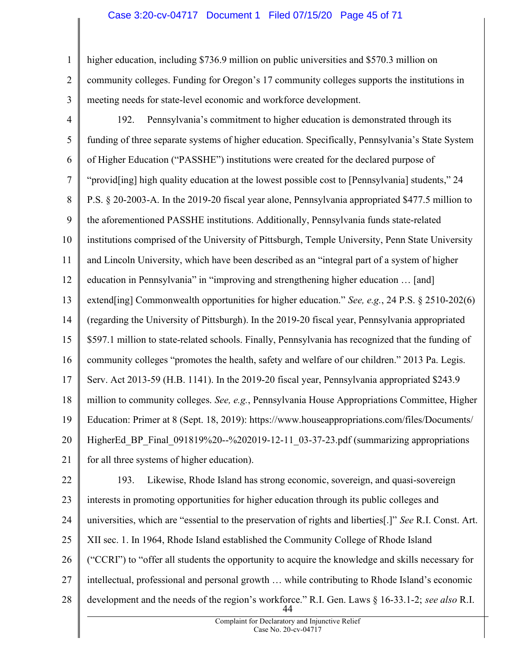## Case 3:20-cv-04717 Document 1 Filed 07/15/20 Page 45 of 71

1 2 3 higher education, including \$736.9 million on public universities and \$570.3 million on community colleges. Funding for Oregon's 17 community colleges supports the institutions in meeting needs for state-level economic and workforce development.

4 5 6 7 8 9 10 11 12 13 14 15 16 17 18 19 20 21 22 192. Pennsylvania's commitment to higher education is demonstrated through its funding of three separate systems of higher education. Specifically, Pennsylvania's State System of Higher Education ("PASSHE") institutions were created for the declared purpose of "provid[ing] high quality education at the lowest possible cost to [Pennsylvania] students," 24 P.S. § 20-2003-A. In the 2019-20 fiscal year alone, Pennsylvania appropriated \$477.5 million to the aforementioned PASSHE institutions. Additionally, Pennsylvania funds state-related institutions comprised of the University of Pittsburgh, Temple University, Penn State University and Lincoln University, which have been described as an "integral part of a system of higher education in Pennsylvania" in "improving and strengthening higher education … [and] extend[ing] Commonwealth opportunities for higher education." See, e.g., 24 P.S. § 2510-202(6) (regarding the University of Pittsburgh). In the 2019-20 fiscal year, Pennsylvania appropriated \$597.1 million to state-related schools. Finally, Pennsylvania has recognized that the funding of community colleges "promotes the health, safety and welfare of our children." 2013 Pa. Legis. Serv. Act 2013-59 (H.B. 1141). In the 2019-20 fiscal year, Pennsylvania appropriated \$243.9 million to community colleges. See, e.g., Pennsylvania House Appropriations Committee, Higher Education: Primer at 8 (Sept. 18, 2019): https://www.houseappropriations.com/files/Documents/ HigherEd BP Final 091819%20--%202019-12-11 03-37-23.pdf (summarizing appropriations for all three systems of higher education). 193. Likewise, Rhode Island has strong economic, sovereign, and quasi-sovereign

23 24 25 26 27 28 44 interests in promoting opportunities for higher education through its public colleges and universities, which are "essential to the preservation of rights and liberties[.]" See R.I. Const. Art. XII sec. 1. In 1964, Rhode Island established the Community College of Rhode Island ("CCRI") to "offer all students the opportunity to acquire the knowledge and skills necessary for intellectual, professional and personal growth … while contributing to Rhode Island's economic development and the needs of the region's workforce." R.I. Gen. Laws § 16-33.1-2; see also R.I.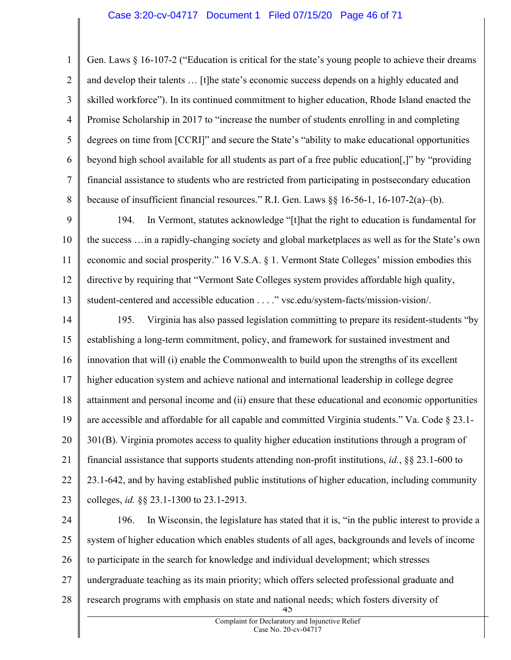#### Case 3:20-cv-04717 Document 1 Filed 07/15/20 Page 46 of 71

1 2 3 4 5 6 7 8 Gen. Laws § 16-107-2 ("Education is critical for the state's young people to achieve their dreams and develop their talents … [t]he state's economic success depends on a highly educated and skilled workforce"). In its continued commitment to higher education, Rhode Island enacted the Promise Scholarship in 2017 to "increase the number of students enrolling in and completing degrees on time from [CCRI]" and secure the State's "ability to make educational opportunities beyond high school available for all students as part of a free public education[,]" by "providing financial assistance to students who are restricted from participating in postsecondary education because of insufficient financial resources." R.I. Gen. Laws  $\S$ § 16-56-1, 16-107-2(a)–(b).

9 10 11 12 13 194. In Vermont, statutes acknowledge "[t]hat the right to education is fundamental for the success …in a rapidly-changing society and global marketplaces as well as for the State's own economic and social prosperity." 16 V.S.A. § 1. Vermont State Colleges' mission embodies this directive by requiring that "Vermont Sate Colleges system provides affordable high quality, student-centered and accessible education . . . ." vsc.edu/system-facts/mission-vision/.

14 15 16 17 18 19 20 21 22 23 195. Virginia has also passed legislation committing to prepare its resident-students "by establishing a long-term commitment, policy, and framework for sustained investment and innovation that will (i) enable the Commonwealth to build upon the strengths of its excellent higher education system and achieve national and international leadership in college degree attainment and personal income and (ii) ensure that these educational and economic opportunities are accessible and affordable for all capable and committed Virginia students." Va. Code  $\S$  23.1-301(B). Virginia promotes access to quality higher education institutions through a program of financial assistance that supports students attending non-profit institutions, id., §§ 23.1-600 to 23.1-642, and by having established public institutions of higher education, including community colleges, id. §§ 23.1-1300 to 23.1-2913.

24 25 26 27 28  $4<sub>2</sub>$ 196. In Wisconsin, the legislature has stated that it is, "in the public interest to provide a system of higher education which enables students of all ages, backgrounds and levels of income to participate in the search for knowledge and individual development; which stresses undergraduate teaching as its main priority; which offers selected professional graduate and research programs with emphasis on state and national needs; which fosters diversity of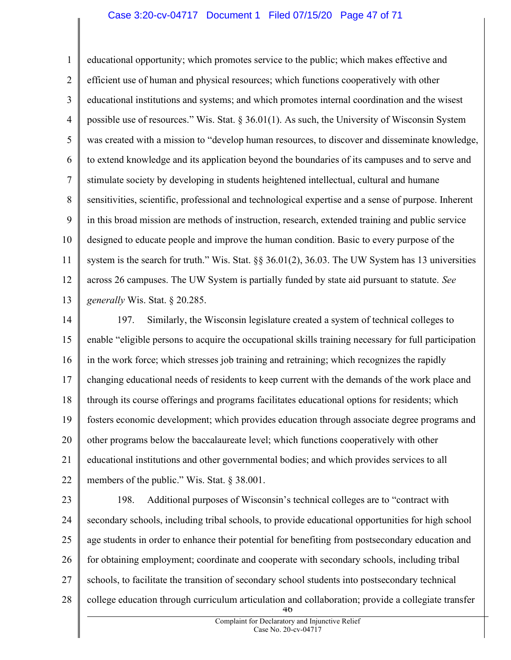#### Case 3:20-cv-04717 Document 1 Filed 07/15/20 Page 47 of 71

1 2 3 4 5 6 7 8 9 10 11 12 13 educational opportunity; which promotes service to the public; which makes effective and efficient use of human and physical resources; which functions cooperatively with other educational institutions and systems; and which promotes internal coordination and the wisest possible use of resources." Wis. Stat. § 36.01(1). As such, the University of Wisconsin System was created with a mission to "develop human resources, to discover and disseminate knowledge, to extend knowledge and its application beyond the boundaries of its campuses and to serve and stimulate society by developing in students heightened intellectual, cultural and humane sensitivities, scientific, professional and technological expertise and a sense of purpose. Inherent in this broad mission are methods of instruction, research, extended training and public service designed to educate people and improve the human condition. Basic to every purpose of the system is the search for truth." Wis. Stat.  $\S$ § 36.01(2), 36.03. The UW System has 13 universities across 26 campuses. The UW System is partially funded by state aid pursuant to statute. See generally Wis. Stat. § 20.285.

14 15 16 17 18 19 20 21 22 197. Similarly, the Wisconsin legislature created a system of technical colleges to enable "eligible persons to acquire the occupational skills training necessary for full participation in the work force; which stresses job training and retraining; which recognizes the rapidly changing educational needs of residents to keep current with the demands of the work place and through its course offerings and programs facilitates educational options for residents; which fosters economic development; which provides education through associate degree programs and other programs below the baccalaureate level; which functions cooperatively with other educational institutions and other governmental bodies; and which provides services to all members of the public." Wis. Stat. § 38.001.

23

24 25 26 27 28 46 198. Additional purposes of Wisconsin's technical colleges are to "contract with secondary schools, including tribal schools, to provide educational opportunities for high school age students in order to enhance their potential for benefiting from postsecondary education and for obtaining employment; coordinate and cooperate with secondary schools, including tribal schools, to facilitate the transition of secondary school students into postsecondary technical college education through curriculum articulation and collaboration; provide a collegiate transfer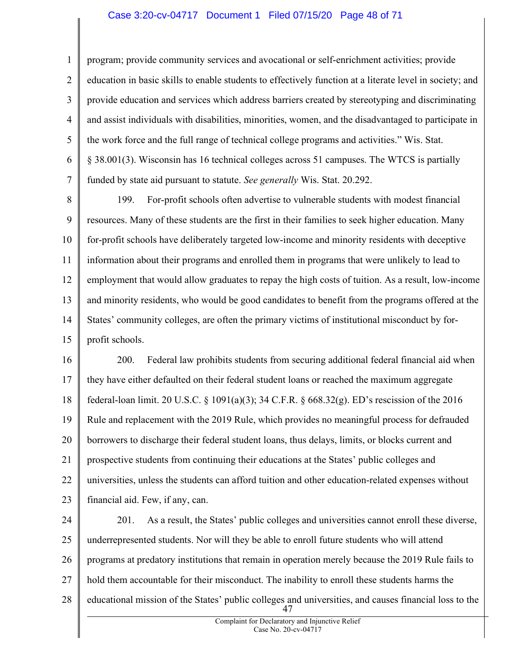## Case 3:20-cv-04717 Document 1 Filed 07/15/20 Page 48 of 71

1 2 3 4 5 6 7 program; provide community services and avocational or self-enrichment activities; provide education in basic skills to enable students to effectively function at a literate level in society; and provide education and services which address barriers created by stereotyping and discriminating and assist individuals with disabilities, minorities, women, and the disadvantaged to participate in the work force and the full range of technical college programs and activities." Wis. Stat. § 38.001(3). Wisconsin has 16 technical colleges across 51 campuses. The WTCS is partially funded by state aid pursuant to statute. See generally Wis. Stat. 20.292.

8 9 10 11 12 13 14 15 199. For-profit schools often advertise to vulnerable students with modest financial resources. Many of these students are the first in their families to seek higher education. Many for-profit schools have deliberately targeted low-income and minority residents with deceptive information about their programs and enrolled them in programs that were unlikely to lead to employment that would allow graduates to repay the high costs of tuition. As a result, low-income and minority residents, who would be good candidates to benefit from the programs offered at the States' community colleges, are often the primary victims of institutional misconduct by forprofit schools.

16 17 18 19 20 21 22 23 200. Federal law prohibits students from securing additional federal financial aid when they have either defaulted on their federal student loans or reached the maximum aggregate federal-loan limit. 20 U.S.C. § 1091(a)(3); 34 C.F.R. § 668.32(g). ED's rescission of the 2016 Rule and replacement with the 2019 Rule, which provides no meaningful process for defrauded borrowers to discharge their federal student loans, thus delays, limits, or blocks current and prospective students from continuing their educations at the States' public colleges and universities, unless the students can afford tuition and other education-related expenses without financial aid. Few, if any, can.

24 25 26 27 28 47 201. As a result, the States' public colleges and universities cannot enroll these diverse, underrepresented students. Nor will they be able to enroll future students who will attend programs at predatory institutions that remain in operation merely because the 2019 Rule fails to hold them accountable for their misconduct. The inability to enroll these students harms the educational mission of the States' public colleges and universities, and causes financial loss to the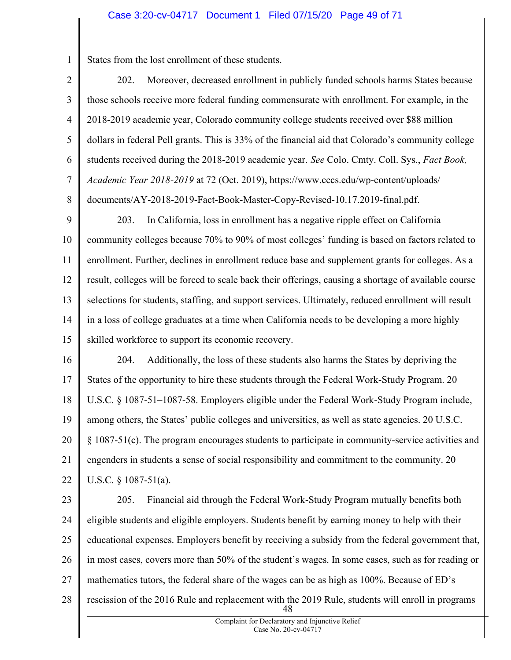1 States from the lost enrollment of these students.

2 3 4 5 6 7 8 202. Moreover, decreased enrollment in publicly funded schools harms States because those schools receive more federal funding commensurate with enrollment. For example, in the 2018-2019 academic year, Colorado community college students received over \$88 million dollars in federal Pell grants. This is 33% of the financial aid that Colorado's community college students received during the 2018-2019 academic year. See Colo. Cmty. Coll. Sys., Fact Book, Academic Year 2018-2019 at 72 (Oct. 2019), https://www.cccs.edu/wp-content/uploads/ documents/AY-2018-2019-Fact-Book-Master-Copy-Revised-10.17.2019-final.pdf.

9 10 11 12 13 14 15 203. In California, loss in enrollment has a negative ripple effect on California community colleges because 70% to 90% of most colleges' funding is based on factors related to enrollment. Further, declines in enrollment reduce base and supplement grants for colleges. As a result, colleges will be forced to scale back their offerings, causing a shortage of available course selections for students, staffing, and support services. Ultimately, reduced enrollment will result in a loss of college graduates at a time when California needs to be developing a more highly skilled workforce to support its economic recovery.

16 17 18 19 20 21 22 204. Additionally, the loss of these students also harms the States by depriving the States of the opportunity to hire these students through the Federal Work-Study Program. 20 U.S.C. § 1087-51–1087-58. Employers eligible under the Federal Work-Study Program include, among others, the States' public colleges and universities, as well as state agencies. 20 U.S.C. § 1087-51(c). The program encourages students to participate in community-service activities and engenders in students a sense of social responsibility and commitment to the community. 20 U.S.C. § 1087-51(a).

23 24 25 26 27 28 48 205. Financial aid through the Federal Work-Study Program mutually benefits both eligible students and eligible employers. Students benefit by earning money to help with their educational expenses. Employers benefit by receiving a subsidy from the federal government that, in most cases, covers more than 50% of the student's wages. In some cases, such as for reading or mathematics tutors, the federal share of the wages can be as high as 100%. Because of ED's rescission of the 2016 Rule and replacement with the 2019 Rule, students will enroll in programs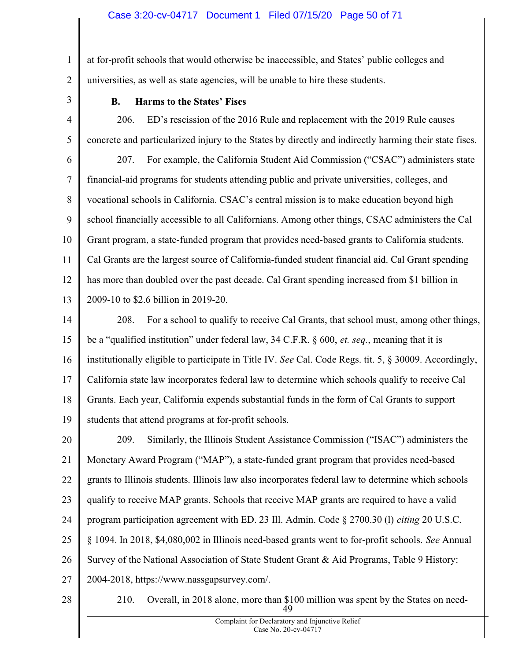1 2 at for-profit schools that would otherwise be inaccessible, and States' public colleges and universities, as well as state agencies, will be unable to hire these students.

3

# B. Harms to the States' Fiscs

4 5 206. ED's rescission of the 2016 Rule and replacement with the 2019 Rule causes concrete and particularized injury to the States by directly and indirectly harming their state fiscs.

6 7 8 9 10 11 12 13 207. For example, the California Student Aid Commission ("CSAC") administers state financial-aid programs for students attending public and private universities, colleges, and vocational schools in California. CSAC's central mission is to make education beyond high school financially accessible to all Californians. Among other things, CSAC administers the Cal Grant program, a state-funded program that provides need-based grants to California students. Cal Grants are the largest source of California-funded student financial aid. Cal Grant spending has more than doubled over the past decade. Cal Grant spending increased from \$1 billion in 2009-10 to \$2.6 billion in 2019-20.

14 15 16 17 18 19 208. For a school to qualify to receive Cal Grants, that school must, among other things, be a "qualified institution" under federal law, 34 C.F.R. § 600, *et. seq.*, meaning that it is institutionally eligible to participate in Title IV. See Cal. Code Regs. tit. 5, § 30009. Accordingly, California state law incorporates federal law to determine which schools qualify to receive Cal Grants. Each year, California expends substantial funds in the form of Cal Grants to support students that attend programs at for-profit schools.

20 21 22 23 24 25 26 27 209. Similarly, the Illinois Student Assistance Commission ("ISAC") administers the Monetary Award Program ("MAP"), a state-funded grant program that provides need-based grants to Illinois students. Illinois law also incorporates federal law to determine which schools qualify to receive MAP grants. Schools that receive MAP grants are required to have a valid program participation agreement with ED. 23 Ill. Admin. Code § 2700.30 (l) citing 20 U.S.C. § 1094. In 2018, \$4,080,002 in Illinois need-based grants went to for-profit schools. See Annual Survey of the National Association of State Student Grant & Aid Programs, Table 9 History: 2004-2018, https://www.nassgapsurvey.com/.

28

49 210. Overall, in 2018 alone, more than \$100 million was spent by the States on need-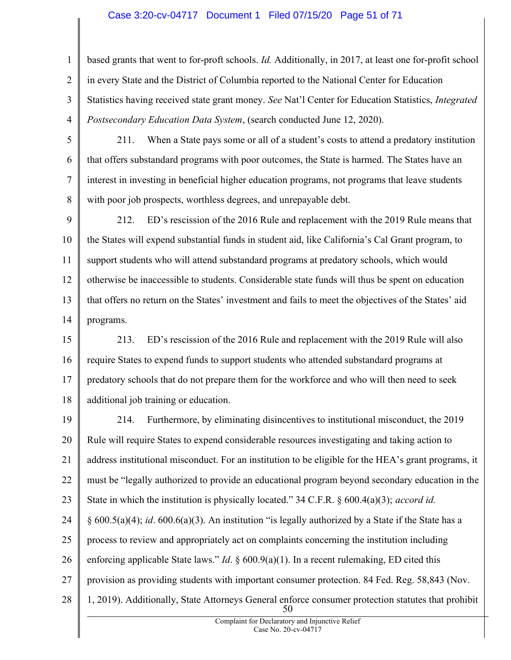## Case 3:20-cv-04717 Document 1 Filed 07/15/20 Page 51 of 71

1 2 3 4 based grants that went to for-proft schools. Id. Additionally, in 2017, at least one for-profit school in every State and the District of Columbia reported to the National Center for Education Statistics having received state grant money. See Nat'l Center for Education Statistics, Integrated Postsecondary Education Data System, (search conducted June 12, 2020).

5

6

7

8

211. When a State pays some or all of a student's costs to attend a predatory institution that offers substandard programs with poor outcomes, the State is harmed. The States have an interest in investing in beneficial higher education programs, not programs that leave students with poor job prospects, worthless degrees, and unrepayable debt.

9 10 11 12 13 14 212. ED's rescission of the 2016 Rule and replacement with the 2019 Rule means that the States will expend substantial funds in student aid, like California's Cal Grant program, to support students who will attend substandard programs at predatory schools, which would otherwise be inaccessible to students. Considerable state funds will thus be spent on education that offers no return on the States' investment and fails to meet the objectives of the States' aid programs.

15 16 17 18 213. ED's rescission of the 2016 Rule and replacement with the 2019 Rule will also require States to expend funds to support students who attended substandard programs at predatory schools that do not prepare them for the workforce and who will then need to seek additional job training or education.

19 20 21 22 23 24 25 26 27 28 50 214. Furthermore, by eliminating disincentives to institutional misconduct, the 2019 Rule will require States to expend considerable resources investigating and taking action to address institutional misconduct. For an institution to be eligible for the HEA's grant programs, it must be "legally authorized to provide an educational program beyond secondary education in the State in which the institution is physically located." 34 C.F.R.  $\S 600.4(a)(3)$ ; *accord id.*  $§ 600.5(a)(4); id. 600.6(a)(3).$  An institution "is legally authorized by a State if the State has a process to review and appropriately act on complaints concerning the institution including enforcing applicable State laws." *Id.*  $\S 600.9(a)(1)$ . In a recent rulemaking, ED cited this provision as providing students with important consumer protection. 84 Fed. Reg. 58,843 (Nov. 1, 2019). Additionally, State Attorneys General enforce consumer protection statutes that prohibit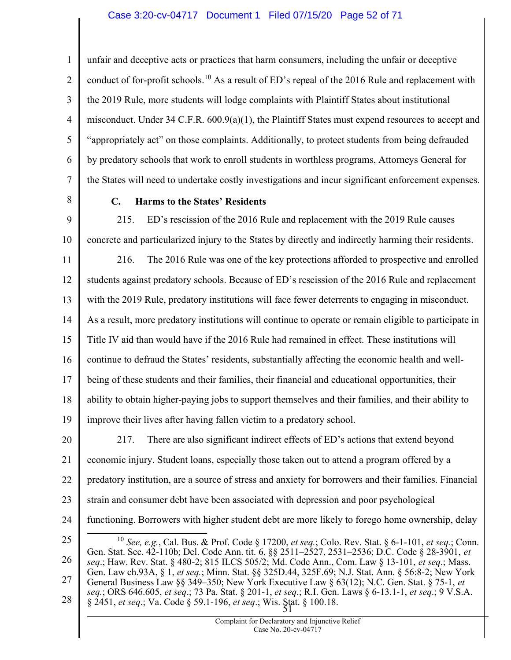1 2 3 4 5 6 7 unfair and deceptive acts or practices that harm consumers, including the unfair or deceptive conduct of for-profit schools.<sup>10</sup> As a result of ED's repeal of the 2016 Rule and replacement with the 2019 Rule, more students will lodge complaints with Plaintiff States about institutional misconduct. Under 34 C.F.R.  $600.9(a)(1)$ , the Plaintiff States must expend resources to accept and "appropriately act" on those complaints. Additionally, to protect students from being defrauded by predatory schools that work to enroll students in worthless programs, Attorneys General for the States will need to undertake costly investigations and incur significant enforcement expenses.

8

# C. Harms to the States' Residents

9 10 215. ED's rescission of the 2016 Rule and replacement with the 2019 Rule causes concrete and particularized injury to the States by directly and indirectly harming their residents.

11 12 13 14 15 16 17 18 19 216. The 2016 Rule was one of the key protections afforded to prospective and enrolled students against predatory schools. Because of ED's rescission of the 2016 Rule and replacement with the 2019 Rule, predatory institutions will face fewer deterrents to engaging in misconduct. As a result, more predatory institutions will continue to operate or remain eligible to participate in Title IV aid than would have if the 2016 Rule had remained in effect. These institutions will continue to defraud the States' residents, substantially affecting the economic health and wellbeing of these students and their families, their financial and educational opportunities, their ability to obtain higher-paying jobs to support themselves and their families, and their ability to improve their lives after having fallen victim to a predatory school.

20 21 22 23 24 217. There are also significant indirect effects of ED's actions that extend beyond economic injury. Student loans, especially those taken out to attend a program offered by a predatory institution, are a source of stress and anxiety for borrowers and their families. Financial strain and consumer debt have been associated with depression and poor psychological functioning. Borrowers with higher student debt are more likely to forego home ownership, delay

25

26 27 28  $51$ <sup>10</sup> See, e.g., Cal. Bus. & Prof. Code § 17200, et seq.; Colo. Rev. Stat. § 6-1-101, et seq.; Conn. Gen. Stat. Sec. 42-110b; Del. Code Ann. tit. 6, §§ 2511–2527, 2531–2536; D.C. Code § 28-3901, et seq.; Haw. Rev. Stat. § 480-2; 815 ILCS 505/2; Md. Code Ann., Com. Law § 13-101, et seq.; Mass. Gen. Law ch.93A, § 1, et seq.; Minn. Stat. §§ 325D.44, 325F.69; N.J. Stat. Ann. § 56:8-2; New York General Business Law §§ 349–350; New York Executive Law § 63(12); N.C. Gen. Stat. § 75-1, et seq.; ORS 646.605, et seq.; 73 Pa. Stat. § 201-1, et seq.; R.I. Gen. Laws § 6-13.1-1, et seq.; 9 V.S.A. § 2451, et seq.; Va. Code § 59.1-196, et seq.; Wis. Stat. § 100.18.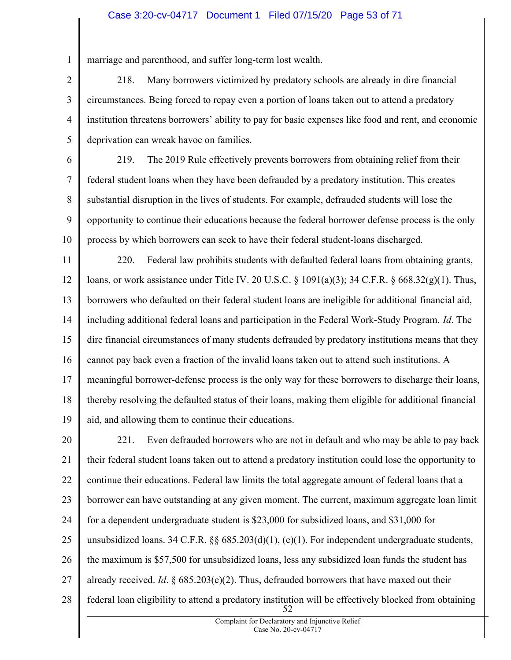# Case 3:20-cv-04717 Document 1 Filed 07/15/20 Page 53 of 71

marriage and parenthood, and suffer long-term lost wealth.

1

2 3 4 5 218. Many borrowers victimized by predatory schools are already in dire financial circumstances. Being forced to repay even a portion of loans taken out to attend a predatory institution threatens borrowers' ability to pay for basic expenses like food and rent, and economic deprivation can wreak havoc on families.

6 7 8 9 10 219. The 2019 Rule effectively prevents borrowers from obtaining relief from their federal student loans when they have been defrauded by a predatory institution. This creates substantial disruption in the lives of students. For example, defrauded students will lose the opportunity to continue their educations because the federal borrower defense process is the only process by which borrowers can seek to have their federal student-loans discharged.

11 12 13 14 15 16 17 18 19 220. Federal law prohibits students with defaulted federal loans from obtaining grants, loans, or work assistance under Title IV. 20 U.S.C. § 1091(a)(3); 34 C.F.R. § 668.32(g)(1). Thus, borrowers who defaulted on their federal student loans are ineligible for additional financial aid, including additional federal loans and participation in the Federal Work-Study Program. Id. The dire financial circumstances of many students defrauded by predatory institutions means that they cannot pay back even a fraction of the invalid loans taken out to attend such institutions. A meaningful borrower-defense process is the only way for these borrowers to discharge their loans, thereby resolving the defaulted status of their loans, making them eligible for additional financial aid, and allowing them to continue their educations.

20 21 22 23 24 25 26 27 28 52 221. Even defrauded borrowers who are not in default and who may be able to pay back their federal student loans taken out to attend a predatory institution could lose the opportunity to continue their educations. Federal law limits the total aggregate amount of federal loans that a borrower can have outstanding at any given moment. The current, maximum aggregate loan limit for a dependent undergraduate student is \$23,000 for subsidized loans, and \$31,000 for unsubsidized loans. 34 C.F.R.  $\S$   $\S$   $685.203(d)(1)$ , (e)(1). For independent undergraduate students, the maximum is \$57,500 for unsubsidized loans, less any subsidized loan funds the student has already received. Id.  $\S$  685.203(e)(2). Thus, defrauded borrowers that have maxed out their federal loan eligibility to attend a predatory institution will be effectively blocked from obtaining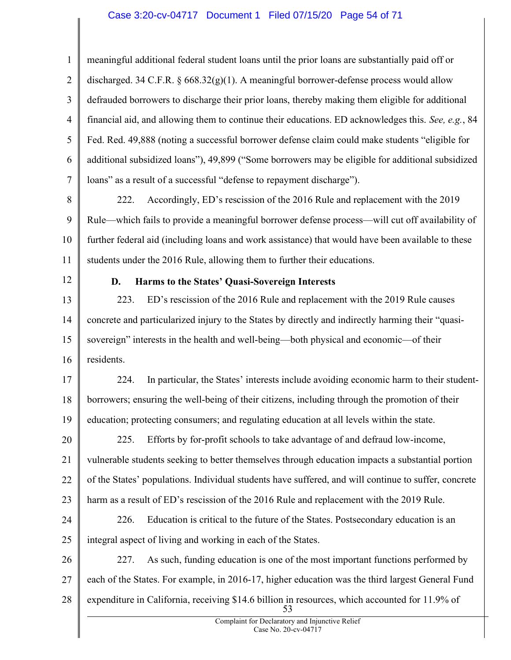# Case 3:20-cv-04717 Document 1 Filed 07/15/20 Page 54 of 71

1 2 3 4 5 6 7 8 9 10 11 12 13 14 15 16 17 18 19 20 21 22 23 24 25 26 27 28 53 meaningful additional federal student loans until the prior loans are substantially paid off or discharged. 34 C.F.R.  $\S 668.32(g)(1)$ . A meaningful borrower-defense process would allow defrauded borrowers to discharge their prior loans, thereby making them eligible for additional financial aid, and allowing them to continue their educations. ED acknowledges this. See, e.g., 84 Fed. Red. 49,888 (noting a successful borrower defense claim could make students "eligible for additional subsidized loans"), 49,899 ("Some borrowers may be eligible for additional subsidized loans" as a result of a successful "defense to repayment discharge"). 222. Accordingly, ED's rescission of the 2016 Rule and replacement with the 2019 Rule—which fails to provide a meaningful borrower defense process—will cut off availability of further federal aid (including loans and work assistance) that would have been available to these students under the 2016 Rule, allowing them to further their educations. D. Harms to the States' Quasi-Sovereign Interests 223. ED's rescission of the 2016 Rule and replacement with the 2019 Rule causes concrete and particularized injury to the States by directly and indirectly harming their "quasisovereign" interests in the health and well-being—both physical and economic—of their residents. 224. In particular, the States' interests include avoiding economic harm to their studentborrowers; ensuring the well-being of their citizens, including through the promotion of their education; protecting consumers; and regulating education at all levels within the state. 225. Efforts by for-profit schools to take advantage of and defraud low-income, vulnerable students seeking to better themselves through education impacts a substantial portion of the States' populations. Individual students have suffered, and will continue to suffer, concrete harm as a result of ED's rescission of the 2016 Rule and replacement with the 2019 Rule. 226. Education is critical to the future of the States. Postsecondary education is an integral aspect of living and working in each of the States. 227. As such, funding education is one of the most important functions performed by each of the States. For example, in 2016-17, higher education was the third largest General Fund expenditure in California, receiving \$14.6 billion in resources, which accounted for 11.9% of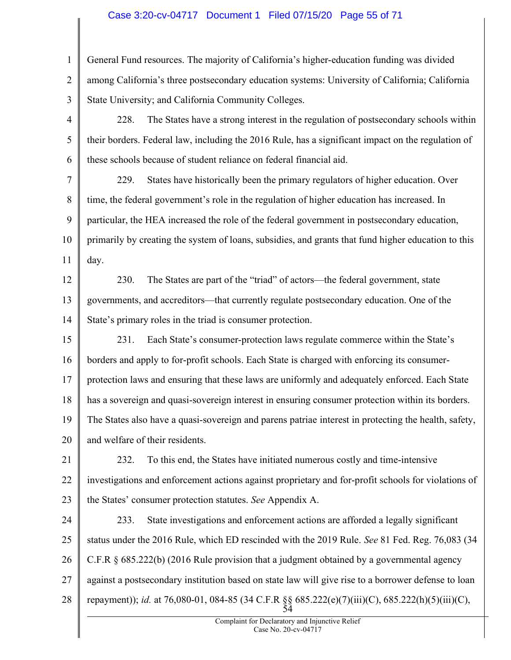# Case 3:20-cv-04717 Document 1 Filed 07/15/20 Page 55 of 71

1 2 3 4 5 6 7 8 9 10 11 12 13 14 15 16 17 18 19 20 21 22 23 24 25 26 27 28 54 General Fund resources. The majority of California's higher-education funding was divided among California's three postsecondary education systems: University of California; California State University; and California Community Colleges. 228. The States have a strong interest in the regulation of postsecondary schools within their borders. Federal law, including the 2016 Rule, has a significant impact on the regulation of these schools because of student reliance on federal financial aid. 229. States have historically been the primary regulators of higher education. Over time, the federal government's role in the regulation of higher education has increased. In particular, the HEA increased the role of the federal government in postsecondary education, primarily by creating the system of loans, subsidies, and grants that fund higher education to this day. 230. The States are part of the "triad" of actors—the federal government, state governments, and accreditors—that currently regulate postsecondary education. One of the State's primary roles in the triad is consumer protection. 231. Each State's consumer-protection laws regulate commerce within the State's borders and apply to for-profit schools. Each State is charged with enforcing its consumerprotection laws and ensuring that these laws are uniformly and adequately enforced. Each State has a sovereign and quasi-sovereign interest in ensuring consumer protection within its borders. The States also have a quasi-sovereign and parens patriae interest in protecting the health, safety, and welfare of their residents. 232. To this end, the States have initiated numerous costly and time-intensive investigations and enforcement actions against proprietary and for-profit schools for violations of the States' consumer protection statutes. See Appendix A. 233. State investigations and enforcement actions are afforded a legally significant status under the 2016 Rule, which ED rescinded with the 2019 Rule. See 81 Fed. Reg. 76,083 (34 C.F.R § 685.222(b) (2016 Rule provision that a judgment obtained by a governmental agency against a postsecondary institution based on state law will give rise to a borrower defense to loan repayment)); *id.* at 76,080-01, 084-85 (34 C.F.R §§ 685.222(e)(7)(iii)(C), 685.222(h)(5)(iii)(C),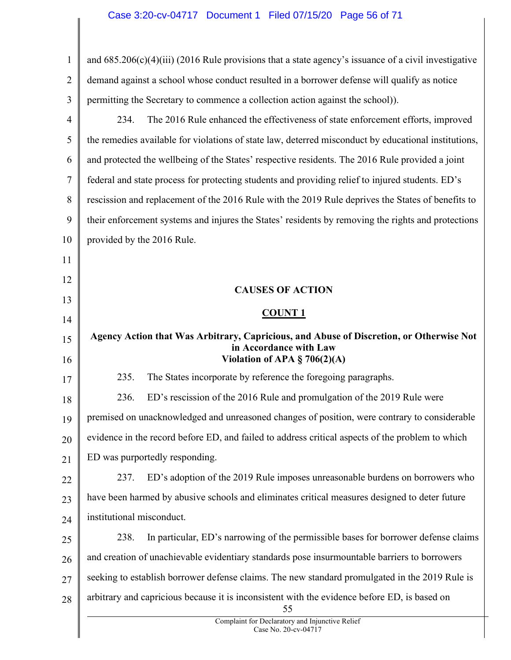| $\mathbf{1}$   | and $685.206(c)(4)(iii)$ (2016 Rule provisions that a state agency's issuance of a civil investigative                                               |
|----------------|------------------------------------------------------------------------------------------------------------------------------------------------------|
| $\overline{2}$ | demand against a school whose conduct resulted in a borrower defense will qualify as notice                                                          |
| 3              | permitting the Secretary to commence a collection action against the school)).                                                                       |
| $\overline{4}$ | The 2016 Rule enhanced the effectiveness of state enforcement efforts, improved<br>234.                                                              |
| 5              | the remedies available for violations of state law, deterred misconduct by educational institutions,                                                 |
| 6              | and protected the wellbeing of the States' respective residents. The 2016 Rule provided a joint                                                      |
| 7              | federal and state process for protecting students and providing relief to injured students. ED's                                                     |
| 8              | rescission and replacement of the 2016 Rule with the 2019 Rule deprives the States of benefits to                                                    |
| 9              | their enforcement systems and injures the States' residents by removing the rights and protections                                                   |
| 10             | provided by the 2016 Rule.                                                                                                                           |
| 11             |                                                                                                                                                      |
| 12             |                                                                                                                                                      |
| 13             | <b>CAUSES OF ACTION</b>                                                                                                                              |
| 14             | <b>COUNT 1</b>                                                                                                                                       |
| 15<br>16       | Agency Action that Was Arbitrary, Capricious, and Abuse of Discretion, or Otherwise Not<br>in Accordance with Law<br>Violation of APA $\S$ 706(2)(A) |
| 17             | The States incorporate by reference the foregoing paragraphs.<br>235.                                                                                |
| 18             | 236.<br>ED's rescission of the 2016 Rule and promulgation of the 2019 Rule were                                                                      |
| 19             | premised on unacknowledged and unreasoned changes of position, were contrary to considerable                                                         |
| 20             | evidence in the record before ED, and failed to address critical aspects of the problem to which                                                     |
| 21             | ED was purportedly responding.                                                                                                                       |
| 22             | ED's adoption of the 2019 Rule imposes unreasonable burdens on borrowers who<br>237.                                                                 |
| 23             | have been harmed by abusive schools and eliminates critical measures designed to deter future                                                        |
| 24             | institutional misconduct.                                                                                                                            |
| 25             | 238.<br>In particular, ED's narrowing of the permissible bases for borrower defense claims                                                           |
| 26             | and creation of unachievable evidentiary standards pose insurmountable barriers to borrowers                                                         |
| 27             | seeking to establish borrower defense claims. The new standard promulgated in the 2019 Rule is                                                       |
| 28             | arbitrary and capricious because it is inconsistent with the evidence before ED, is based on<br>55                                                   |
|                | Complaint for Declaratory and Injunctive Relief<br>Case No. 20-cv-04717                                                                              |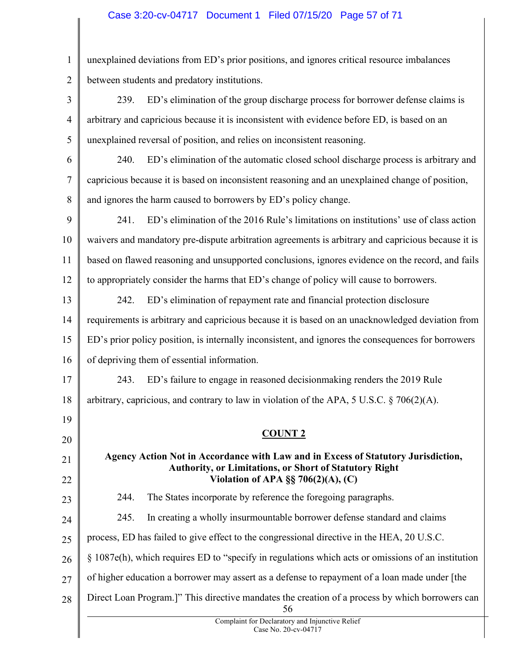# Case 3:20-cv-04717 Document 1 Filed 07/15/20 Page 57 of 71

| $\mathbf{1}$   | unexplained deviations from ED's prior positions, and ignores critical resource imbalances                                                  |
|----------------|---------------------------------------------------------------------------------------------------------------------------------------------|
| $\overline{2}$ | between students and predatory institutions.                                                                                                |
| 3              | ED's elimination of the group discharge process for borrower defense claims is<br>239.                                                      |
| $\overline{4}$ | arbitrary and capricious because it is inconsistent with evidence before ED, is based on an                                                 |
| 5              | unexplained reversal of position, and relies on inconsistent reasoning.                                                                     |
| 6              | ED's elimination of the automatic closed school discharge process is arbitrary and<br>240.                                                  |
| 7              | capricious because it is based on inconsistent reasoning and an unexplained change of position,                                             |
| 8              | and ignores the harm caused to borrowers by ED's policy change.                                                                             |
| 9              | ED's elimination of the 2016 Rule's limitations on institutions' use of class action<br>241.                                                |
| 10             | waivers and mandatory pre-dispute arbitration agreements is arbitrary and capricious because it is                                          |
| 11             | based on flawed reasoning and unsupported conclusions, ignores evidence on the record, and fails                                            |
| 12             | to appropriately consider the harms that ED's change of policy will cause to borrowers.                                                     |
| 13             | ED's elimination of repayment rate and financial protection disclosure<br>242.                                                              |
| 14             | requirements is arbitrary and capricious because it is based on an unacknowledged deviation from                                            |
| 15             | ED's prior policy position, is internally inconsistent, and ignores the consequences for borrowers                                          |
| 16             | of depriving them of essential information.                                                                                                 |
| 17             | ED's failure to engage in reasoned decision making renders the 2019 Rule<br>243.                                                            |
| 18             | arbitrary, capricious, and contrary to law in violation of the APA, 5 U.S.C. $\S$ 706(2)(A).                                                |
| 19             |                                                                                                                                             |
| 20             | <b>COUNT 2</b>                                                                                                                              |
| 21             | Agency Action Not in Accordance with Law and in Excess of Statutory Jurisdiction,<br>Authority, or Limitations, or Short of Statutory Right |
| 22             | Violation of APA $\S$ § 706(2)(A), (C)                                                                                                      |
| 23             | The States incorporate by reference the foregoing paragraphs.<br>244.                                                                       |
| 24             | 245.<br>In creating a wholly insurmountable borrower defense standard and claims                                                            |
| 25             | process, ED has failed to give effect to the congressional directive in the HEA, 20 U.S.C.                                                  |
| 26             | $\S$ 1087e(h), which requires ED to "specify in regulations which acts or omissions of an institution                                       |
| 27             | of higher education a borrower may assert as a defense to repayment of a loan made under [the                                               |
| 28             | Direct Loan Program.]" This directive mandates the creation of a process by which borrowers can<br>56                                       |
|                | Complaint for Declaratory and Injunctive Relief<br>Case No. 20-cv-04717                                                                     |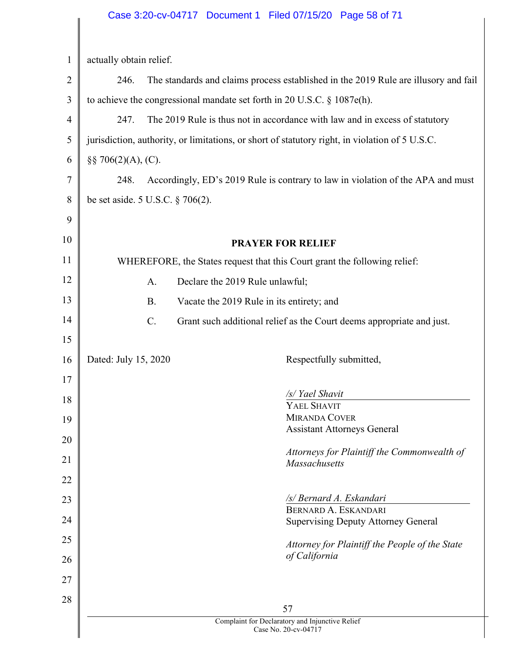|                | Case 3:20-cv-04717 Document 1 Filed 07/15/20 Page 58 of 71                                     |
|----------------|------------------------------------------------------------------------------------------------|
|                |                                                                                                |
| $\mathbf{1}$   | actually obtain relief.                                                                        |
| $\overline{2}$ | 246.<br>The standards and claims process established in the 2019 Rule are illusory and fail    |
| 3              | to achieve the congressional mandate set forth in 20 U.S.C. $\S$ 1087e(h).                     |
| $\overline{4}$ | The 2019 Rule is thus not in accordance with law and in excess of statutory<br>247.            |
| 5              | jurisdiction, authority, or limitations, or short of statutory right, in violation of 5 U.S.C. |
| 6              | $\S\S 706(2)(A), (C).$                                                                         |
| 7              | Accordingly, ED's 2019 Rule is contrary to law in violation of the APA and must<br>248.        |
| 8              | be set aside. 5 U.S.C. $\S 706(2)$ .                                                           |
| 9              |                                                                                                |
| 10             | <b>PRAYER FOR RELIEF</b>                                                                       |
| 11             | WHEREFORE, the States request that this Court grant the following relief:                      |
| 12             | Declare the 2019 Rule unlawful;<br>A.                                                          |
| 13             | <b>B.</b><br>Vacate the 2019 Rule in its entirety; and                                         |
| 14             | C.<br>Grant such additional relief as the Court deems appropriate and just.                    |
| 15             |                                                                                                |
| 16             | Dated: July 15, 2020<br>Respectfully submitted,                                                |
| 17             |                                                                                                |
| 18             | /s/ Yael Shavit<br>YAEL SHAVIT                                                                 |
| 19             | <b>MIRANDA COVER</b>                                                                           |
| 20             | <b>Assistant Attorneys General</b>                                                             |
| 21             | Attorneys for Plaintiff the Commonwealth of<br>Massachusetts                                   |
| 22             |                                                                                                |
| 23             | /s/ Bernard A. Eskandari                                                                       |
| 24             | BERNARD A. ESKANDARI<br><b>Supervising Deputy Attorney General</b>                             |
| 25             | Attorney for Plaintiff the People of the State                                                 |
| 26             | of California                                                                                  |
| 27             |                                                                                                |
| 28             |                                                                                                |
|                | 57<br>Complaint for Declaratory and Injunctive Relief                                          |
|                | Case No. 20-cv-04717                                                                           |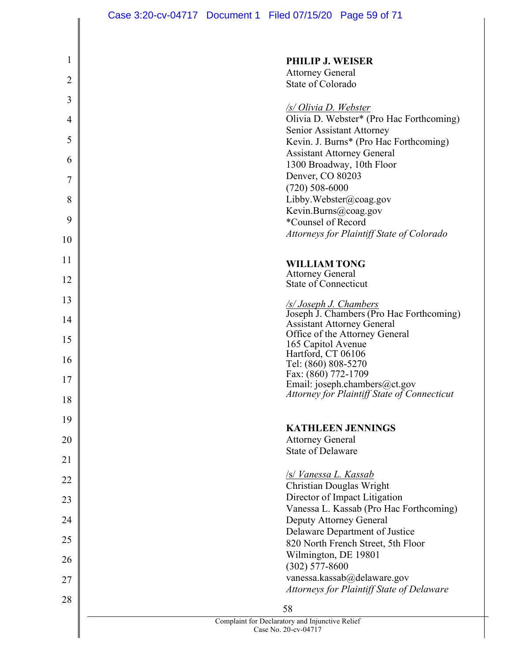Case 3:20-cv-04717 Document 1 Filed 07/15/20 Page 59 of 71

| $\mathbf 1$    | <b>PHILIP J. WEISER</b>                                                 |
|----------------|-------------------------------------------------------------------------|
|                | <b>Attorney General</b>                                                 |
| $\overline{2}$ | State of Colorado                                                       |
| 3              | /s/ Olivia D. Webster                                                   |
| 4              | Olivia D. Webster* (Pro Hac Forthcoming)<br>Senior Assistant Attorney   |
| 5              | Kevin. J. Burns* (Pro Hac Forthcoming)                                  |
| 6              | <b>Assistant Attorney General</b><br>1300 Broadway, 10th Floor          |
| 7              | Denver, CO 80203                                                        |
|                | $(720)$ 508-6000                                                        |
| 8              | Libby.Webster@coag.gov                                                  |
| 9              | Kevin.Burns@coag.gov                                                    |
|                | *Counsel of Record                                                      |
| 10             | Attorneys for Plaintiff State of Colorado                               |
| 11             | <b>WILLIAM TONG</b>                                                     |
|                | <b>Attorney General</b>                                                 |
| 12             | State of Connecticut                                                    |
| 13             |                                                                         |
| 14             | <i>S/Joseph J. Chambers</i><br>Joseph J. Chambers (Pro Hac Forthcoming) |
|                | <b>Assistant Attorney General</b><br>Office of the Attorney General     |
| 15             | 165 Capitol Avenue                                                      |
| 16             | Hartford, CT 06106                                                      |
|                | Tel: (860) 808-5270<br>Fax: (860) 772-1709                              |
| 17             | Email: joseph.chambers@ct.gov                                           |
| 18             | Attorney for Plaintiff State of Connecticut                             |
|                |                                                                         |
| 19             | <b>KATHLEEN JENNINGS</b>                                                |
| 20             | <b>Attorney General</b>                                                 |
| 21             | <b>State of Delaware</b>                                                |
| 22             | /s/ Vanessa L. Kassab                                                   |
|                | Christian Douglas Wright                                                |
| 23             | Director of Impact Litigation                                           |
| 24             | Vanessa L. Kassab (Pro Hac Forthcoming)<br>Deputy Attorney General      |
|                | Delaware Department of Justice                                          |
| 25             | 820 North French Street, 5th Floor                                      |
| 26             | Wilmington, DE 19801                                                    |
|                | $(302)$ 577-8600                                                        |
| 27             | vanessa.kassab@delaware.gov                                             |
| 28             | Attorneys for Plaintiff State of Delaware                               |
|                | 58                                                                      |
|                | Complaint for Declaratory and Injunctive Relief                         |

Case No. 20-cv-04717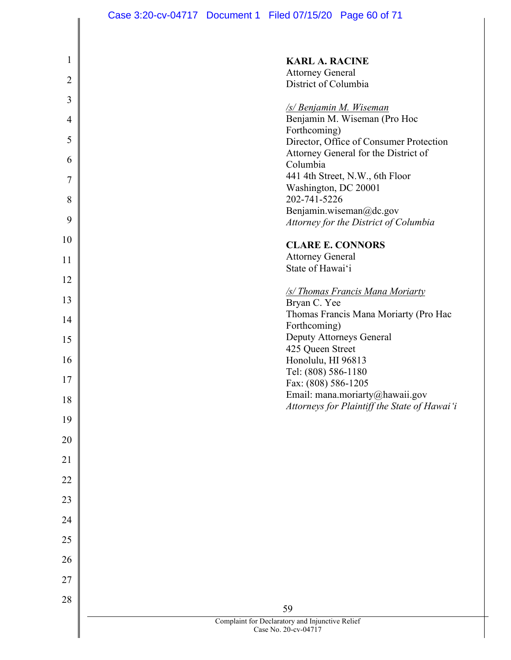| $\mathbf 1$    | <b>KARL A. RACINE</b>                                 |
|----------------|-------------------------------------------------------|
| $\overline{2}$ | <b>Attorney General</b>                               |
| 3              | District of Columbia                                  |
|                | <u>/s/ Benjamin M. Wiseman</u>                        |
| $\overline{4}$ | Benjamin M. Wiseman (Pro Hoc<br>Forthcoming)          |
| 5              | Director, Office of Consumer Protection               |
| 6              | Attorney General for the District of<br>Columbia      |
| 7              | 441 4th Street, N.W., 6th Floor                       |
| 8              | Washington, DC 20001<br>202-741-5226                  |
|                | Benjamin.wiseman@dc.gov                               |
| 9              | Attorney for the District of Columbia                 |
| 10             | <b>CLARE E. CONNORS</b>                               |
| 11             | <b>Attorney General</b><br>State of Hawai'i           |
| 12             |                                                       |
| 13             | /s/ Thomas Francis Mana Moriarty<br>Bryan C. Yee      |
| 14             | Thomas Francis Mana Moriarty (Pro Hac                 |
|                | Forthcoming)                                          |
| 15             | Deputy Attorneys General<br>425 Queen Street          |
| 16             | Honolulu, HI 96813                                    |
| 17             | Tel: (808) 586-1180<br>Fax: (808) 586-1205            |
| 18             | Email: mana.moriarty@hawaii.gov                       |
| 19             | Attorneys for Plaintiff the State of Hawai'i          |
| 20             |                                                       |
| 21             |                                                       |
| 22             |                                                       |
| 23             |                                                       |
| 24             |                                                       |
|                |                                                       |
| 25             |                                                       |
| 26             |                                                       |
| 27             |                                                       |
| 28             |                                                       |
|                | 59<br>Complaint for Declaratory and Injunctive Relief |
|                | Case No. 20-cv-04717                                  |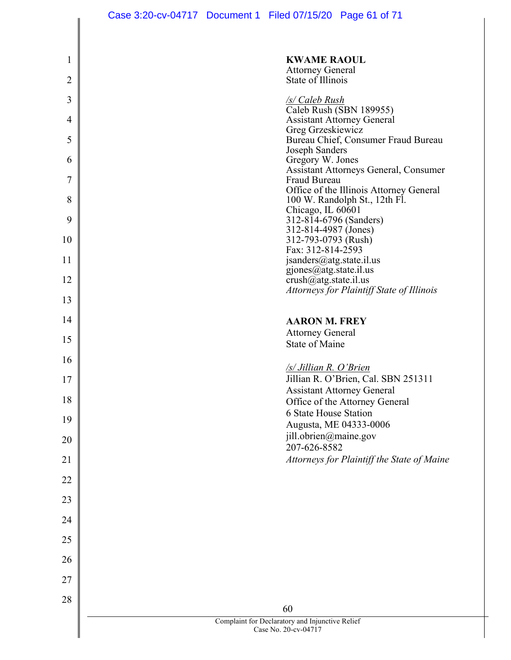| 1              | <b>KWAME RAOUL</b><br><b>Attorney General</b>                            |
|----------------|--------------------------------------------------------------------------|
| $\overline{2}$ | State of Illinois                                                        |
| 3              | <u>/s/ Caleb Rush</u>                                                    |
| 4              | Caleb Rush (SBN 189955)<br><b>Assistant Attorney General</b>             |
| 5              | Greg Grzeskiewicz<br>Bureau Chief, Consumer Fraud Bureau                 |
| 6              | Joseph Sanders<br>Gregory W. Jones                                       |
|                | <b>Assistant Attorneys General, Consumer</b>                             |
| 7              | Fraud Bureau<br>Office of the Illinois Attorney General                  |
| 8              | 100 W. Randolph St., 12th Fl.<br>Chicago, IL 60601                       |
| 9              | 312-814-6796 (Sanders)<br>312-814-4987 (Jones)                           |
| 10             | 312-793-0793 (Rush)<br>Fax: 312-814-2593                                 |
| 11             | jsanders@atg.state.il.us                                                 |
| 12             | $gjones@atg. state.$ il.us<br>$crush@atg. state.$ il.us                  |
| 13             | Attorneys for Plaintiff State of Illinois                                |
| 14             | <b>AARON M. FREY</b>                                                     |
| 15             | <b>Attorney General</b>                                                  |
| 16             | <b>State of Maine</b>                                                    |
|                | /s/ Jillian R. O'Brien                                                   |
| 17             | Jillian R. O'Brien, Cal. SBN 251311<br><b>Assistant Attorney General</b> |
| 18             | Office of the Attorney General<br>6 State House Station                  |
| 19             | Augusta, ME 04333-0006                                                   |
| 20             | jill.obrien@maine.gov<br>207-626-8582                                    |
| 21             | Attorneys for Plaintiff the State of Maine                               |
| 22             |                                                                          |
| 23             |                                                                          |
| 24             |                                                                          |
| 25             |                                                                          |
| 26             |                                                                          |
| 27             |                                                                          |
| 28             |                                                                          |
|                | 60                                                                       |
|                | Complaint for Declaratory and Injunctive Relief<br>Case No. 20-cv-04717  |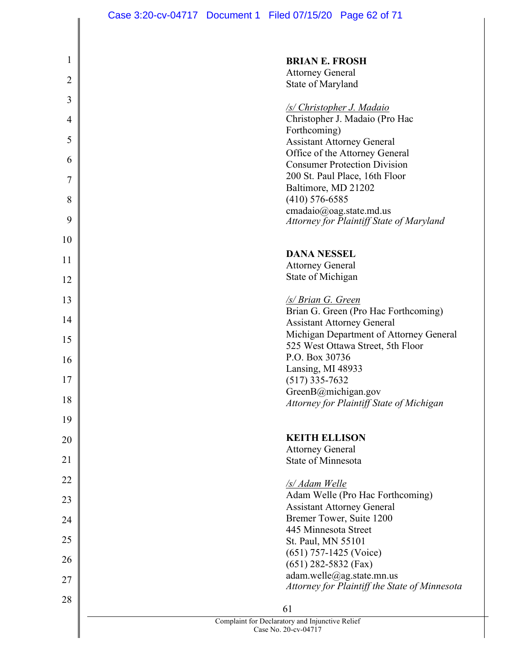| 1              | <b>BRIAN E. FROSH</b>                                               |
|----------------|---------------------------------------------------------------------|
|                | <b>Attorney General</b>                                             |
| $\overline{2}$ | State of Maryland                                                   |
| 3              | <b>/s/ Christopher J. Madaio</b>                                    |
| $\overline{4}$ | Christopher J. Madaio (Pro Hac                                      |
|                | Forthcoming)                                                        |
| 5              | <b>Assistant Attorney General</b><br>Office of the Attorney General |
| 6              | <b>Consumer Protection Division</b>                                 |
| 7              | 200 St. Paul Place, 16th Floor                                      |
|                | Baltimore, MD 21202                                                 |
| 8              | $(410)$ 576-6585<br>cmadaio@oag.state.md.us                         |
| 9              | Attorney for Plaintiff State of Maryland                            |
| 10             |                                                                     |
|                | <b>DANA NESSEL</b>                                                  |
| 11             | <b>Attorney General</b>                                             |
| 12             | State of Michigan                                                   |
| 13             | <b>S/Brian G. Green</b>                                             |
|                | Brian G. Green (Pro Hac Forthcoming)                                |
| 14             | <b>Assistant Attorney General</b>                                   |
| 15             | Michigan Department of Attorney General                             |
|                | 525 West Ottawa Street, 5th Floor<br>P.O. Box 30736                 |
| 16             | Lansing, MI 48933                                                   |
| 17             | $(517)$ 335-7632                                                    |
| 18             | GreenB@michigan.gov                                                 |
|                | <b>Attorney for Plaintiff State of Michigan</b>                     |
| 19             |                                                                     |
| 20             | <b>KEITH ELLISON</b>                                                |
| 21             | <b>Attorney General</b><br>State of Minnesota                       |
|                |                                                                     |
| 22             | /s/ Adam Welle                                                      |
| 23             | Adam Welle (Pro Hac Forthcoming)                                    |
| 24             | <b>Assistant Attorney General</b><br>Bremer Tower, Suite 1200       |
|                | 445 Minnesota Street                                                |
| 25             | St. Paul, MN 55101                                                  |
| 26             | $(651)$ 757-1425 (Voice)                                            |
|                | $(651)$ 282-5832 (Fax)<br>adam.welle@ag.state.mn.us                 |
| 27             | Attorney for Plaintiff the State of Minnesota                       |
| 28             |                                                                     |
|                | 61<br>Complaint for Declaratory and Injunctive Relief               |
|                | Case No. 20-cv-04717                                                |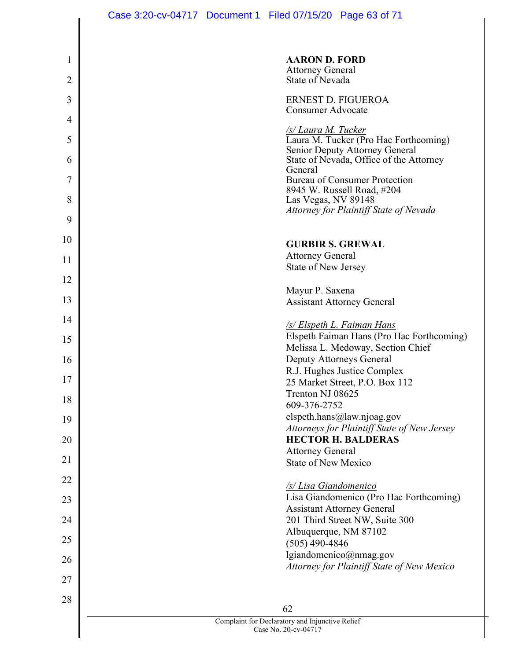| 1<br>$\overline{2}$ | <b>AARON D. FORD</b><br><b>Attorney General</b><br>State of Nevada           |
|---------------------|------------------------------------------------------------------------------|
|                     |                                                                              |
| 3                   | ERNEST D. FIGUEROA<br><b>Consumer Advocate</b>                               |
| 4                   | $\frac{1}{S/Laura M. Tucker}$ Laura M. Tucker (Pro Hac Forthcoming)          |
| 5<br>6              | Senior Deputy Attorney General<br>State of Nevada, Office of the Attorney    |
| 7                   | General<br><b>Bureau of Consumer Protection</b>                              |
| 8                   | 8945 W. Russell Road, #204                                                   |
|                     | Las Vegas, NV 89148<br>Attorney for Plaintiff State of Nevada                |
| 9                   |                                                                              |
| 10                  | <b>GURBIR S. GREWAL</b>                                                      |
| 11                  | <b>Attorney General</b>                                                      |
| 12                  | <b>State of New Jersey</b>                                                   |
|                     | Mayur P. Saxena                                                              |
| 13                  | <b>Assistant Attorney General</b>                                            |
| 14                  | <u>/s/ Elspeth L. Faiman Hans</u>                                            |
| 15                  | Elspeth Faiman Hans (Pro Hac Forthcoming)                                    |
| 16                  | Melissa L. Medoway, Section Chief<br>Deputy Attorneys General                |
|                     | R.J. Hughes Justice Complex                                                  |
| 17                  | 25 Market Street, P.O. Box 112                                               |
| 18                  | Trenton NJ 08625<br>609-376-2752                                             |
| 19                  | elspeth.hans@law.njoag.gov                                                   |
| 20                  | Attorneys for Plaintiff State of New Jersey<br><b>HECTOR H. BALDERAS</b>     |
|                     | <b>Attorney General</b>                                                      |
| 21                  | <b>State of New Mexico</b>                                                   |
| 22                  | <b>/s/Lisa Giandomenico</b>                                                  |
| 23                  | Lisa Giandomenico (Pro Hac Forthcoming)<br><b>Assistant Attorney General</b> |
| 24                  | 201 Third Street NW, Suite 300                                               |
| 25                  | Albuquerque, NM 87102                                                        |
|                     | $(505)$ 490-4846<br>lgiandomenico@nmag.gov                                   |
| 26                  | Attorney for Plaintiff State of New Mexico                                   |
| 27                  |                                                                              |
| 28                  |                                                                              |
|                     | 62<br>Complaint for Declaratory and Injunctive Relief                        |
|                     | Case No. 20-cv-04717                                                         |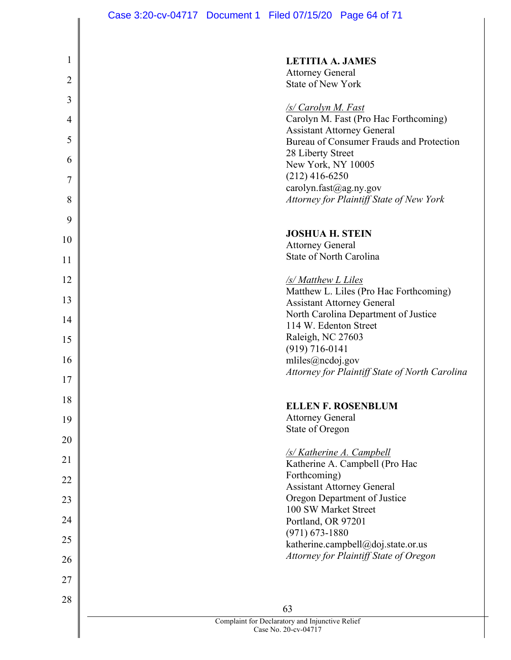| 1              | <b>LETITIA A. JAMES</b>                                                      |
|----------------|------------------------------------------------------------------------------|
| $\overline{2}$ | <b>Attorney General</b><br><b>State of New York</b>                          |
| 3              |                                                                              |
| 4              | /s/ Carolyn M. Fast<br>Carolyn M. Fast (Pro Hac Forthcoming)                 |
|                | <b>Assistant Attorney General</b>                                            |
| 5              | Bureau of Consumer Frauds and Protection<br>28 Liberty Street                |
| 6              | New York, NY 10005                                                           |
| 7              | $(212)$ 416-6250<br>carolyn.fast@ag.ny.gov                                   |
| 8              | Attorney for Plaintiff State of New York                                     |
| 9              |                                                                              |
| 10             | <b>JOSHUA H. STEIN</b>                                                       |
|                | <b>Attorney General</b><br><b>State of North Carolina</b>                    |
| 11             |                                                                              |
| 12             | /s/ Matthew L Liles<br>Matthew L. Liles (Pro Hac Forthcoming)                |
| 13             | <b>Assistant Attorney General</b>                                            |
| 14             | North Carolina Department of Justice<br>114 W. Edenton Street                |
| 15             | Raleigh, NC 27603                                                            |
|                | $(919) 716 - 0141$                                                           |
| 16             | mliles@ncdoj.gov<br>Attorney for Plaintiff State of North Carolina           |
| 17             |                                                                              |
| 18             | <b>ELLEN F. ROSENBLUM</b>                                                    |
| 19             | <b>Attorney General</b>                                                      |
| 20             | State of Oregon                                                              |
| 21             | <b>/s/ Katherine A. Campbell</b>                                             |
|                | Katherine A. Campbell (Pro Hac<br>Forthcoming)                               |
| 22             | <b>Assistant Attorney General</b>                                            |
| 23             | Oregon Department of Justice<br>100 SW Market Street                         |
| 24             | Portland, OR 97201                                                           |
| 25             | $(971) 673 - 1880$                                                           |
| 26             | katherine.campbell@doj.state.or.us<br>Attorney for Plaintiff State of Oregon |
|                |                                                                              |
| 27             |                                                                              |
| 28             | 63                                                                           |
|                | Complaint for Declaratory and Injunctive Relief<br>Case No. 20-cv-04717      |
|                |                                                                              |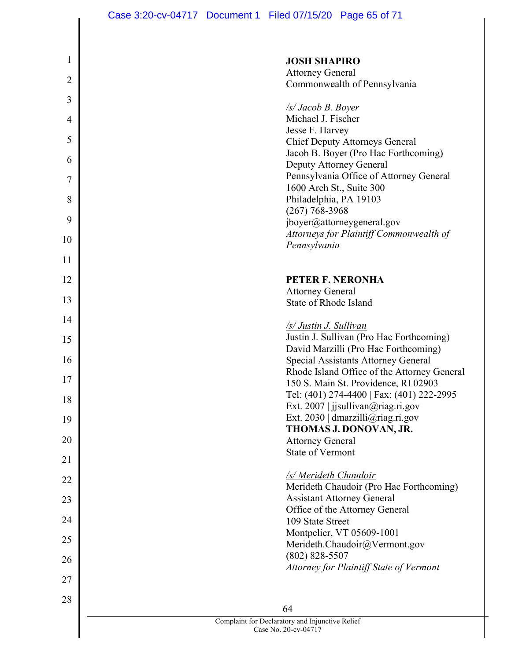| 1              | <b>JOSH SHAPIRO</b>                                                                |
|----------------|------------------------------------------------------------------------------------|
| $\overline{2}$ | <b>Attorney General</b>                                                            |
|                | Commonwealth of Pennsylvania                                                       |
| 3              | <b>S</b> / <b>Jacob B. Boyer</b>                                                   |
| 4              | Michael J. Fischer                                                                 |
| 5              | Jesse F. Harvey                                                                    |
|                | <b>Chief Deputy Attorneys General</b><br>Jacob B. Boyer (Pro Hac Forthcoming)      |
| 6              | Deputy Attorney General                                                            |
| 7              | Pennsylvania Office of Attorney General                                            |
|                | 1600 Arch St., Suite 300                                                           |
| 8              | Philadelphia, PA 19103<br>$(267)$ 768-3968                                         |
| 9              | jboyer@attorneygeneral.gov                                                         |
| 10             | Attorneys for Plaintiff Commonwealth of                                            |
|                | Pennsylvania                                                                       |
| 11             |                                                                                    |
| 12             | PETER F. NERONHA                                                                   |
| 13             | <b>Attorney General</b>                                                            |
|                | State of Rhode Island                                                              |
| 14             | /s/ Justin J. Sullivan                                                             |
| 15             | Justin J. Sullivan (Pro Hac Forthcoming)                                           |
|                | David Marzilli (Pro Hac Forthcoming)                                               |
| 16             | Special Assistants Attorney General<br>Rhode Island Office of the Attorney General |
| 17             | 150 S. Main St. Providence, RI 02903                                               |
| 18             | Tel: (401) 274-4400   Fax: (401) 222-2995                                          |
|                | Ext. 2007   jisullivan@riag.ri.gov                                                 |
| 19             | Ext. 2030   dmarzilli@riag.ri.gov<br>THOMAS J. DONOVAN, JR.                        |
| 20             | <b>Attorney General</b>                                                            |
| 21             | <b>State of Vermont</b>                                                            |
|                | /s/ Merideth Chaudoir                                                              |
| 22             | Merideth Chaudoir (Pro Hac Forthcoming)                                            |
| 23             | <b>Assistant Attorney General</b>                                                  |
| 24             | Office of the Attorney General<br>109 State Street                                 |
|                | Montpelier, VT 05609-1001                                                          |
| 25             | Merideth.Chaudoir@Vermont.gov                                                      |
| 26             | $(802)$ 828-5507                                                                   |
|                | Attorney for Plaintiff State of Vermont                                            |
| 27             |                                                                                    |
| 28             | 64                                                                                 |
|                | Complaint for Declaratory and Injunctive Relief                                    |
|                | Case No. 20-cv-04717                                                               |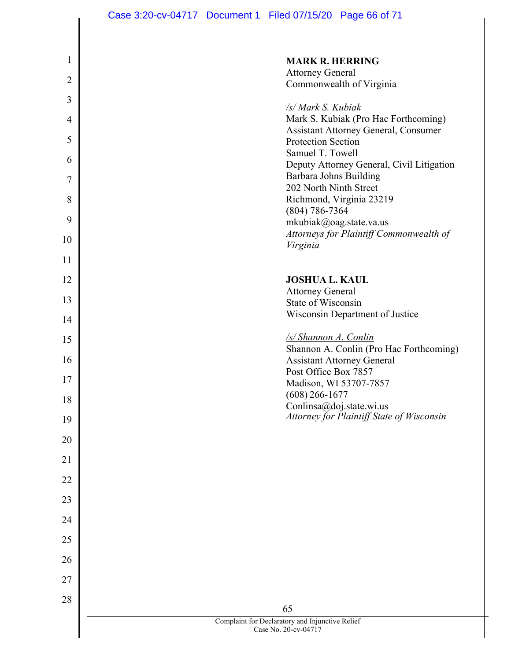Case 3:20-cv-04717 Document 1 Filed 07/15/20 Page 66 of 71

| $\mathbf{1}$   | <b>MARK R. HERRING</b>                                                       |
|----------------|------------------------------------------------------------------------------|
| $\overline{2}$ | <b>Attorney General</b>                                                      |
| 3              | Commonwealth of Virginia                                                     |
| 4              | <b>S/Mark S. Kubiak</b><br>Mark S. Kubiak (Pro Hac Forthcoming)              |
| 5              | <b>Assistant Attorney General, Consumer</b><br>Protection Section            |
| 6              | Samuel T. Towell                                                             |
| 7              | Deputy Attorney General, Civil Litigation<br>Barbara Johns Building          |
| 8              | 202 North Ninth Street<br>Richmond, Virginia 23219                           |
| 9              | $(804) 786 - 7364$<br>mkubiak@oag.state.va.us                                |
| 10             | Attorneys for Plaintiff Commonwealth of<br>Virginia                          |
| 11             |                                                                              |
| 12             | <b>JOSHUA L. KAUL</b>                                                        |
| 13             | <b>Attorney General</b><br>State of Wisconsin                                |
| 14             | Wisconsin Department of Justice                                              |
| 15             | <u>/s/ Shannon A. Conlin</u>                                                 |
| 16             | Shannon A. Conlin (Pro Hac Forthcoming)<br><b>Assistant Attorney General</b> |
| 17             | Post Office Box 7857<br>Madison, WI 53707-7857                               |
| 18             | $(608)$ 266-1677<br>Conlinsa@doj.state.wi.us                                 |
| 19             | Attorney for Plaintiff State of Wisconsin                                    |
| 20             |                                                                              |
| 21             |                                                                              |
| 22             |                                                                              |
| 23             |                                                                              |
| 24             |                                                                              |
| 25             |                                                                              |
| 26             |                                                                              |
| 27             |                                                                              |
| 28             |                                                                              |
|                | 65<br>Complaint for Declaratory and Injunctive Relief                        |
|                | Case No. 20-cv-04717                                                         |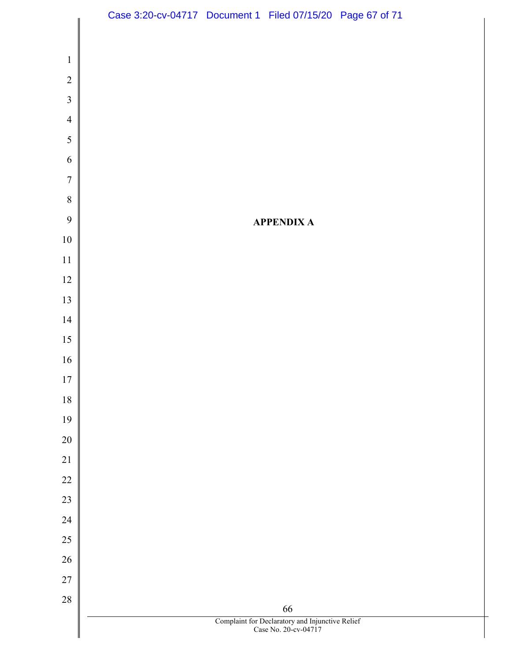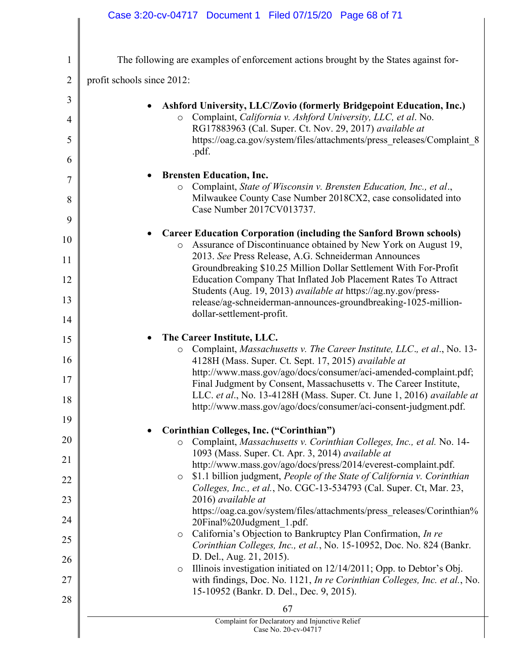|                | Case 3:20-cv-04717 Document 1 Filed 07/15/20 Page 68 of 71                                                                                                |
|----------------|-----------------------------------------------------------------------------------------------------------------------------------------------------------|
|                |                                                                                                                                                           |
| 1              | The following are examples of enforcement actions brought by the States against for-                                                                      |
| $\overline{2}$ | profit schools since 2012:                                                                                                                                |
| 3              | <b>Ashford University, LLC/Zovio (formerly Bridgepoint Education, Inc.)</b>                                                                               |
| 4              | Complaint, California v. Ashford University, LLC, et al. No.<br>$\circ$<br>RG17883963 (Cal. Super. Ct. Nov. 29, 2017) available at                        |
| 5<br>6         | https://oag.ca.gov/system/files/attachments/press_releases/Complaint_8<br>.pdf.                                                                           |
| 7              | <b>Brensten Education, Inc.</b>                                                                                                                           |
| 8              | Complaint, State of Wisconsin v. Brensten Education, Inc., et al.,<br>O<br>Milwaukee County Case Number 2018CX2, case consolidated into                   |
| 9              | Case Number 2017CV013737.                                                                                                                                 |
| 10             | <b>Career Education Corporation (including the Sanford Brown schools)</b><br>Assurance of Discontinuance obtained by New York on August 19,<br>$\circ$    |
| 11             | 2013. See Press Release, A.G. Schneiderman Announces<br>Groundbreaking \$10.25 Million Dollar Settlement With For-Profit                                  |
| 12             | Education Company That Inflated Job Placement Rates To Attract<br>Students (Aug. 19, 2013) available at https://ag.ny.gov/press-                          |
| 13             | release/ag-schneiderman-announces-groundbreaking-1025-million-<br>dollar-settlement-profit.                                                               |
| 14             |                                                                                                                                                           |
| 15<br>16       | The Career Institute, LLC.<br>Complaint, Massachusetts v. The Career Institute, LLC., et al., No. 13-<br>$\circ$                                          |
| 17             | 4128H (Mass. Super. Ct. Sept. 17, 2015) available at<br>http://www.mass.gov/ago/docs/consumer/aci-amended-complaint.pdf;                                  |
|                | Final Judgment by Consent, Massachusetts v. The Career Institute,<br>LLC. et al., No. 13-4128H (Mass. Super. Ct. June 1, 2016) available at               |
| 18<br>19       | http://www.mass.gov/ago/docs/consumer/aci-consent-judgment.pdf.                                                                                           |
|                | Corinthian Colleges, Inc. ("Corinthian")                                                                                                                  |
| 20             | Complaint, Massachusetts v. Corinthian Colleges, Inc., et al. No. 14-<br>O<br>1093 (Mass. Super. Ct. Apr. 3, 2014) available at                           |
| 21             | http://www.mass.gov/ago/docs/press/2014/everest-complaint.pdf.                                                                                            |
| 22             | \$1.1 billion judgment, People of the State of California v. Corinthian<br>$\circ$<br>Colleges, Inc., et al., No. CGC-13-534793 (Cal. Super. Ct, Mar. 23, |
| 23             | 2016) available at                                                                                                                                        |
| 24             | https://oag.ca.gov/system/files/attachments/press_releases/Corinthian%<br>20Final%20Judgment 1.pdf.                                                       |
| 25             | California's Objection to Bankruptcy Plan Confirmation, In re<br>$\circ$<br>Corinthian Colleges, Inc., et al., No. 15-10952, Doc. No. 824 (Bankr.         |
| 26             | D. Del., Aug. 21, 2015).<br>Illinois investigation initiated on 12/14/2011; Opp. to Debtor's Obj.<br>$\circ$                                              |
| 27             | with findings, Doc. No. 1121, In re Corinthian Colleges, Inc. et al., No.<br>15-10952 (Bankr. D. Del., Dec. 9, 2015).                                     |
| 28             | 67                                                                                                                                                        |
|                | Complaint for Declaratory and Injunctive Relief<br>Case No. 20-cv-04717                                                                                   |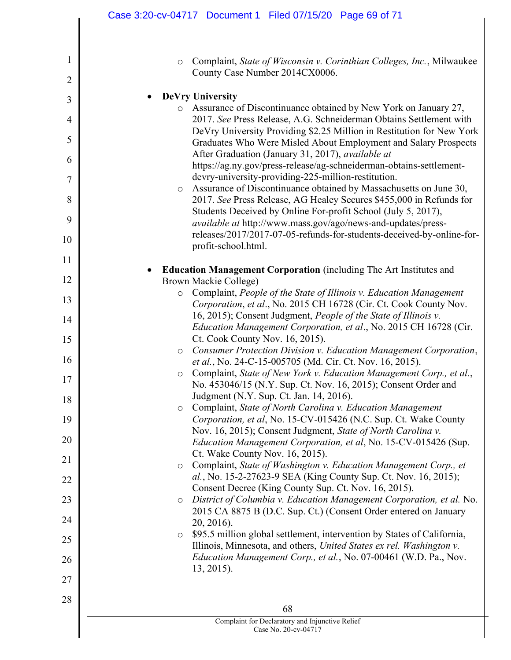|                     | Case 3:20-cv-04717 Document 1 Filed 07/15/20 Page 69 of 71                                                                                                                                                           |
|---------------------|----------------------------------------------------------------------------------------------------------------------------------------------------------------------------------------------------------------------|
| $\mathbf{1}$        |                                                                                                                                                                                                                      |
| $\overline{2}$      | Complaint, State of Wisconsin v. Corinthian Colleges, Inc., Milwaukee<br>$\circ$<br>County Case Number 2014CX0006.                                                                                                   |
| 3                   | <b>DeVry University</b>                                                                                                                                                                                              |
|                     | o Assurance of Discontinuance obtained by New York on January 27,                                                                                                                                                    |
| $\overline{4}$<br>5 | 2017. See Press Release, A.G. Schneiderman Obtains Settlement with<br>DeVry University Providing \$2.25 Million in Restitution for New York<br>Graduates Who Were Misled About Employment and Salary Prospects       |
| 6                   | After Graduation (January 31, 2017), available at                                                                                                                                                                    |
|                     | https://ag.ny.gov/press-release/ag-schneiderman-obtains-settlement-                                                                                                                                                  |
| 7                   | devry-university-providing-225-million-restitution.                                                                                                                                                                  |
| 8                   | Assurance of Discontinuance obtained by Massachusetts on June 30,<br>$\circ$<br>2017. See Press Release, AG Healey Secures \$455,000 in Refunds for<br>Students Deceived by Online For-profit School (July 5, 2017), |
| 9                   | available at http://www.mass.gov/ago/news-and-updates/press-<br>releases/2017/2017-07-05-refunds-for-students-deceived-by-online-for-                                                                                |
| 10                  | profit-school.html.                                                                                                                                                                                                  |
| 11                  |                                                                                                                                                                                                                      |
| 12                  | <b>Education Management Corporation</b> (including The Art Institutes and                                                                                                                                            |
|                     | Brown Mackie College)<br>Complaint, People of the State of Illinois v. Education Management<br>$\circ$                                                                                                               |
| 13                  | Corporation, et al., No. 2015 CH 16728 (Cir. Ct. Cook County Nov.                                                                                                                                                    |
| 14                  | 16, 2015); Consent Judgment, People of the State of Illinois v.<br>Education Management Corporation, et al., No. 2015 CH 16728 (Cir.                                                                                 |
| 15                  | Ct. Cook County Nov. 16, 2015).                                                                                                                                                                                      |
| 16                  | Consumer Protection Division v. Education Management Corporation,<br>$\circ$<br>et al., No. 24-C-15-005705 (Md. Cir. Ct. Nov. 16, 2015).                                                                             |
|                     | Complaint, State of New York v. Education Management Corp., et al.,<br>$\circ$                                                                                                                                       |
| 17<br>18            | No. 453046/15 (N.Y. Sup. Ct. Nov. 16, 2015); Consent Order and<br>Judgment (N.Y. Sup. Ct. Jan. 14, 2016).                                                                                                            |
| 19                  | Complaint, State of North Carolina v. Education Management<br>$\circ$<br>Corporation, et al, No. 15-CV-015426 (N.C. Sup. Ct. Wake County                                                                             |
| 20                  | Nov. 16, 2015); Consent Judgment, State of North Carolina v.<br>Education Management Corporation, et al, No. 15-CV-015426 (Sup.                                                                                      |
| 21                  | Ct. Wake County Nov. 16, 2015).                                                                                                                                                                                      |
| 22                  | Complaint, State of Washington v. Education Management Corp., et<br>$\circ$<br>al., No. 15-2-27623-9 SEA (King County Sup. Ct. Nov. 16, 2015);<br>Consent Decree (King County Sup. Ct. Nov. 16, 2015).               |
| 23                  | District of Columbia v. Education Management Corporation, et al. No.<br>$\circ$                                                                                                                                      |
| 24                  | 2015 CA 8875 B (D.C. Sup. Ct.) (Consent Order entered on January<br>$20, 2016$ ).                                                                                                                                    |
| 25                  | \$95.5 million global settlement, intervention by States of California,<br>$\circ$<br>Illinois, Minnesota, and others, United States ex rel. Washington v.                                                           |
| 26                  | Education Management Corp., et al., No. 07-00461 (W.D. Pa., Nov.<br>$13, 2015$ .                                                                                                                                     |
| 27                  |                                                                                                                                                                                                                      |
| 28                  |                                                                                                                                                                                                                      |
|                     | 68                                                                                                                                                                                                                   |
|                     | Complaint for Declaratory and Injunctive Relief<br>Case No. 20-cv-04717                                                                                                                                              |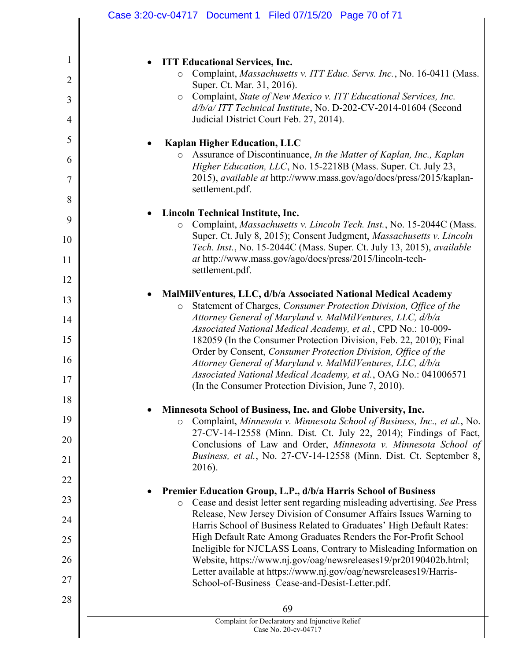| 1<br><b>ITT Educational Services, Inc.</b><br>Complaint, Massachusetts v. ITT Educ. Servs. Inc., No. 16-0411 (Mass.<br>$\circ$<br>$\overline{2}$<br>Super. Ct. Mar. 31, 2016).<br>Complaint, State of New Mexico v. ITT Educational Services, Inc.<br>$\circ$<br>3<br>d/b/a/ ITT Technical Institute, No. D-202-CV-2014-01604 (Second<br>Judicial District Court Feb. 27, 2014).<br>4<br>5<br><b>Kaplan Higher Education, LLC</b><br>Assurance of Discontinuance, In the Matter of Kaplan, Inc., Kaplan<br>$\circ$<br>6<br>Higher Education, LLC, No. 15-2218B (Mass. Super. Ct. July 23,<br>2015), <i>available at http://www.mass.gov/ago/docs/press/2015/kaplan-</i><br>7<br>settlement.pdf.<br>8<br><b>Lincoln Technical Institute, Inc.</b><br>9<br>Complaint, Massachusetts v. Lincoln Tech. Inst., No. 15-2044C (Mass.<br>$\circ$<br>Super. Ct. July 8, 2015); Consent Judgment, Massachusetts v. Lincoln<br>10<br>Tech. Inst., No. 15-2044C (Mass. Super. Ct. July 13, 2015), available<br>at http://www.mass.gov/ago/docs/press/2015/lincoln-tech-<br>11<br>settlement.pdf.<br>12<br>MalMilVentures, LLC, d/b/a Associated National Medical Academy<br>13<br>Statement of Charges, Consumer Protection Division, Office of the<br>$\circ$<br>Attorney General of Maryland v. MalMilVentures, LLC, d/b/a<br>14<br>Associated National Medical Academy, et al., CPD No.: 10-009-<br>15<br>182059 (In the Consumer Protection Division, Feb. 22, 2010); Final<br>Order by Consent, Consumer Protection Division, Office of the<br>16<br>Attorney General of Maryland v. MalMilVentures, LLC, d/b/a<br>Associated National Medical Academy, et al., OAG No.: 041006571<br>17<br>(In the Consumer Protection Division, June 7, 2010).<br>18<br>Minnesota School of Business, Inc. and Globe University, Inc.<br>٠<br>19<br>Complaint, Minnesota v. Minnesota School of Business, Inc., et al., No.<br>$\circ$<br>27-CV-14-12558 (Minn. Dist. Ct. July 22, 2014); Findings of Fact,<br>20<br>Conclusions of Law and Order, Minnesota v. Minnesota School of<br>Business, et al., No. 27-CV-14-12558 (Minn. Dist. Ct. September 8,<br>21<br>2016).<br>22<br>Premier Education Group, L.P., d/b/a Harris School of Business<br>٠<br>23<br>Cease and desist letter sent regarding misleading advertising. See Press<br>$\circ$ |
|--------------------------------------------------------------------------------------------------------------------------------------------------------------------------------------------------------------------------------------------------------------------------------------------------------------------------------------------------------------------------------------------------------------------------------------------------------------------------------------------------------------------------------------------------------------------------------------------------------------------------------------------------------------------------------------------------------------------------------------------------------------------------------------------------------------------------------------------------------------------------------------------------------------------------------------------------------------------------------------------------------------------------------------------------------------------------------------------------------------------------------------------------------------------------------------------------------------------------------------------------------------------------------------------------------------------------------------------------------------------------------------------------------------------------------------------------------------------------------------------------------------------------------------------------------------------------------------------------------------------------------------------------------------------------------------------------------------------------------------------------------------------------------------------------------------------------------------------------------------------------------------------------------------------------------------------------------------------------------------------------------------------------------------------------------------------------------------------------------------------------------------------------------------------------------------------------------------------------------------------------------------------------------------------------------------------------------|
|                                                                                                                                                                                                                                                                                                                                                                                                                                                                                                                                                                                                                                                                                                                                                                                                                                                                                                                                                                                                                                                                                                                                                                                                                                                                                                                                                                                                                                                                                                                                                                                                                                                                                                                                                                                                                                                                                                                                                                                                                                                                                                                                                                                                                                                                                                                                |
|                                                                                                                                                                                                                                                                                                                                                                                                                                                                                                                                                                                                                                                                                                                                                                                                                                                                                                                                                                                                                                                                                                                                                                                                                                                                                                                                                                                                                                                                                                                                                                                                                                                                                                                                                                                                                                                                                                                                                                                                                                                                                                                                                                                                                                                                                                                                |
|                                                                                                                                                                                                                                                                                                                                                                                                                                                                                                                                                                                                                                                                                                                                                                                                                                                                                                                                                                                                                                                                                                                                                                                                                                                                                                                                                                                                                                                                                                                                                                                                                                                                                                                                                                                                                                                                                                                                                                                                                                                                                                                                                                                                                                                                                                                                |
|                                                                                                                                                                                                                                                                                                                                                                                                                                                                                                                                                                                                                                                                                                                                                                                                                                                                                                                                                                                                                                                                                                                                                                                                                                                                                                                                                                                                                                                                                                                                                                                                                                                                                                                                                                                                                                                                                                                                                                                                                                                                                                                                                                                                                                                                                                                                |
|                                                                                                                                                                                                                                                                                                                                                                                                                                                                                                                                                                                                                                                                                                                                                                                                                                                                                                                                                                                                                                                                                                                                                                                                                                                                                                                                                                                                                                                                                                                                                                                                                                                                                                                                                                                                                                                                                                                                                                                                                                                                                                                                                                                                                                                                                                                                |
|                                                                                                                                                                                                                                                                                                                                                                                                                                                                                                                                                                                                                                                                                                                                                                                                                                                                                                                                                                                                                                                                                                                                                                                                                                                                                                                                                                                                                                                                                                                                                                                                                                                                                                                                                                                                                                                                                                                                                                                                                                                                                                                                                                                                                                                                                                                                |
|                                                                                                                                                                                                                                                                                                                                                                                                                                                                                                                                                                                                                                                                                                                                                                                                                                                                                                                                                                                                                                                                                                                                                                                                                                                                                                                                                                                                                                                                                                                                                                                                                                                                                                                                                                                                                                                                                                                                                                                                                                                                                                                                                                                                                                                                                                                                |
|                                                                                                                                                                                                                                                                                                                                                                                                                                                                                                                                                                                                                                                                                                                                                                                                                                                                                                                                                                                                                                                                                                                                                                                                                                                                                                                                                                                                                                                                                                                                                                                                                                                                                                                                                                                                                                                                                                                                                                                                                                                                                                                                                                                                                                                                                                                                |
|                                                                                                                                                                                                                                                                                                                                                                                                                                                                                                                                                                                                                                                                                                                                                                                                                                                                                                                                                                                                                                                                                                                                                                                                                                                                                                                                                                                                                                                                                                                                                                                                                                                                                                                                                                                                                                                                                                                                                                                                                                                                                                                                                                                                                                                                                                                                |
|                                                                                                                                                                                                                                                                                                                                                                                                                                                                                                                                                                                                                                                                                                                                                                                                                                                                                                                                                                                                                                                                                                                                                                                                                                                                                                                                                                                                                                                                                                                                                                                                                                                                                                                                                                                                                                                                                                                                                                                                                                                                                                                                                                                                                                                                                                                                |
|                                                                                                                                                                                                                                                                                                                                                                                                                                                                                                                                                                                                                                                                                                                                                                                                                                                                                                                                                                                                                                                                                                                                                                                                                                                                                                                                                                                                                                                                                                                                                                                                                                                                                                                                                                                                                                                                                                                                                                                                                                                                                                                                                                                                                                                                                                                                |
|                                                                                                                                                                                                                                                                                                                                                                                                                                                                                                                                                                                                                                                                                                                                                                                                                                                                                                                                                                                                                                                                                                                                                                                                                                                                                                                                                                                                                                                                                                                                                                                                                                                                                                                                                                                                                                                                                                                                                                                                                                                                                                                                                                                                                                                                                                                                |
|                                                                                                                                                                                                                                                                                                                                                                                                                                                                                                                                                                                                                                                                                                                                                                                                                                                                                                                                                                                                                                                                                                                                                                                                                                                                                                                                                                                                                                                                                                                                                                                                                                                                                                                                                                                                                                                                                                                                                                                                                                                                                                                                                                                                                                                                                                                                |
|                                                                                                                                                                                                                                                                                                                                                                                                                                                                                                                                                                                                                                                                                                                                                                                                                                                                                                                                                                                                                                                                                                                                                                                                                                                                                                                                                                                                                                                                                                                                                                                                                                                                                                                                                                                                                                                                                                                                                                                                                                                                                                                                                                                                                                                                                                                                |
|                                                                                                                                                                                                                                                                                                                                                                                                                                                                                                                                                                                                                                                                                                                                                                                                                                                                                                                                                                                                                                                                                                                                                                                                                                                                                                                                                                                                                                                                                                                                                                                                                                                                                                                                                                                                                                                                                                                                                                                                                                                                                                                                                                                                                                                                                                                                |
|                                                                                                                                                                                                                                                                                                                                                                                                                                                                                                                                                                                                                                                                                                                                                                                                                                                                                                                                                                                                                                                                                                                                                                                                                                                                                                                                                                                                                                                                                                                                                                                                                                                                                                                                                                                                                                                                                                                                                                                                                                                                                                                                                                                                                                                                                                                                |
|                                                                                                                                                                                                                                                                                                                                                                                                                                                                                                                                                                                                                                                                                                                                                                                                                                                                                                                                                                                                                                                                                                                                                                                                                                                                                                                                                                                                                                                                                                                                                                                                                                                                                                                                                                                                                                                                                                                                                                                                                                                                                                                                                                                                                                                                                                                                |
|                                                                                                                                                                                                                                                                                                                                                                                                                                                                                                                                                                                                                                                                                                                                                                                                                                                                                                                                                                                                                                                                                                                                                                                                                                                                                                                                                                                                                                                                                                                                                                                                                                                                                                                                                                                                                                                                                                                                                                                                                                                                                                                                                                                                                                                                                                                                |
|                                                                                                                                                                                                                                                                                                                                                                                                                                                                                                                                                                                                                                                                                                                                                                                                                                                                                                                                                                                                                                                                                                                                                                                                                                                                                                                                                                                                                                                                                                                                                                                                                                                                                                                                                                                                                                                                                                                                                                                                                                                                                                                                                                                                                                                                                                                                |
|                                                                                                                                                                                                                                                                                                                                                                                                                                                                                                                                                                                                                                                                                                                                                                                                                                                                                                                                                                                                                                                                                                                                                                                                                                                                                                                                                                                                                                                                                                                                                                                                                                                                                                                                                                                                                                                                                                                                                                                                                                                                                                                                                                                                                                                                                                                                |
|                                                                                                                                                                                                                                                                                                                                                                                                                                                                                                                                                                                                                                                                                                                                                                                                                                                                                                                                                                                                                                                                                                                                                                                                                                                                                                                                                                                                                                                                                                                                                                                                                                                                                                                                                                                                                                                                                                                                                                                                                                                                                                                                                                                                                                                                                                                                |
|                                                                                                                                                                                                                                                                                                                                                                                                                                                                                                                                                                                                                                                                                                                                                                                                                                                                                                                                                                                                                                                                                                                                                                                                                                                                                                                                                                                                                                                                                                                                                                                                                                                                                                                                                                                                                                                                                                                                                                                                                                                                                                                                                                                                                                                                                                                                |
| Release, New Jersey Division of Consumer Affairs Issues Warning to<br>24<br>Harris School of Business Related to Graduates' High Default Rates:                                                                                                                                                                                                                                                                                                                                                                                                                                                                                                                                                                                                                                                                                                                                                                                                                                                                                                                                                                                                                                                                                                                                                                                                                                                                                                                                                                                                                                                                                                                                                                                                                                                                                                                                                                                                                                                                                                                                                                                                                                                                                                                                                                                |
| High Default Rate Among Graduates Renders the For-Profit School<br>25<br>Ineligible for NJCLASS Loans, Contrary to Misleading Information on                                                                                                                                                                                                                                                                                                                                                                                                                                                                                                                                                                                                                                                                                                                                                                                                                                                                                                                                                                                                                                                                                                                                                                                                                                                                                                                                                                                                                                                                                                                                                                                                                                                                                                                                                                                                                                                                                                                                                                                                                                                                                                                                                                                   |
| 26<br>Website, https://www.nj.gov/oag/newsreleases19/pr20190402b.html;<br>Letter available at https://www.nj.gov/oag/newsreleases19/Harris-                                                                                                                                                                                                                                                                                                                                                                                                                                                                                                                                                                                                                                                                                                                                                                                                                                                                                                                                                                                                                                                                                                                                                                                                                                                                                                                                                                                                                                                                                                                                                                                                                                                                                                                                                                                                                                                                                                                                                                                                                                                                                                                                                                                    |
| 27<br>School-of-Business Cease-and-Desist-Letter.pdf.                                                                                                                                                                                                                                                                                                                                                                                                                                                                                                                                                                                                                                                                                                                                                                                                                                                                                                                                                                                                                                                                                                                                                                                                                                                                                                                                                                                                                                                                                                                                                                                                                                                                                                                                                                                                                                                                                                                                                                                                                                                                                                                                                                                                                                                                          |
| 28<br>69                                                                                                                                                                                                                                                                                                                                                                                                                                                                                                                                                                                                                                                                                                                                                                                                                                                                                                                                                                                                                                                                                                                                                                                                                                                                                                                                                                                                                                                                                                                                                                                                                                                                                                                                                                                                                                                                                                                                                                                                                                                                                                                                                                                                                                                                                                                       |
| Complaint for Declaratory and Injunctive Relief<br>Case No. 20-cv-04717                                                                                                                                                                                                                                                                                                                                                                                                                                                                                                                                                                                                                                                                                                                                                                                                                                                                                                                                                                                                                                                                                                                                                                                                                                                                                                                                                                                                                                                                                                                                                                                                                                                                                                                                                                                                                                                                                                                                                                                                                                                                                                                                                                                                                                                        |